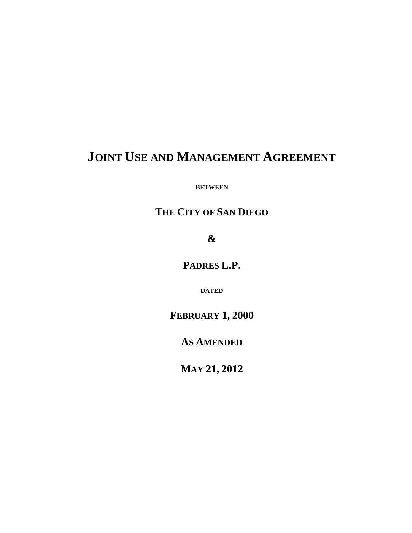# **JOINT USE AND MANAGEMENT AGREEMENT**

**BETWEEN**

# **THE CITY OF SAN DIEGO**

**&**

**PADRES L.P.**

**DATED**

**FEBRUARY 1, 2000**

**AS AMENDED** 

**MAY 21, 2012**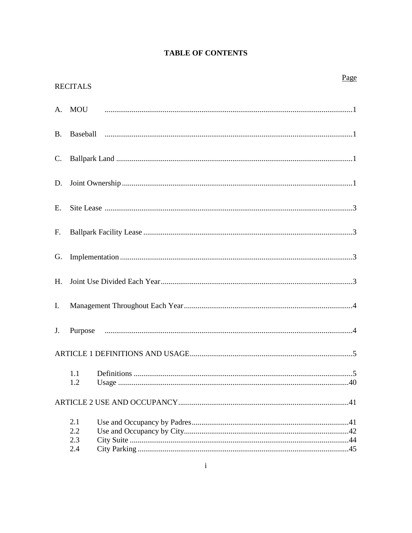|  |  | <b>TABLE OF CONTENTS</b> |  |
|--|--|--------------------------|--|
|--|--|--------------------------|--|

|                | <b>RECITALS</b>          | Page |
|----------------|--------------------------|------|
|                |                          |      |
| <b>B.</b>      |                          |      |
| $\mathbf{C}$ . |                          |      |
| D.             |                          |      |
| Е.             |                          |      |
| $F_{\cdot}$    |                          |      |
| G.             |                          |      |
| H.             |                          |      |
| Ι.             |                          |      |
| J.             |                          |      |
|                |                          |      |
|                | 1.2                      |      |
|                |                          |      |
|                | 2.1<br>2.2<br>2.3<br>2.4 |      |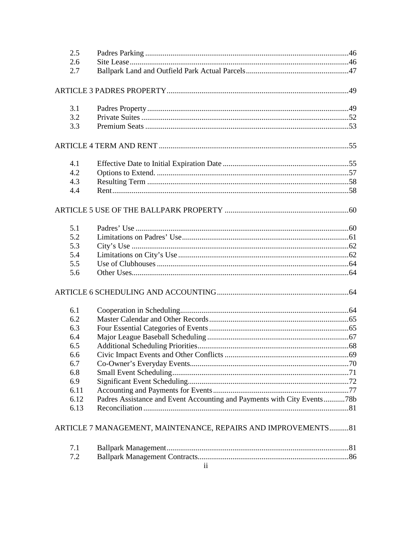| 2.5<br>2.6 |                                                                         |  |
|------------|-------------------------------------------------------------------------|--|
| 2.7        |                                                                         |  |
|            |                                                                         |  |
|            |                                                                         |  |
| 3.1        |                                                                         |  |
| 3.2        |                                                                         |  |
| 3.3        |                                                                         |  |
|            |                                                                         |  |
| 4.1        |                                                                         |  |
| 4.2        |                                                                         |  |
| 4.3        |                                                                         |  |
| 4.4        |                                                                         |  |
|            |                                                                         |  |
| 5.1        |                                                                         |  |
| 5.2        |                                                                         |  |
| 5.3        |                                                                         |  |
| 5.4        |                                                                         |  |
| 5.5        |                                                                         |  |
| 5.6        |                                                                         |  |
|            |                                                                         |  |
| 6.1        |                                                                         |  |
| 6.2        |                                                                         |  |
| 6.3        |                                                                         |  |
| 6.4        |                                                                         |  |
| 6.5        |                                                                         |  |
| 6.6        |                                                                         |  |
| 6.7        |                                                                         |  |
| 6.8        |                                                                         |  |
| 6.9        |                                                                         |  |
| 6.11       |                                                                         |  |
| 6.12       | Padres Assistance and Event Accounting and Payments with City Events78b |  |
| 6.13       |                                                                         |  |
|            | ARTICLE 7 MANAGEMENT, MAINTENANCE, REPAIRS AND IMPROVEMENTS81           |  |
| 7.1        |                                                                         |  |
| 7.2        |                                                                         |  |
|            |                                                                         |  |

| $7.2^{\circ}$ |  |
|---------------|--|
|               |  |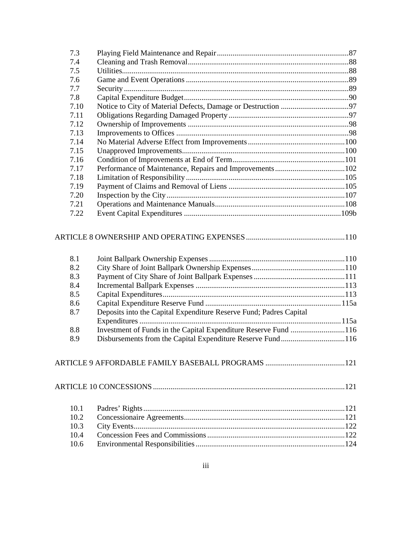| 7.3  |  |
|------|--|
| 7.4  |  |
| 7.5  |  |
| 7.6  |  |
| 7.7  |  |
| 7.8  |  |
| 7.10 |  |
| 7.11 |  |
| 7.12 |  |
| 7.13 |  |
| 7.14 |  |
| 7.15 |  |
| 7.16 |  |
| 7.17 |  |
| 7.18 |  |
| 7.19 |  |
| 7.20 |  |
| 7.21 |  |
| 7.22 |  |
|      |  |

# [ARTICLE 8 OWNERSHIP AND OPERATING EXPENSES](#page-122-0) ...................................................110

| 8.1 |                                                                    |  |
|-----|--------------------------------------------------------------------|--|
| 8.2 |                                                                    |  |
| 8.3 |                                                                    |  |
| 8.4 |                                                                    |  |
| 8.5 |                                                                    |  |
| 8.6 |                                                                    |  |
| 8.7 | Deposits into the Capital Expenditure Reserve Fund; Padres Capital |  |
|     |                                                                    |  |
| 8.8 |                                                                    |  |
| 8.9 | Disbursements from the Capital Expenditure Reserve Fund116         |  |

# [ARTICLE 9 AFFORDABLE FAMILY BASEBALL PROGRAMS](#page-134-0) .........................................121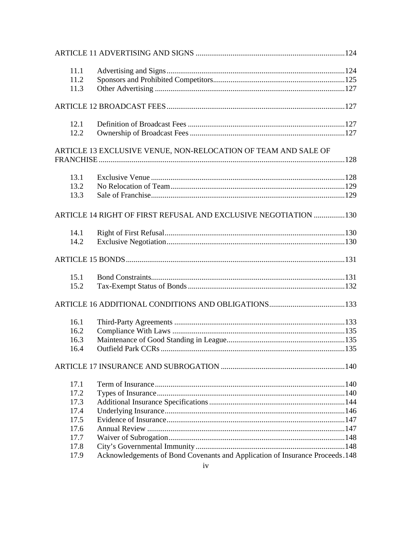| 11.1 |                                                                               |  |
|------|-------------------------------------------------------------------------------|--|
| 11.2 |                                                                               |  |
| 11.3 |                                                                               |  |
|      |                                                                               |  |
| 12.1 |                                                                               |  |
| 12.2 |                                                                               |  |
|      | ARTICLE 13 EXCLUSIVE VENUE, NON-RELOCATION OF TEAM AND SALE OF                |  |
|      |                                                                               |  |
| 13.1 |                                                                               |  |
| 13.2 |                                                                               |  |
| 13.3 |                                                                               |  |
|      | ARTICLE 14 RIGHT OF FIRST REFUSAL AND EXCLUSIVE NEGOTIATION 130               |  |
| 14.1 |                                                                               |  |
| 14.2 |                                                                               |  |
|      |                                                                               |  |
| 15.1 |                                                                               |  |
| 15.2 |                                                                               |  |
|      |                                                                               |  |
| 16.1 |                                                                               |  |
| 16.2 |                                                                               |  |
| 16.3 |                                                                               |  |
| 16.4 |                                                                               |  |
|      |                                                                               |  |
| 17.1 |                                                                               |  |
| 17.2 |                                                                               |  |
| 17.3 |                                                                               |  |
| 17.4 |                                                                               |  |
| 17.5 |                                                                               |  |
| 17.6 |                                                                               |  |
| 17.7 |                                                                               |  |
| 17.8 |                                                                               |  |
| 17.9 | Acknowledgements of Bond Covenants and Application of Insurance Proceeds. 148 |  |
|      | iv                                                                            |  |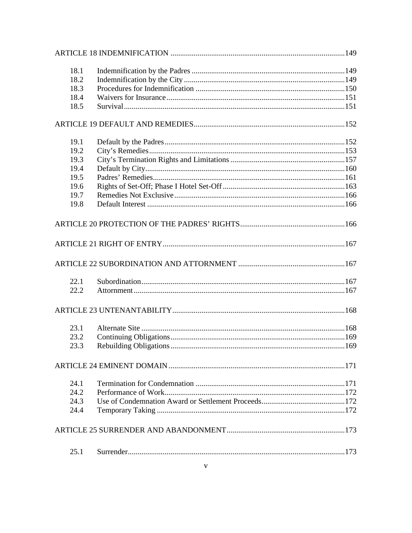| 18.1 |  |
|------|--|
| 18.2 |  |
| 18.3 |  |
| 18.4 |  |
| 18.5 |  |
|      |  |
| 19.1 |  |
| 19.2 |  |
| 19.3 |  |
| 19.4 |  |
| 19.5 |  |
| 19.6 |  |
| 19.7 |  |
| 19.8 |  |
|      |  |
|      |  |
|      |  |
| 22.1 |  |
| 22.2 |  |
|      |  |
| 23.1 |  |
| 23.2 |  |
| 23.3 |  |
|      |  |
| 24.1 |  |
| 24.2 |  |
| 24.3 |  |
| 24.4 |  |
|      |  |
| 25.1 |  |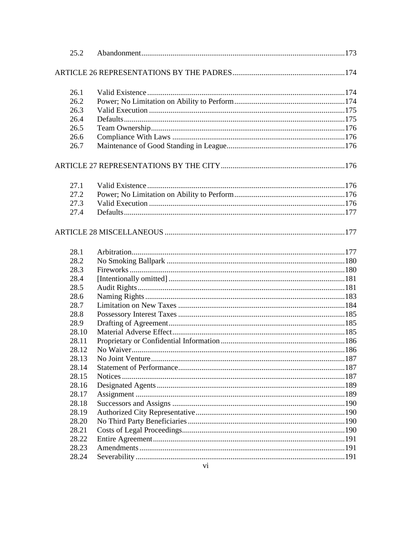| 25.2  |  |
|-------|--|
|       |  |
| 26.1  |  |
| 26.2  |  |
| 26.3  |  |
| 26.4  |  |
| 26.5  |  |
| 26.6  |  |
| 26.7  |  |
|       |  |
| 27.1  |  |
| 27.2  |  |
| 27.3  |  |
| 27.4  |  |
|       |  |
| 28.1  |  |
| 28.2  |  |
| 28.3  |  |
| 28.4  |  |
| 28.5  |  |
| 28.6  |  |
| 28.7  |  |
| 28.8  |  |
| 28.9  |  |
| 28.10 |  |
| 28.11 |  |
| 28.12 |  |
| 28.13 |  |
| 28.14 |  |
| 28.15 |  |
| 28.16 |  |
| 28.17 |  |
| 28.18 |  |
| 28.19 |  |
| 28.20 |  |
| 28.21 |  |
| 28.22 |  |
| 28.23 |  |
| 28.24 |  |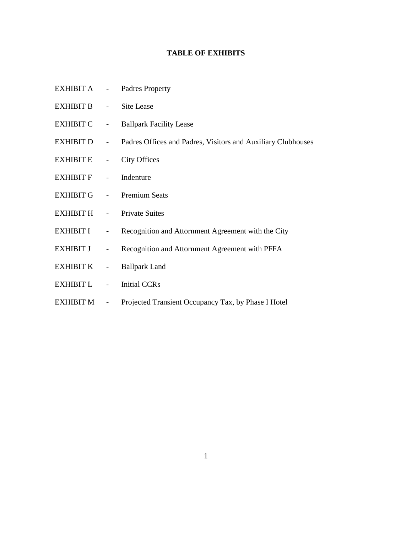## **TABLE OF EXHIBITS**

- [EXHIBIT A -](https://www.sandiego.gov/sites/default/files/legacy/petcopark/pdf/jumaexa.pdf) Padres Property
- EXHIBIT B [Site Lease](https://www.sandiego.gov/sites/default/files/legacy/petcopark/pdf/jumaexb.pdf)
- EXHIBIT C [Ballpark Facility Lease](https://www.sandiego.gov/sites/default/files/legacy/petcopark/pdf/jumaexc.pdf)
- EXHIBIT D [Padres Offices and Padres, Visitors and Auxiliary Clubhouses](https://www.sandiego.gov/sites/default/files/legacy/petcopark/pdf/jumaexd.pdf)
- EXHIBIT E [City Offices](https://www.sandiego.gov/sites/default/files/legacy/petcopark/pdf/jumaexe.pdf)
- [EXHIBIT](https://www.sandiego.gov/sites/default/files/legacy/petcopark/pdf/jumaexf.pdf) F Indenture
- [EXHIBIT G -](https://www.sandiego.gov/sites/default/files/legacy/petcopark/pdf/jumaexg.pdf) Premium Seats
- EXHIBIT H [Private Suites](https://www.sandiego.gov/sites/default/files/legacy/petcopark/pdf/jumaexh.pdf)
- EXHIBIT I [Recognition and Attornment Agreement with the City](https://www.sandiego.gov/sites/default/files/legacy/petcopark/pdf/jumaexi.pdf)
- EXHIBIT J [Recognition and Attornment Agreement with PFFA](https://www.sandiego.gov/sites/default/files/legacy/petcopark/pdf/jumaexj.pdf)
- EXHIBIT K [Ballpark Land](https://www.sandiego.gov/sites/default/files/legacy/petcopark/pdf/jumaexk.pdf)
- EXHIBIT L [Initial CCRs](https://www.sandiego.gov/sites/default/files/legacy/petcopark/pdf/jumaexl.pdf)
- EXHIBIT M Projected Transient Occupancy Tax, by Phase I Hotel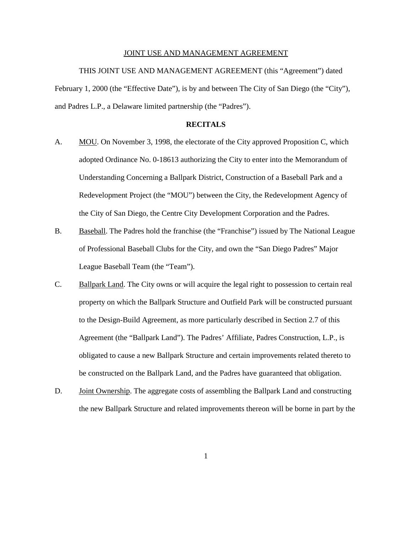#### JOINT USE AND MANAGEMENT AGREEMENT

THIS JOINT USE AND MANAGEMENT AGREEMENT (this "Agreement") dated February 1, 2000 (the "Effective Date"), is by and between The City of San Diego (the "City"), and Padres L.P., a Delaware limited partnership (the "Padres").

### **RECITALS**

- <span id="page-9-1"></span><span id="page-9-0"></span>A. MOU. On November 3, 1998, the electorate of the City approved Proposition C, which adopted Ordinance No. 0-18613 authorizing the City to enter into the Memorandum of Understanding Concerning a Ballpark District, Construction of a Baseball Park and a Redevelopment Project (the "MOU") between the City, the Redevelopment Agency of the City of San Diego, the Centre City Development Corporation and the Padres.
- <span id="page-9-2"></span>B. Baseball. The Padres hold the franchise (the "Franchise") issued by The National League of Professional Baseball Clubs for the City, and own the "San Diego Padres" Major League Baseball Team (the "Team").
- <span id="page-9-3"></span>C. Ballpark Land. The City owns or will acquire the legal right to possession to certain real property on which the Ballpark Structure and Outfield Park will be constructed pursuant to the Design-Build Agreement, as more particularly described in Section 2.7 of this Agreement (the "Ballpark Land"). The Padres' Affiliate, Padres Construction, L.P., is obligated to cause a new Ballpark Structure and certain improvements related thereto to be constructed on the Ballpark Land, and the Padres have guaranteed that obligation.
- <span id="page-9-4"></span>D. Joint Ownership. The aggregate costs of assembling the Ballpark Land and constructing the new Ballpark Structure and related improvements thereon will be borne in part by the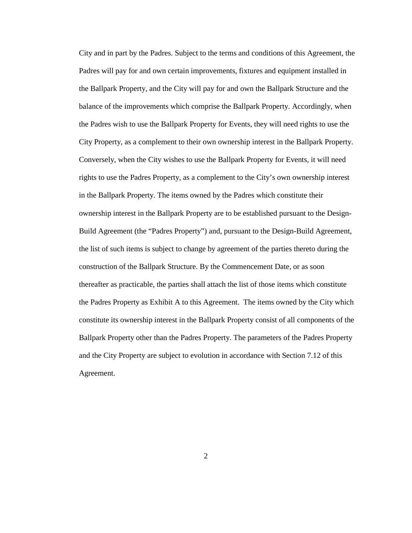City and in part by the Padres. Subject to the terms and conditions of this Agreement, the Padres will pay for and own certain improvements, fixtures and equipment installed in the Ballpark Property, and the City will pay for and own the Ballpark Structure and the balance of the improvements which comprise the Ballpark Property. Accordingly, when the Padres wish to use the Ballpark Property for Events, they will need rights to use the City Property, as a complement to their own ownership interest in the Ballpark Property. Conversely, when the City wishes to use the Ballpark Property for Events, it will need rights to use the Padres Property, as a complement to the City's own ownership interest in the Ballpark Property. The items owned by the Padres which constitute their ownership interest in the Ballpark Property are to be established pursuant to the Design-Build Agreement (the "Padres Property") and, pursuant to the Design-Build Agreement, the list of such items is subject to change by agreement of the parties thereto during the construction of the Ballpark Structure. By the Commencement Date, or as soon thereafter as practicable, the parties shall attach the list of those items which constitute the Padres Property as Exhibit A to this Agreement. The items owned by the City which constitute its ownership interest in the Ballpark Property consist of all components of the Ballpark Property other than the Padres Property. The parameters of the Padres Property and the City Property are subject to evolution in accordance with Section 7.12 of this Agreement.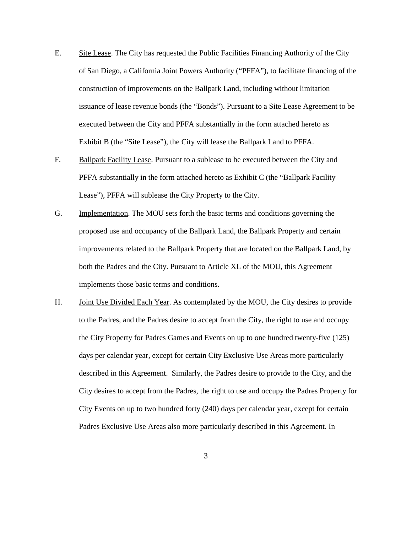- <span id="page-11-0"></span>E. Site Lease. The City has requested the Public Facilities Financing Authority of the City of San Diego, a California Joint Powers Authority ("PFFA"), to facilitate financing of the construction of improvements on the Ballpark Land, including without limitation issuance of lease revenue bonds (the "Bonds"). Pursuant to a Site Lease Agreement to be executed between the City and PFFA substantially in the form attached hereto as Exhibit B (the "Site Lease"), the City will lease the Ballpark Land to PFFA.
- <span id="page-11-1"></span>F. Ballpark Facility Lease. Pursuant to a sublease to be executed between the City and PFFA substantially in the form attached hereto as Exhibit C (the "Ballpark Facility Lease"), PFFA will sublease the City Property to the City.
- <span id="page-11-2"></span>G. Implementation. The MOU sets forth the basic terms and conditions governing the proposed use and occupancy of the Ballpark Land, the Ballpark Property and certain improvements related to the Ballpark Property that are located on the Ballpark Land, by both the Padres and the City. Pursuant to Article XL of the MOU, this Agreement implements those basic terms and conditions.
- <span id="page-11-3"></span>H. Joint Use Divided Each Year. As contemplated by the MOU, the City desires to provide to the Padres, and the Padres desire to accept from the City, the right to use and occupy the City Property for Padres Games and Events on up to one hundred twenty-five (125) days per calendar year, except for certain City Exclusive Use Areas more particularly described in this Agreement. Similarly, the Padres desire to provide to the City, and the City desires to accept from the Padres, the right to use and occupy the Padres Property for City Events on up to two hundred forty (240) days per calendar year, except for certain Padres Exclusive Use Areas also more particularly described in this Agreement. In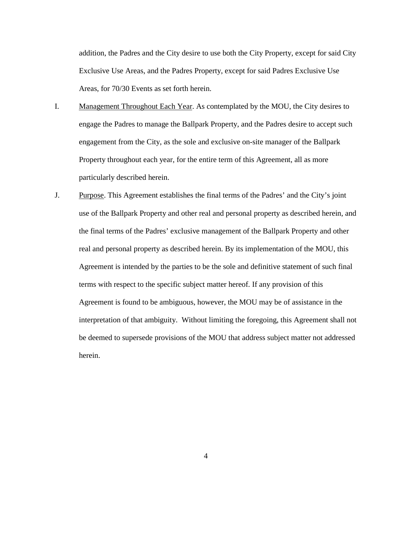addition, the Padres and the City desire to use both the City Property, except for said City Exclusive Use Areas, and the Padres Property, except for said Padres Exclusive Use Areas, for 70/30 Events as set forth herein.

- <span id="page-12-0"></span>I. Management Throughout Each Year. As contemplated by the MOU, the City desires to engage the Padres to manage the Ballpark Property, and the Padres desire to accept such engagement from the City, as the sole and exclusive on-site manager of the Ballpark Property throughout each year, for the entire term of this Agreement, all as more particularly described herein.
- <span id="page-12-1"></span>J. Purpose. This Agreement establishes the final terms of the Padres' and the City's joint use of the Ballpark Property and other real and personal property as described herein, and the final terms of the Padres' exclusive management of the Ballpark Property and other real and personal property as described herein. By its implementation of the MOU, this Agreement is intended by the parties to be the sole and definitive statement of such final terms with respect to the specific subject matter hereof. If any provision of this Agreement is found to be ambiguous, however, the MOU may be of assistance in the interpretation of that ambiguity. Without limiting the foregoing, this Agreement shall not be deemed to supersede provisions of the MOU that address subject matter not addressed herein.

4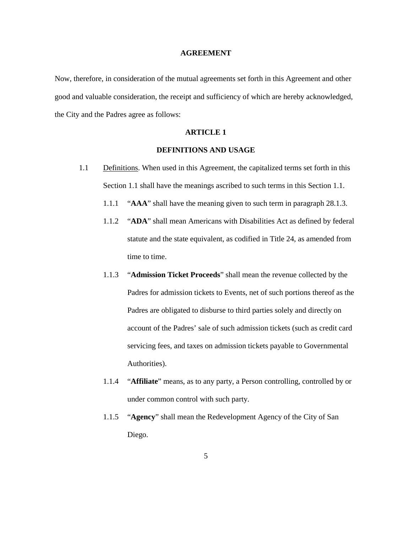#### **AGREEMENT**

Now, therefore, in consideration of the mutual agreements set forth in this Agreement and other good and valuable consideration, the receipt and sufficiency of which are hereby acknowledged, the City and the Padres agree as follows:

### **ARTICLE 1**

### **DEFINITIONS AND USAGE**

- <span id="page-13-1"></span><span id="page-13-0"></span>1.1 Definitions. When used in this Agreement, the capitalized terms set forth in this Section 1.1 shall have the meanings ascribed to such terms in this Section 1.1.
	- 1.1.1 "**AAA**" shall have the meaning given to such term in paragraph 28.1.3.
	- 1.1.2 "**ADA**" shall mean Americans with Disabilities Act as defined by federal statute and the state equivalent, as codified in Title 24, as amended from time to time.
	- 1.1.3 "**Admission Ticket Proceeds**" shall mean the revenue collected by the Padres for admission tickets to Events, net of such portions thereof as the Padres are obligated to disburse to third parties solely and directly on account of the Padres' sale of such admission tickets (such as credit card servicing fees, and taxes on admission tickets payable to Governmental Authorities).
	- 1.1.4 "**Affiliate**" means, as to any party, a Person controlling, controlled by or under common control with such party.
	- 1.1.5 "**Agency**" shall mean the Redevelopment Agency of the City of San Diego.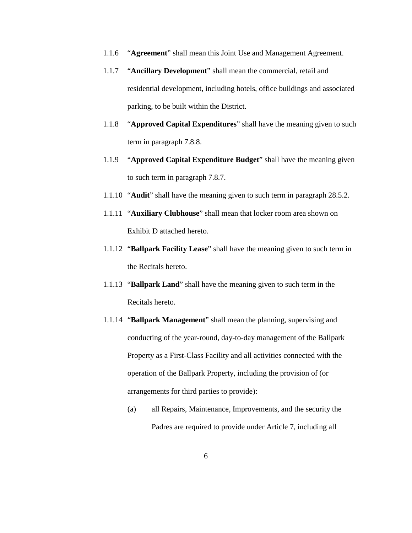- 1.1.6 "**Agreement**" shall mean this Joint Use and Management Agreement.
- 1.1.7 "**Ancillary Development**" shall mean the commercial, retail and residential development, including hotels, office buildings and associated parking, to be built within the District.
- 1.1.8 "**Approved Capital Expenditures**" shall have the meaning given to such term in paragraph 7.8.8.
- 1.1.9 "**Approved Capital Expenditure Budget**" shall have the meaning given to such term in paragraph 7.8.7.
- 1.1.10 "**Audit**" shall have the meaning given to such term in paragraph 28.5.2.
- 1.1.11 "**Auxiliary Clubhouse**" shall mean that locker room area shown on Exhibit D attached hereto.
- 1.1.12 "**Ballpark Facility Lease**" shall have the meaning given to such term in the Recitals hereto.
- 1.1.13 "**Ballpark Land**" shall have the meaning given to such term in the Recitals hereto.
- 1.1.14 "**Ballpark Management**" shall mean the planning, supervising and conducting of the year-round, day-to-day management of the Ballpark Property as a First-Class Facility and all activities connected with the operation of the Ballpark Property, including the provision of (or arrangements for third parties to provide):
	- (a) all Repairs, Maintenance, Improvements, and the security the Padres are required to provide under Article 7, including all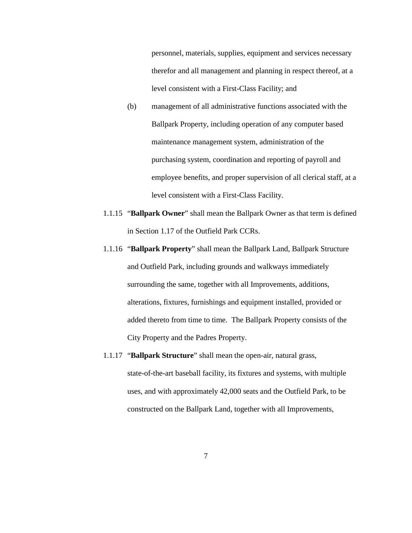personnel, materials, supplies, equipment and services necessary therefor and all management and planning in respect thereof, at a level consistent with a First-Class Facility; and

- (b) management of all administrative functions associated with the Ballpark Property, including operation of any computer based maintenance management system, administration of the purchasing system, coordination and reporting of payroll and employee benefits, and proper supervision of all clerical staff, at a level consistent with a First-Class Facility.
- 1.1.15 "**Ballpark Owner**" shall mean the Ballpark Owner as that term is defined in Section 1.17 of the Outfield Park CCRs.
- 1.1.16 "**Ballpark Property**" shall mean the Ballpark Land, Ballpark Structure and Outfield Park, including grounds and walkways immediately surrounding the same, together with all Improvements, additions, alterations, fixtures, furnishings and equipment installed, provided or added thereto from time to time. The Ballpark Property consists of the City Property and the Padres Property.
- 1.1.17 "**Ballpark Structure**" shall mean the open-air, natural grass, state-of-the-art baseball facility, its fixtures and systems, with multiple uses, and with approximately 42,000 seats and the Outfield Park, to be constructed on the Ballpark Land, together with all Improvements,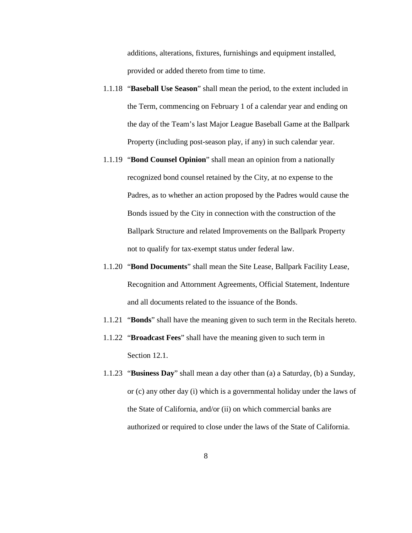additions, alterations, fixtures, furnishings and equipment installed, provided or added thereto from time to time.

- 1.1.18 "**Baseball Use Season**" shall mean the period, to the extent included in the Term, commencing on February 1 of a calendar year and ending on the day of the Team's last Major League Baseball Game at the Ballpark Property (including post-season play, if any) in such calendar year.
- 1.1.19 "**Bond Counsel Opinion**" shall mean an opinion from a nationally recognized bond counsel retained by the City, at no expense to the Padres, as to whether an action proposed by the Padres would cause the Bonds issued by the City in connection with the construction of the Ballpark Structure and related Improvements on the Ballpark Property not to qualify for tax-exempt status under federal law.
- 1.1.20 "**Bond Documents**" shall mean the Site Lease, Ballpark Facility Lease, Recognition and Attornment Agreements, Official Statement, Indenture and all documents related to the issuance of the Bonds.
- 1.1.21 "**Bonds**" shall have the meaning given to such term in the Recitals hereto.
- 1.1.22 "**Broadcast Fees**" shall have the meaning given to such term in Section 12.1.
- 1.1.23 "**Business Day**" shall mean a day other than (a) a Saturday, (b) a Sunday, or (c) any other day (i) which is a governmental holiday under the laws of the State of California, and/or (ii) on which commercial banks are authorized or required to close under the laws of the State of California.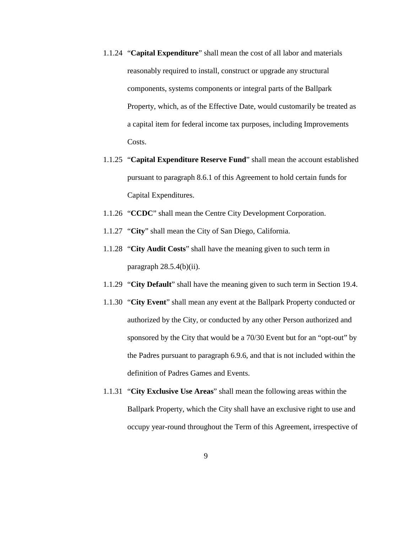- 1.1.24 "**Capital Expenditure**" shall mean the cost of all labor and materials reasonably required to install, construct or upgrade any structural components, systems components or integral parts of the Ballpark Property, which, as of the Effective Date, would customarily be treated as a capital item for federal income tax purposes, including Improvements Costs.
- 1.1.25 "**Capital Expenditure Reserve Fund**" shall mean the account established pursuant to paragraph 8.6.1 of this Agreement to hold certain funds for Capital Expenditures.
- 1.1.26 "**CCDC**" shall mean the Centre City Development Corporation.
- 1.1.27 "**City**" shall mean the City of San Diego, California.
- 1.1.28 "**City Audit Costs**" shall have the meaning given to such term in paragraph  $28.5.4(b)(ii)$ .
- 1.1.29 "**City Default**" shall have the meaning given to such term in Section 19.4.
- 1.1.30 "**City Event**" shall mean any event at the Ballpark Property conducted or authorized by the City, or conducted by any other Person authorized and sponsored by the City that would be a 70/30 Event but for an "opt-out" by the Padres pursuant to paragraph 6.9.6, and that is not included within the definition of Padres Games and Events.
- 1.1.31 "**City Exclusive Use Areas**" shall mean the following areas within the Ballpark Property, which the City shall have an exclusive right to use and occupy year-round throughout the Term of this Agreement, irrespective of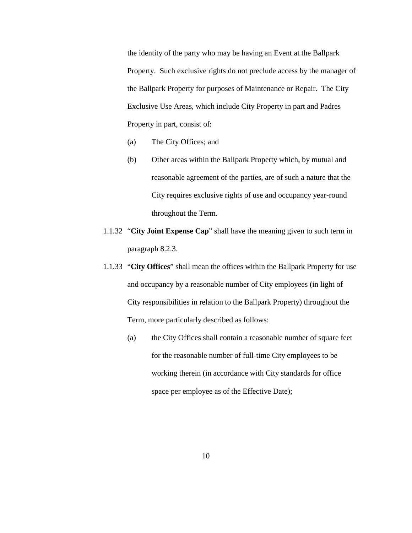the identity of the party who may be having an Event at the Ballpark Property. Such exclusive rights do not preclude access by the manager of the Ballpark Property for purposes of Maintenance or Repair. The City Exclusive Use Areas, which include City Property in part and Padres Property in part, consist of:

- (a) The City Offices; and
- (b) Other areas within the Ballpark Property which, by mutual and reasonable agreement of the parties, are of such a nature that the City requires exclusive rights of use and occupancy year-round throughout the Term.
- 1.1.32 "**City Joint Expense Cap**" shall have the meaning given to such term in paragraph 8.2.3.
- 1.1.33 "**City Offices**" shall mean the offices within the Ballpark Property for use and occupancy by a reasonable number of City employees (in light of City responsibilities in relation to the Ballpark Property) throughout the Term, more particularly described as follows:
	- (a) the City Offices shall contain a reasonable number of square feet for the reasonable number of full-time City employees to be working therein (in accordance with City standards for office space per employee as of the Effective Date);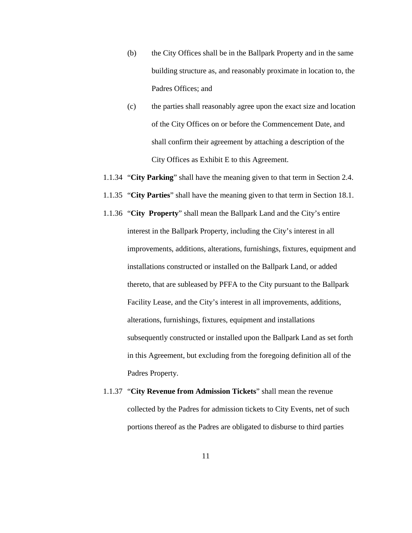- (b) the City Offices shall be in the Ballpark Property and in the same building structure as, and reasonably proximate in location to, the Padres Offices; and
- (c) the parties shall reasonably agree upon the exact size and location of the City Offices on or before the Commencement Date, and shall confirm their agreement by attaching a description of the City Offices as Exhibit E to this Agreement.
- 1.1.34 "**City Parking**" shall have the meaning given to that term in Section 2.4.
- 1.1.35 "**City Parties**" shall have the meaning given to that term in Section 18.1.
- 1.1.36 "**City Property**" shall mean the Ballpark Land and the City's entire interest in the Ballpark Property, including the City's interest in all improvements, additions, alterations, furnishings, fixtures, equipment and installations constructed or installed on the Ballpark Land, or added thereto, that are subleased by PFFA to the City pursuant to the Ballpark Facility Lease, and the City's interest in all improvements, additions, alterations, furnishings, fixtures, equipment and installations subsequently constructed or installed upon the Ballpark Land as set forth in this Agreement, but excluding from the foregoing definition all of the Padres Property.
- 1.1.37 "**City Revenue from Admission Tickets**" shall mean the revenue collected by the Padres for admission tickets to City Events, net of such portions thereof as the Padres are obligated to disburse to third parties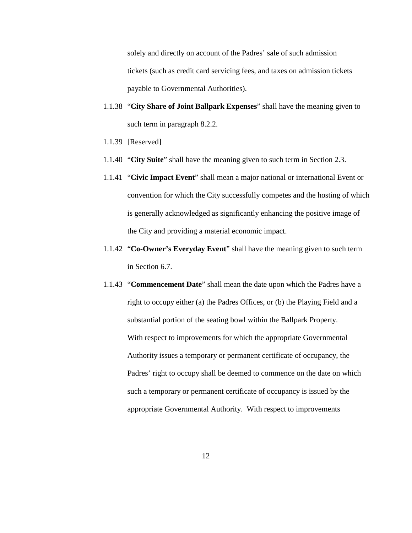solely and directly on account of the Padres' sale of such admission tickets (such as credit card servicing fees, and taxes on admission tickets payable to Governmental Authorities).

- 1.1.38 "**City Share of Joint Ballpark Expenses**" shall have the meaning given to such term in paragraph 8.2.2.
- 1.1.39 [Reserved]
- 1.1.40 "**City Suite**" shall have the meaning given to such term in Section 2.3.
- 1.1.41 "**Civic Impact Event**" shall mean a major national or international Event or convention for which the City successfully competes and the hosting of which is generally acknowledged as significantly enhancing the positive image of the City and providing a material economic impact.
- 1.1.42 "**Co-Owner's Everyday Event**" shall have the meaning given to such term in Section 6.7.
- 1.1.43 "**Commencement Date**" shall mean the date upon which the Padres have a right to occupy either (a) the Padres Offices, or (b) the Playing Field and a substantial portion of the seating bowl within the Ballpark Property. With respect to improvements for which the appropriate Governmental Authority issues a temporary or permanent certificate of occupancy, the Padres' right to occupy shall be deemed to commence on the date on which such a temporary or permanent certificate of occupancy is issued by the appropriate Governmental Authority. With respect to improvements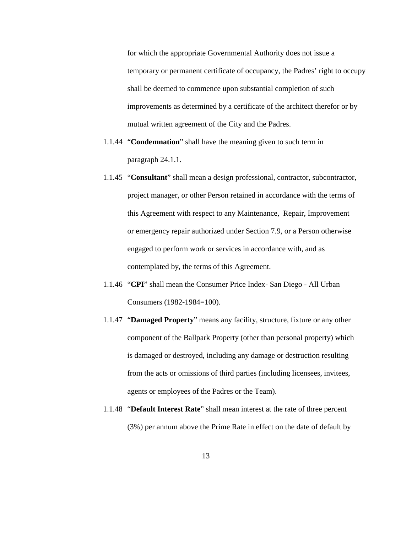for which the appropriate Governmental Authority does not issue a temporary or permanent certificate of occupancy, the Padres' right to occupy shall be deemed to commence upon substantial completion of such improvements as determined by a certificate of the architect therefor or by mutual written agreement of the City and the Padres.

- 1.1.44 "**Condemnation**" shall have the meaning given to such term in paragraph 24.1.1.
- 1.1.45 "**Consultant**" shall mean a design professional, contractor, subcontractor, project manager, or other Person retained in accordance with the terms of this Agreement with respect to any Maintenance, Repair, Improvement or emergency repair authorized under Section 7.9, or a Person otherwise engaged to perform work or services in accordance with, and as contemplated by, the terms of this Agreement.
- 1.1.46 "**CPI**" shall mean the Consumer Price Index- San Diego All Urban Consumers (1982-1984=100).
- 1.1.47 "**Damaged Property**" means any facility, structure, fixture or any other component of the Ballpark Property (other than personal property) which is damaged or destroyed, including any damage or destruction resulting from the acts or omissions of third parties (including licensees, invitees, agents or employees of the Padres or the Team).
- 1.1.48 "**Default Interest Rate**" shall mean interest at the rate of three percent (3%) per annum above the Prime Rate in effect on the date of default by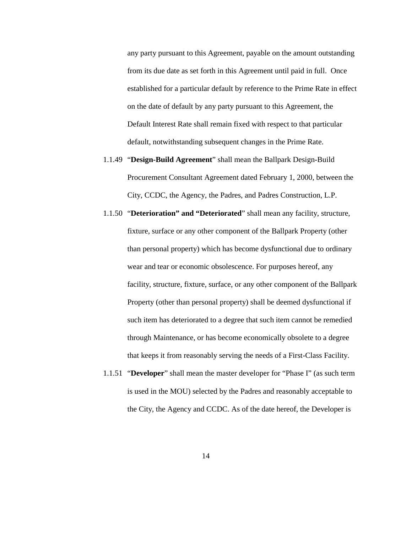any party pursuant to this Agreement, payable on the amount outstanding from its due date as set forth in this Agreement until paid in full. Once established for a particular default by reference to the Prime Rate in effect on the date of default by any party pursuant to this Agreement, the Default Interest Rate shall remain fixed with respect to that particular default, notwithstanding subsequent changes in the Prime Rate.

- 1.1.49 "**Design-Build Agreement**" shall mean the Ballpark Design-Build Procurement Consultant Agreement dated February 1, 2000, between the City, CCDC, the Agency, the Padres, and Padres Construction, L.P.
- 1.1.50 "**Deterioration" and "Deteriorated**" shall mean any facility, structure, fixture, surface or any other component of the Ballpark Property (other than personal property) which has become dysfunctional due to ordinary wear and tear or economic obsolescence. For purposes hereof, any facility, structure, fixture, surface, or any other component of the Ballpark Property (other than personal property) shall be deemed dysfunctional if such item has deteriorated to a degree that such item cannot be remedied through Maintenance, or has become economically obsolete to a degree that keeps it from reasonably serving the needs of a First-Class Facility.
- 1.1.51 "**Developer**" shall mean the master developer for "Phase I" (as such term is used in the MOU) selected by the Padres and reasonably acceptable to the City, the Agency and CCDC. As of the date hereof, the Developer is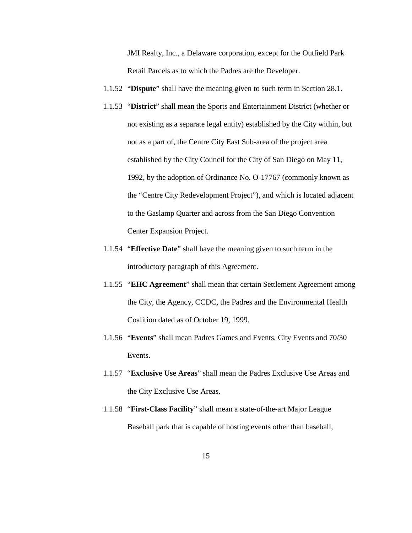JMI Realty, Inc., a Delaware corporation, except for the Outfield Park Retail Parcels as to which the Padres are the Developer.

- 1.1.52 "**Dispute**" shall have the meaning given to such term in Section 28.1.
- 1.1.53 "**District**" shall mean the Sports and Entertainment District (whether or not existing as a separate legal entity) established by the City within, but not as a part of, the Centre City East Sub-area of the project area established by the City Council for the City of San Diego on May 11, 1992, by the adoption of Ordinance No. O-17767 (commonly known as the "Centre City Redevelopment Project"), and which is located adjacent to the Gaslamp Quarter and across from the San Diego Convention Center Expansion Project.
- 1.1.54 "**Effective Date**" shall have the meaning given to such term in the introductory paragraph of this Agreement.
- 1.1.55 "**EHC Agreement**" shall mean that certain Settlement Agreement among the City, the Agency, CCDC, the Padres and the Environmental Health Coalition dated as of October 19, 1999.
- 1.1.56 "**Events**" shall mean Padres Games and Events, City Events and 70/30 Events.
- 1.1.57 "**Exclusive Use Areas**" shall mean the Padres Exclusive Use Areas and the City Exclusive Use Areas.
- 1.1.58 "**First-Class Facility**" shall mean a state-of-the-art Major League Baseball park that is capable of hosting events other than baseball,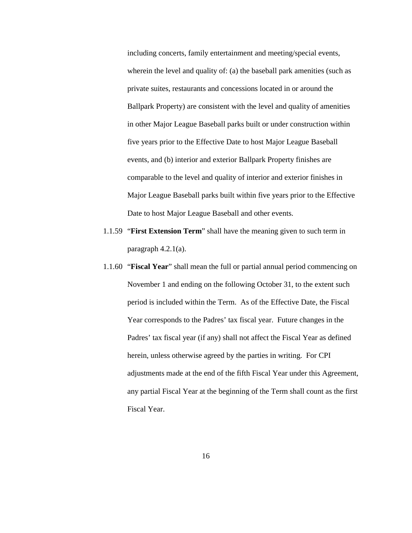including concerts, family entertainment and meeting/special events, wherein the level and quality of: (a) the baseball park amenities (such as private suites, restaurants and concessions located in or around the Ballpark Property) are consistent with the level and quality of amenities in other Major League Baseball parks built or under construction within five years prior to the Effective Date to host Major League Baseball events, and (b) interior and exterior Ballpark Property finishes are comparable to the level and quality of interior and exterior finishes in Major League Baseball parks built within five years prior to the Effective Date to host Major League Baseball and other events.

- 1.1.59 "**First Extension Term**" shall have the meaning given to such term in paragraph 4.2.1(a).
- 1.1.60 "**Fiscal Year**" shall mean the full or partial annual period commencing on November 1 and ending on the following October 31, to the extent such period is included within the Term. As of the Effective Date, the Fiscal Year corresponds to the Padres' tax fiscal year. Future changes in the Padres' tax fiscal year (if any) shall not affect the Fiscal Year as defined herein, unless otherwise agreed by the parties in writing. For CPI adjustments made at the end of the fifth Fiscal Year under this Agreement, any partial Fiscal Year at the beginning of the Term shall count as the first Fiscal Year.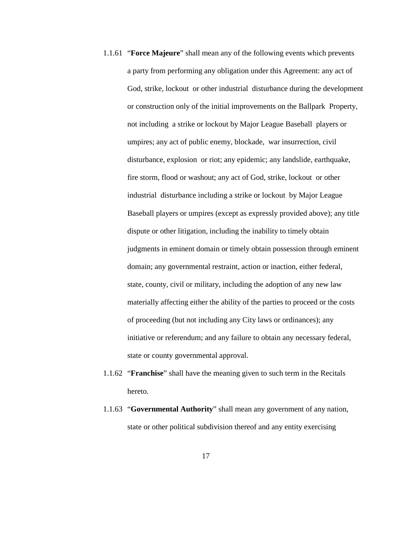- 1.1.61 "**Force Majeure**" shall mean any of the following events which prevents a party from performing any obligation under this Agreement: any act of God, strike, lockout or other industrial disturbance during the development or construction only of the initial improvements on the Ballpark Property, not including a strike or lockout by Major League Baseball players or umpires; any act of public enemy, blockade, war insurrection, civil disturbance, explosion or riot; any epidemic; any landslide, earthquake, fire storm, flood or washout; any act of God, strike, lockout or other industrial disturbance including a strike or lockout by Major League Baseball players or umpires (except as expressly provided above); any title dispute or other litigation, including the inability to timely obtain judgments in eminent domain or timely obtain possession through eminent domain; any governmental restraint, action or inaction, either federal, state, county, civil or military, including the adoption of any new law materially affecting either the ability of the parties to proceed or the costs of proceeding (but not including any City laws or ordinances); any initiative or referendum; and any failure to obtain any necessary federal, state or county governmental approval.
- 1.1.62 "**Franchise**" shall have the meaning given to such term in the Recitals hereto.
- 1.1.63 "**Governmental Authority**" shall mean any government of any nation, state or other political subdivision thereof and any entity exercising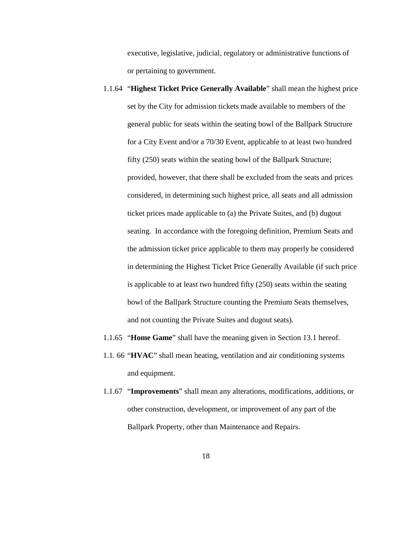executive, legislative, judicial, regulatory or administrative functions of or pertaining to government.

- 1.1.64 "**Highest Ticket Price Generally Available**" shall mean the highest price set by the City for admission tickets made available to members of the general public for seats within the seating bowl of the Ballpark Structure for a City Event and/or a 70/30 Event, applicable to at least two hundred fifty (250) seats within the seating bowl of the Ballpark Structure; provided, however, that there shall be excluded from the seats and prices considered, in determining such highest price, all seats and all admission ticket prices made applicable to (a) the Private Suites, and (b) dugout seating. In accordance with the foregoing definition, Premium Seats and the admission ticket price applicable to them may properly be considered in determining the Highest Ticket Price Generally Available (if such price is applicable to at least two hundred fifty (250) seats within the seating bowl of the Ballpark Structure counting the Premium Seats themselves, and not counting the Private Suites and dugout seats).
- 1.1.65 "**Home Game**" shall have the meaning given in Section 13.1 hereof.
- 1.1. 66 "**HVAC**" shall mean heating, ventilation and air conditioning systems and equipment.
- 1.1.67 "**Improvements**" shall mean any alterations, modifications, additions, or other construction, development, or improvement of any part of the Ballpark Property, other than Maintenance and Repairs.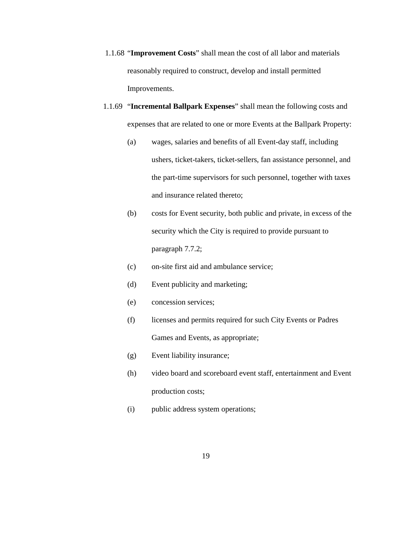- 1.1.68 "**Improvement Costs**" shall mean the cost of all labor and materials reasonably required to construct, develop and install permitted Improvements.
- 1.1.69 "**Incremental Ballpark Expenses**" shall mean the following costs and expenses that are related to one or more Events at the Ballpark Property:
	- (a) wages, salaries and benefits of all Event-day staff, including ushers, ticket-takers, ticket-sellers, fan assistance personnel, and the part-time supervisors for such personnel, together with taxes and insurance related thereto;
	- (b) costs for Event security, both public and private, in excess of the security which the City is required to provide pursuant to paragraph 7.7.2;
	- (c) on-site first aid and ambulance service;
	- (d) Event publicity and marketing;
	- (e) concession services;
	- (f) licenses and permits required for such City Events or Padres Games and Events, as appropriate;
	- (g) Event liability insurance;
	- (h) video board and scoreboard event staff, entertainment and Event production costs;
	- (i) public address system operations;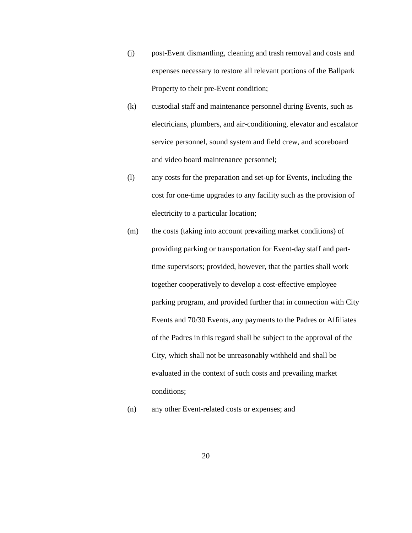- (j) post-Event dismantling, cleaning and trash removal and costs and expenses necessary to restore all relevant portions of the Ballpark Property to their pre-Event condition;
- (k) custodial staff and maintenance personnel during Events, such as electricians, plumbers, and air-conditioning, elevator and escalator service personnel, sound system and field crew, and scoreboard and video board maintenance personnel;
- (l) any costs for the preparation and set-up for Events, including the cost for one-time upgrades to any facility such as the provision of electricity to a particular location;
- (m) the costs (taking into account prevailing market conditions) of providing parking or transportation for Event-day staff and parttime supervisors; provided, however, that the parties shall work together cooperatively to develop a cost-effective employee parking program, and provided further that in connection with City Events and 70/30 Events, any payments to the Padres or Affiliates of the Padres in this regard shall be subject to the approval of the City, which shall not be unreasonably withheld and shall be evaluated in the context of such costs and prevailing market conditions;
- (n) any other Event-related costs or expenses; and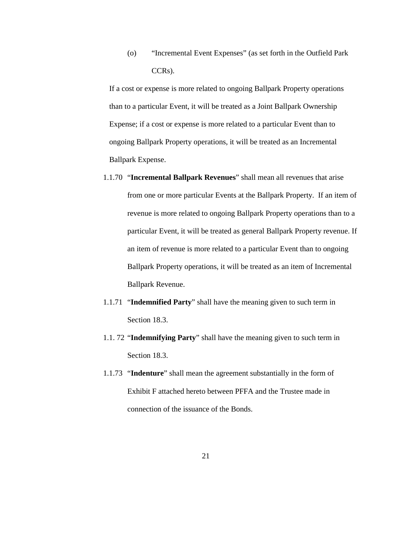(o) "Incremental Event Expenses" (as set forth in the Outfield Park CCRs).

If a cost or expense is more related to ongoing Ballpark Property operations than to a particular Event, it will be treated as a Joint Ballpark Ownership Expense; if a cost or expense is more related to a particular Event than to ongoing Ballpark Property operations, it will be treated as an Incremental Ballpark Expense.

- 1.1.70 "**Incremental Ballpark Revenues**" shall mean all revenues that arise from one or more particular Events at the Ballpark Property. If an item of revenue is more related to ongoing Ballpark Property operations than to a particular Event, it will be treated as general Ballpark Property revenue. If an item of revenue is more related to a particular Event than to ongoing Ballpark Property operations, it will be treated as an item of Incremental Ballpark Revenue.
- 1.1.71 "**Indemnified Party**" shall have the meaning given to such term in Section 18.3.
- 1.1. 72 "**Indemnifying Party**" shall have the meaning given to such term in Section 18.3.
- 1.1.73 "**Indenture**" shall mean the agreement substantially in the form of Exhibit F attached hereto between PFFA and the Trustee made in connection of the issuance of the Bonds.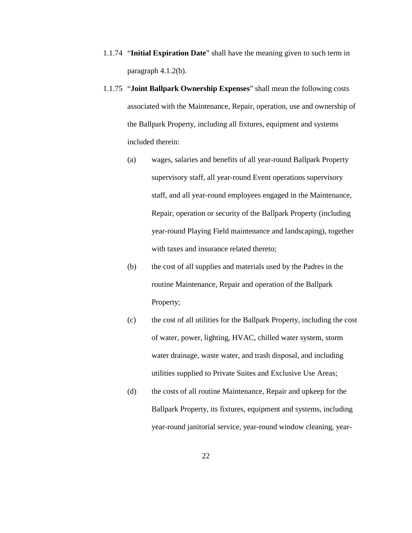- 1.1.74 "**Initial Expiration Date**" shall have the meaning given to such term in paragraph 4.1.2(b).
- 1.1.75 "**Joint Ballpark Ownership Expenses**" shall mean the following costs associated with the Maintenance, Repair, operation, use and ownership of the Ballpark Property, including all fixtures, equipment and systems included therein:
	- (a) wages, salaries and benefits of all year-round Ballpark Property supervisory staff, all year-round Event operations supervisory staff, and all year-round employees engaged in the Maintenance, Repair, operation or security of the Ballpark Property (including year-round Playing Field maintenance and landscaping), together with taxes and insurance related thereto;
	- (b) the cost of all supplies and materials used by the Padres in the routine Maintenance, Repair and operation of the Ballpark Property;
	- (c) the cost of all utilities for the Ballpark Property, including the cost of water, power, lighting, HVAC, chilled water system, storm water drainage, waste water, and trash disposal, and including utilities supplied to Private Suites and Exclusive Use Areas;
	- (d) the costs of all routine Maintenance, Repair and upkeep for the Ballpark Property, its fixtures, equipment and systems, including year-round janitorial service, year-round window cleaning, year-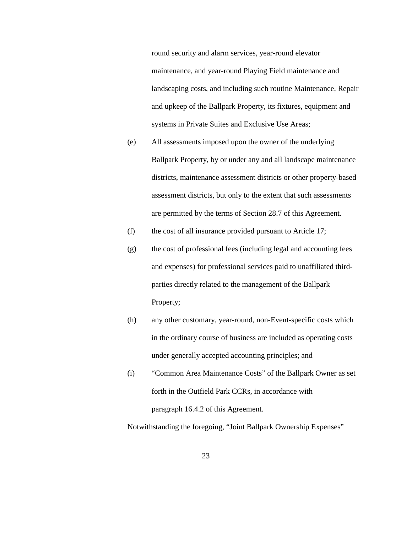round security and alarm services, year-round elevator maintenance, and year-round Playing Field maintenance and landscaping costs, and including such routine Maintenance, Repair and upkeep of the Ballpark Property, its fixtures, equipment and systems in Private Suites and Exclusive Use Areas;

- (e) All assessments imposed upon the owner of the underlying Ballpark Property, by or under any and all landscape maintenance districts, maintenance assessment districts or other property-based assessment districts, but only to the extent that such assessments are permitted by the terms of Section 28.7 of this Agreement.
- (f) the cost of all insurance provided pursuant to Article 17;
- (g) the cost of professional fees (including legal and accounting fees and expenses) for professional services paid to unaffiliated thirdparties directly related to the management of the Ballpark Property;
- (h) any other customary, year-round, non-Event-specific costs which in the ordinary course of business are included as operating costs under generally accepted accounting principles; and
- (i) "Common Area Maintenance Costs" of the Ballpark Owner as set forth in the Outfield Park CCRs, in accordance with paragraph 16.4.2 of this Agreement.

Notwithstanding the foregoing, "Joint Ballpark Ownership Expenses"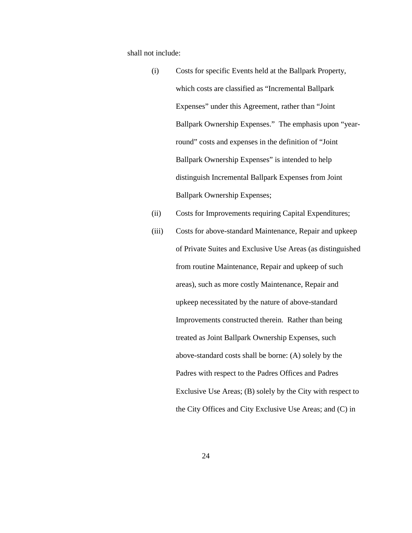shall not include:

- (i) Costs for specific Events held at the Ballpark Property, which costs are classified as "Incremental Ballpark Expenses" under this Agreement, rather than "Joint Ballpark Ownership Expenses." The emphasis upon "yearround" costs and expenses in the definition of "Joint Ballpark Ownership Expenses" is intended to help distinguish Incremental Ballpark Expenses from Joint Ballpark Ownership Expenses;
- (ii) Costs for Improvements requiring Capital Expenditures;
- (iii) Costs for above-standard Maintenance, Repair and upkeep of Private Suites and Exclusive Use Areas (as distinguished from routine Maintenance, Repair and upkeep of such areas), such as more costly Maintenance, Repair and upkeep necessitated by the nature of above-standard Improvements constructed therein. Rather than being treated as Joint Ballpark Ownership Expenses, such above-standard costs shall be borne: (A) solely by the Padres with respect to the Padres Offices and Padres Exclusive Use Areas; (B) solely by the City with respect to the City Offices and City Exclusive Use Areas; and (C) in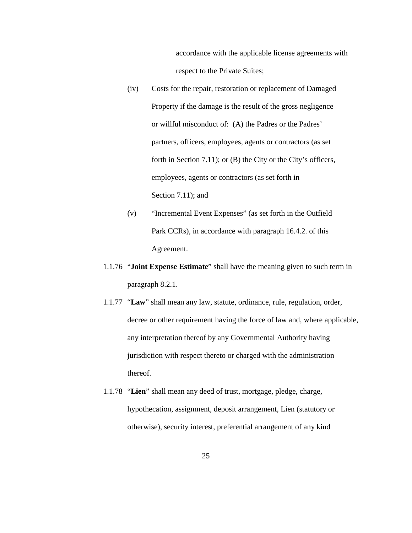accordance with the applicable license agreements with respect to the Private Suites;

- (iv) Costs for the repair, restoration or replacement of Damaged Property if the damage is the result of the gross negligence or willful misconduct of: (A) the Padres or the Padres' partners, officers, employees, agents or contractors (as set forth in Section 7.11); or (B) the City or the City's officers, employees, agents or contractors (as set forth in Section 7.11); and
- (v) "Incremental Event Expenses" (as set forth in the Outfield Park CCRs), in accordance with paragraph 16.4.2. of this Agreement.
- 1.1.76 "**Joint Expense Estimate**" shall have the meaning given to such term in paragraph 8.2.1.
- 1.1.77 "**Law**" shall mean any law, statute, ordinance, rule, regulation, order, decree or other requirement having the force of law and, where applicable, any interpretation thereof by any Governmental Authority having jurisdiction with respect thereto or charged with the administration thereof.
- 1.1.78 "**Lien**" shall mean any deed of trust, mortgage, pledge, charge, hypothecation, assignment, deposit arrangement, Lien (statutory or otherwise), security interest, preferential arrangement of any kind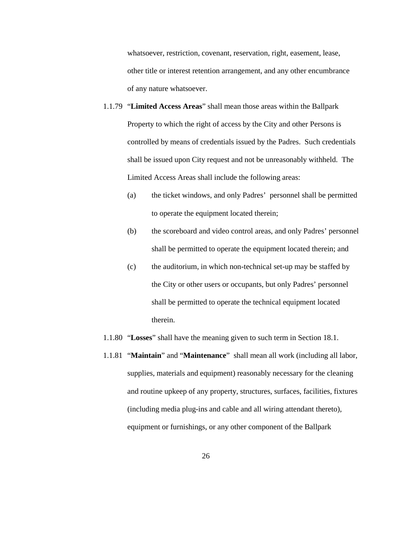whatsoever, restriction, covenant, reservation, right, easement, lease, other title or interest retention arrangement, and any other encumbrance of any nature whatsoever.

- 1.1.79 "**Limited Access Areas**" shall mean those areas within the Ballpark Property to which the right of access by the City and other Persons is controlled by means of credentials issued by the Padres. Such credentials shall be issued upon City request and not be unreasonably withheld. The Limited Access Areas shall include the following areas:
	- (a) the ticket windows, and only Padres' personnel shall be permitted to operate the equipment located therein;
	- (b) the scoreboard and video control areas, and only Padres' personnel shall be permitted to operate the equipment located therein; and
	- (c) the auditorium, in which non-technical set-up may be staffed by the City or other users or occupants, but only Padres' personnel shall be permitted to operate the technical equipment located therein.
- 1.1.80 "**Losses**" shall have the meaning given to such term in Section 18.1.
- 1.1.81 "**Maintain**" and "**Maintenance**" shall mean all work (including all labor, supplies, materials and equipment) reasonably necessary for the cleaning and routine upkeep of any property, structures, surfaces, facilities, fixtures (including media plug-ins and cable and all wiring attendant thereto), equipment or furnishings, or any other component of the Ballpark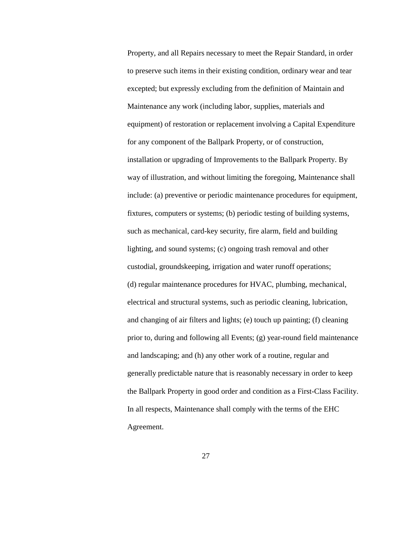Property, and all Repairs necessary to meet the Repair Standard, in order to preserve such items in their existing condition, ordinary wear and tear excepted; but expressly excluding from the definition of Maintain and Maintenance any work (including labor, supplies, materials and equipment) of restoration or replacement involving a Capital Expenditure for any component of the Ballpark Property, or of construction, installation or upgrading of Improvements to the Ballpark Property. By way of illustration, and without limiting the foregoing, Maintenance shall include: (a) preventive or periodic maintenance procedures for equipment, fixtures, computers or systems; (b) periodic testing of building systems, such as mechanical, card-key security, fire alarm, field and building lighting, and sound systems; (c) ongoing trash removal and other custodial, groundskeeping, irrigation and water runoff operations; (d) regular maintenance procedures for HVAC, plumbing, mechanical, electrical and structural systems, such as periodic cleaning, lubrication, and changing of air filters and lights; (e) touch up painting; (f) cleaning prior to, during and following all Events; (g) year-round field maintenance and landscaping; and (h) any other work of a routine, regular and generally predictable nature that is reasonably necessary in order to keep the Ballpark Property in good order and condition as a First-Class Facility. In all respects, Maintenance shall comply with the terms of the EHC Agreement.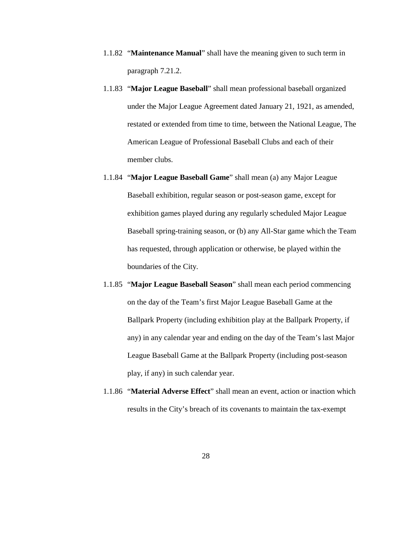- 1.1.82 "**Maintenance Manual**" shall have the meaning given to such term in paragraph 7.21.2.
- 1.1.83 "**Major League Baseball**" shall mean professional baseball organized under the Major League Agreement dated January 21, 1921, as amended, restated or extended from time to time, between the National League, The American League of Professional Baseball Clubs and each of their member clubs.
- 1.1.84 "**Major League Baseball Game**" shall mean (a) any Major League Baseball exhibition, regular season or post-season game, except for exhibition games played during any regularly scheduled Major League Baseball spring-training season, or (b) any All-Star game which the Team has requested, through application or otherwise, be played within the boundaries of the City.
- 1.1.85 "**Major League Baseball Season**" shall mean each period commencing on the day of the Team's first Major League Baseball Game at the Ballpark Property (including exhibition play at the Ballpark Property, if any) in any calendar year and ending on the day of the Team's last Major League Baseball Game at the Ballpark Property (including post-season play, if any) in such calendar year.
- 1.1.86 "**Material Adverse Effect**" shall mean an event, action or inaction which results in the City's breach of its covenants to maintain the tax-exempt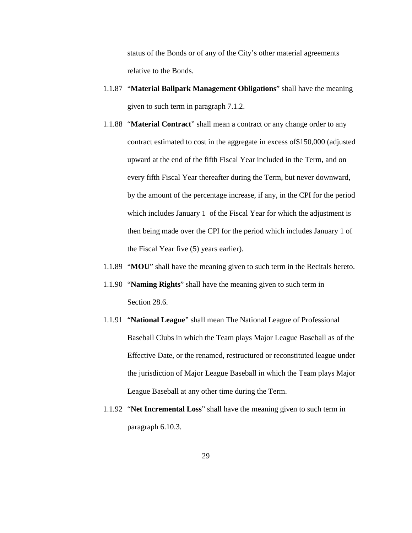status of the Bonds or of any of the City's other material agreements relative to the Bonds.

- 1.1.87 "**Material Ballpark Management Obligations**" shall have the meaning given to such term in paragraph 7.1.2.
- 1.1.88 "**Material Contract**" shall mean a contract or any change order to any contract estimated to cost in the aggregate in excess of\$150,000 (adjusted upward at the end of the fifth Fiscal Year included in the Term, and on every fifth Fiscal Year thereafter during the Term, but never downward, by the amount of the percentage increase, if any, in the CPI for the period which includes January 1 of the Fiscal Year for which the adjustment is then being made over the CPI for the period which includes January 1 of the Fiscal Year five (5) years earlier).
- 1.1.89 "**MOU**" shall have the meaning given to such term in the Recitals hereto.
- 1.1.90 "**Naming Rights**" shall have the meaning given to such term in Section 28.6.
- 1.1.91 "**National League**" shall mean The National League of Professional Baseball Clubs in which the Team plays Major League Baseball as of the Effective Date, or the renamed, restructured or reconstituted league under the jurisdiction of Major League Baseball in which the Team plays Major League Baseball at any other time during the Term.
- 1.1.92 "**Net Incremental Loss**" shall have the meaning given to such term in paragraph 6.10.3.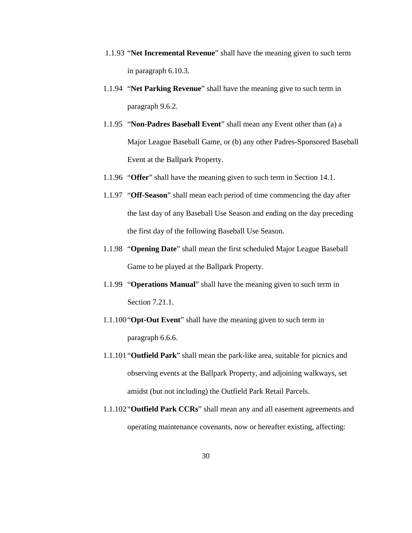- 1.1.93 "**Net Incremental Revenue**" shall have the meaning given to such term in paragraph 6.10.3.
- 1.1.94 "**Net Parking Revenue**" shall have the meaning give to such term in paragraph 9.6.2.
- 1.1.95 "**Non-Padres Baseball Event**" shall mean any Event other than (a) a Major League Baseball Game, or (b) any other Padres-Sponsored Baseball Event at the Ballpark Property.
- 1.1.96 "**Offer**" shall have the meaning given to such term in Section 14.1.
- 1.1.97 "**Off-Season**" shall mean each period of time commencing the day after the last day of any Baseball Use Season and ending on the day preceding the first day of the following Baseball Use Season.
- 1.1.98 "**Opening Date**" shall mean the first scheduled Major League Baseball Game to be played at the Ballpark Property.
- 1.1.99 "**Operations Manual**" shall have the meaning given to such term in Section 7.21.1.
- 1.1.100 "**Opt-Out Event**" shall have the meaning given to such term in paragraph 6.6.6.
- 1.1.101"**Outfield Park**" shall mean the park-like area, suitable for picnics and observing events at the Ballpark Property, and adjoining walkways, set amidst (but not including) the Outfield Park Retail Parcels.
- 1.1.102 "**Outfield Park CCRs**" shall mean any and all easement agreements and operating maintenance covenants, now or hereafter existing, affecting: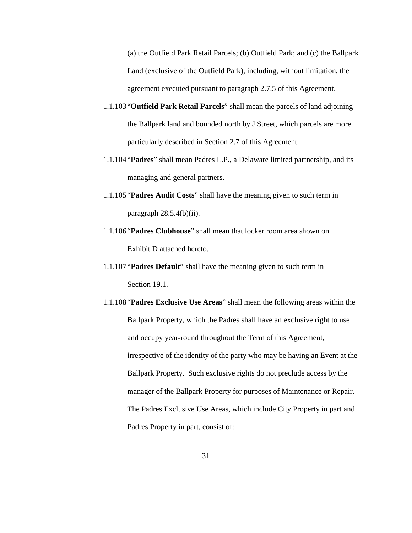(a) the Outfield Park Retail Parcels; (b) Outfield Park; and (c) the Ballpark Land (exclusive of the Outfield Park), including, without limitation, the agreement executed pursuant to paragraph 2.7.5 of this Agreement.

- 1.1.103"**Outfield Park Retail Parcels**" shall mean the parcels of land adjoining the Ballpark land and bounded north by J Street, which parcels are more particularly described in Section 2.7 of this Agreement.
- 1.1.104"**Padres**" shall mean Padres L.P., a Delaware limited partnership, and its managing and general partners.
- 1.1.105"**Padres Audit Costs**" shall have the meaning given to such term in paragraph 28.5.4(b)(ii).
- 1.1.106"**Padres Clubhouse**" shall mean that locker room area shown on Exhibit D attached hereto.
- 1.1.107 "**Padres Default**" shall have the meaning given to such term in Section 19.1.
- 1.1.108 "**Padres Exclusive Use Areas**" shall mean the following areas within the Ballpark Property, which the Padres shall have an exclusive right to use and occupy year-round throughout the Term of this Agreement, irrespective of the identity of the party who may be having an Event at the Ballpark Property. Such exclusive rights do not preclude access by the manager of the Ballpark Property for purposes of Maintenance or Repair. The Padres Exclusive Use Areas, which include City Property in part and Padres Property in part, consist of: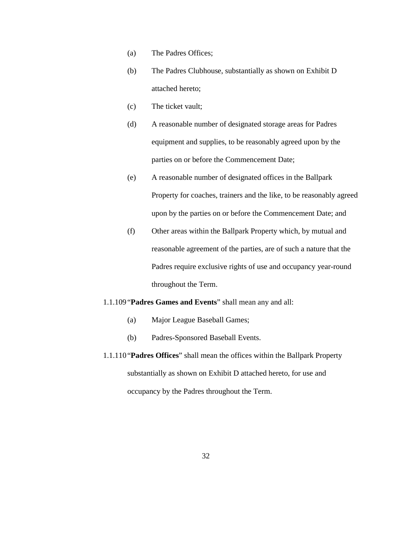- (a) The Padres Offices;
- (b) The Padres Clubhouse, substantially as shown on Exhibit D attached hereto;
- (c) The ticket vault;
- (d) A reasonable number of designated storage areas for Padres equipment and supplies, to be reasonably agreed upon by the parties on or before the Commencement Date;
- (e) A reasonable number of designated offices in the Ballpark Property for coaches, trainers and the like, to be reasonably agreed upon by the parties on or before the Commencement Date; and
- (f) Other areas within the Ballpark Property which, by mutual and reasonable agreement of the parties, are of such a nature that the Padres require exclusive rights of use and occupancy year-round throughout the Term.

### 1.1.109"**Padres Games and Events**" shall mean any and all:

- (a) Major League Baseball Games;
- (b) Padres-Sponsored Baseball Events.
- 1.1.110"**Padres Offices**" shall mean the offices within the Ballpark Property substantially as shown on Exhibit D attached hereto, for use and occupancy by the Padres throughout the Term.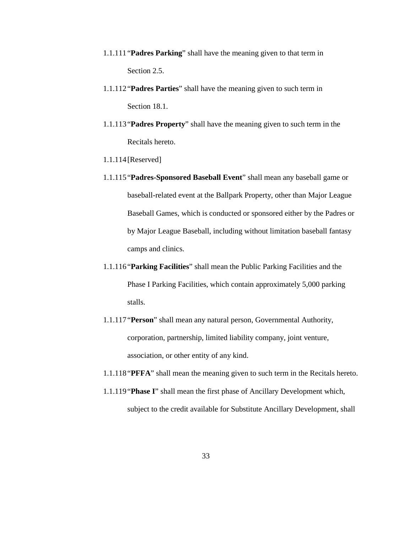- 1.1.111"**Padres Parking**" shall have the meaning given to that term in Section 2.5.
- 1.1.112"**Padres Parties**" shall have the meaning given to such term in Section 18.1.
- 1.1.113"**Padres Property**" shall have the meaning given to such term in the Recitals hereto.
- 1.1.114[Reserved]
- 1.1.115"**Padres-Sponsored Baseball Event**" shall mean any baseball game or baseball-related event at the Ballpark Property, other than Major League Baseball Games, which is conducted or sponsored either by the Padres or by Major League Baseball, including without limitation baseball fantasy camps and clinics.
- 1.1.116"**Parking Facilities**" shall mean the Public Parking Facilities and the Phase I Parking Facilities, which contain approximately 5,000 parking stalls.
- 1.1.117 "**Person**" shall mean any natural person, Governmental Authority, corporation, partnership, limited liability company, joint venture, association, or other entity of any kind.
- 1.1.118 "**PFFA**" shall mean the meaning given to such term in the Recitals hereto.
- 1.1.119 "**Phase I**" shall mean the first phase of Ancillary Development which, subject to the credit available for Substitute Ancillary Development, shall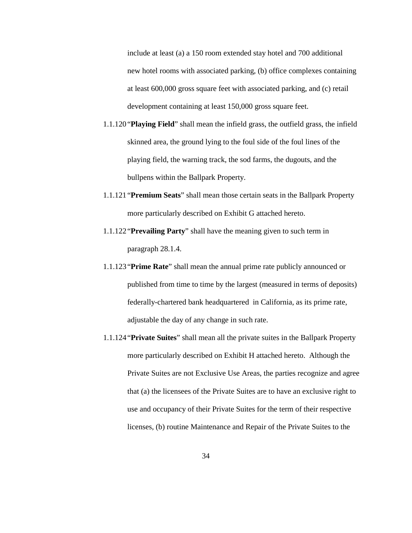include at least (a) a 150 room extended stay hotel and 700 additional new hotel rooms with associated parking, (b) office complexes containing at least 600,000 gross square feet with associated parking, and (c) retail development containing at least 150,000 gross square feet.

- 1.1.120"**Playing Field**" shall mean the infield grass, the outfield grass, the infield skinned area, the ground lying to the foul side of the foul lines of the playing field, the warning track, the sod farms, the dugouts, and the bullpens within the Ballpark Property.
- 1.1.121"**Premium Seats**" shall mean those certain seats in the Ballpark Property more particularly described on Exhibit G attached hereto.
- 1.1.122 "**Prevailing Party**" shall have the meaning given to such term in paragraph 28.1.4.
- 1.1.123"**Prime Rate**" shall mean the annual prime rate publicly announced or published from time to time by the largest (measured in terms of deposits) federally-chartered bank headquartered in California, as its prime rate, adjustable the day of any change in such rate.
- 1.1.124 "**Private Suites**" shall mean all the private suites in the Ballpark Property more particularly described on Exhibit H attached hereto. Although the Private Suites are not Exclusive Use Areas, the parties recognize and agree that (a) the licensees of the Private Suites are to have an exclusive right to use and occupancy of their Private Suites for the term of their respective licenses, (b) routine Maintenance and Repair of the Private Suites to the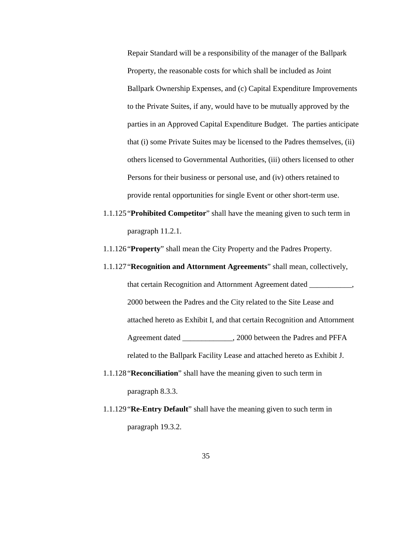Repair Standard will be a responsibility of the manager of the Ballpark Property, the reasonable costs for which shall be included as Joint Ballpark Ownership Expenses, and (c) Capital Expenditure Improvements to the Private Suites, if any, would have to be mutually approved by the parties in an Approved Capital Expenditure Budget. The parties anticipate that (i) some Private Suites may be licensed to the Padres themselves, (ii) others licensed to Governmental Authorities, (iii) others licensed to other Persons for their business or personal use, and (iv) others retained to provide rental opportunities for single Event or other short-term use.

- 1.1.125 "**Prohibited Competitor**" shall have the meaning given to such term in paragraph 11.2.1.
- 1.1.126 "**Property**" shall mean the City Property and the Padres Property.
- 1.1.127"**Recognition and Attornment Agreements**" shall mean, collectively, that certain Recognition and Attornment Agreement dated \_\_\_\_\_\_\_\_\_\_\_, 2000 between the Padres and the City related to the Site Lease and attached hereto as Exhibit I, and that certain Recognition and Attornment Agreement dated \_\_\_\_\_\_\_\_\_\_\_\_\_, 2000 between the Padres and PFFA related to the Ballpark Facility Lease and attached hereto as Exhibit J.
- 1.1.128 "**Reconciliation**" shall have the meaning given to such term in paragraph 8.3.3.
- 1.1.129 "**Re-Entry Default**" shall have the meaning given to such term in paragraph 19.3.2.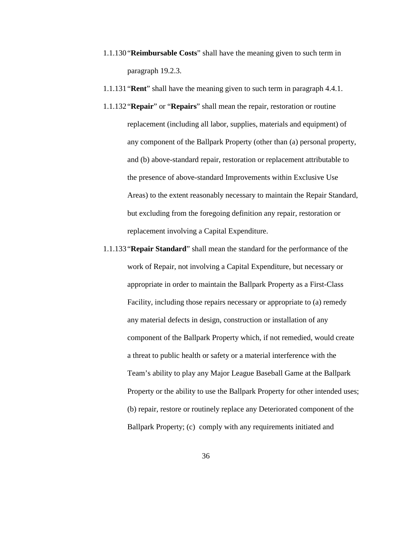- 1.1.130"**Reimbursable Costs**" shall have the meaning given to such term in paragraph 19.2.3.
- 1.1.131"**Rent**" shall have the meaning given to such term in paragraph 4.4.1.
- 1.1.132 "**Repair**" or "**Repairs**" shall mean the repair, restoration or routine replacement (including all labor, supplies, materials and equipment) of any component of the Ballpark Property (other than (a) personal property, and (b) above-standard repair, restoration or replacement attributable to the presence of above-standard Improvements within Exclusive Use Areas) to the extent reasonably necessary to maintain the Repair Standard, but excluding from the foregoing definition any repair, restoration or replacement involving a Capital Expenditure.
- 1.1.133"**Repair Standard**" shall mean the standard for the performance of the work of Repair, not involving a Capital Expenditure, but necessary or appropriate in order to maintain the Ballpark Property as a First-Class Facility, including those repairs necessary or appropriate to (a) remedy any material defects in design, construction or installation of any component of the Ballpark Property which, if not remedied, would create a threat to public health or safety or a material interference with the Team's ability to play any Major League Baseball Game at the Ballpark Property or the ability to use the Ballpark Property for other intended uses; (b) repair, restore or routinely replace any Deteriorated component of the Ballpark Property; (c) comply with any requirements initiated and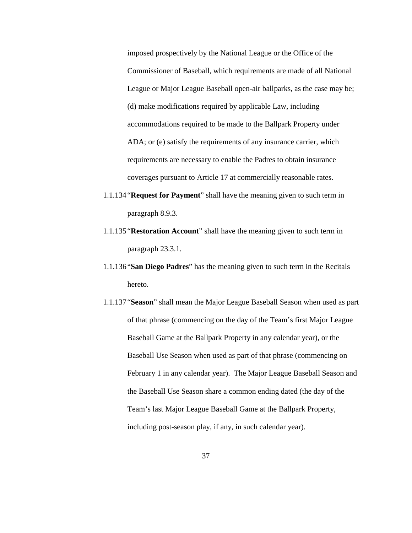imposed prospectively by the National League or the Office of the Commissioner of Baseball, which requirements are made of all National League or Major League Baseball open-air ballparks, as the case may be; (d) make modifications required by applicable Law, including accommodations required to be made to the Ballpark Property under ADA; or (e) satisfy the requirements of any insurance carrier, which requirements are necessary to enable the Padres to obtain insurance coverages pursuant to Article 17 at commercially reasonable rates.

- 1.1.134"**Request for Payment**" shall have the meaning given to such term in paragraph 8.9.3.
- 1.1.135"**Restoration Account**" shall have the meaning given to such term in paragraph 23.3.1.
- 1.1.136"**San Diego Padres**" has the meaning given to such term in the Recitals hereto.
- 1.1.137 "**Season**" shall mean the Major League Baseball Season when used as part of that phrase (commencing on the day of the Team's first Major League Baseball Game at the Ballpark Property in any calendar year), or the Baseball Use Season when used as part of that phrase (commencing on February 1 in any calendar year). The Major League Baseball Season and the Baseball Use Season share a common ending dated (the day of the Team's last Major League Baseball Game at the Ballpark Property, including post-season play, if any, in such calendar year).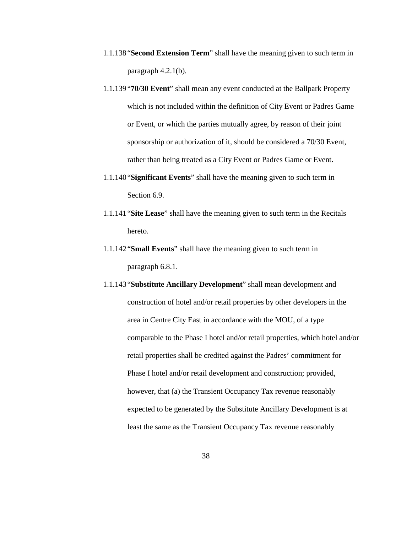- 1.1.138"**Second Extension Term**" shall have the meaning given to such term in paragraph 4.2.1(b).
- 1.1.139"**70/30 Event**" shall mean any event conducted at the Ballpark Property which is not included within the definition of City Event or Padres Game or Event, or which the parties mutually agree, by reason of their joint sponsorship or authorization of it, should be considered a 70/30 Event, rather than being treated as a City Event or Padres Game or Event.
- 1.1.140"**Significant Events**" shall have the meaning given to such term in Section 6.9.
- 1.1.141"**Site Lease**" shall have the meaning given to such term in the Recitals hereto.
- 1.1.142"**Small Events**" shall have the meaning given to such term in paragraph 6.8.1.
- 1.1.143 "**Substitute Ancillary Development**" shall mean development and construction of hotel and/or retail properties by other developers in the area in Centre City East in accordance with the MOU, of a type comparable to the Phase I hotel and/or retail properties, which hotel and/or retail properties shall be credited against the Padres' commitment for Phase I hotel and/or retail development and construction; provided, however, that (a) the Transient Occupancy Tax revenue reasonably expected to be generated by the Substitute Ancillary Development is at least the same as the Transient Occupancy Tax revenue reasonably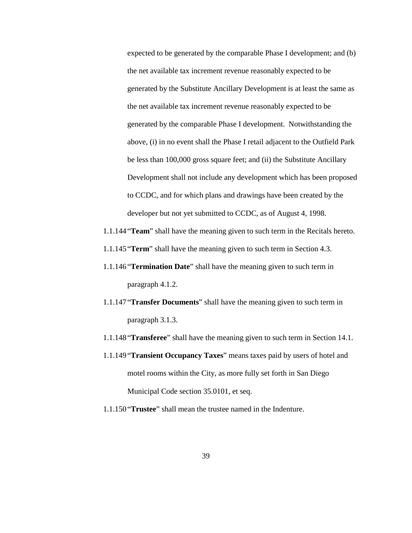expected to be generated by the comparable Phase I development; and (b) the net available tax increment revenue reasonably expected to be generated by the Substitute Ancillary Development is at least the same as the net available tax increment revenue reasonably expected to be generated by the comparable Phase I development. Notwithstanding the above, (i) in no event shall the Phase I retail adjacent to the Outfield Park be less than 100,000 gross square feet; and (ii) the Substitute Ancillary Development shall not include any development which has been proposed to CCDC, and for which plans and drawings have been created by the developer but not yet submitted to CCDC, as of August 4, 1998.

- 1.1.144 "**Team**" shall have the meaning given to such term in the Recitals hereto.
- 1.1.145"**Term**" shall have the meaning given to such term in Section 4.3.
- 1.1.146"**Termination Date**" shall have the meaning given to such term in paragraph 4.1.2.
- 1.1.147 "**Transfer Documents**" shall have the meaning given to such term in paragraph 3.1.3.
- 1.1.148"**Transferee**" shall have the meaning given to such term in Section 14.1.
- 1.1.149"**Transient Occupancy Taxes**" means taxes paid by users of hotel and motel rooms within the City, as more fully set forth in San Diego Municipal Code section 35.0101, et seq.
- 1.1.150"**Trustee**" shall mean the trustee named in the Indenture.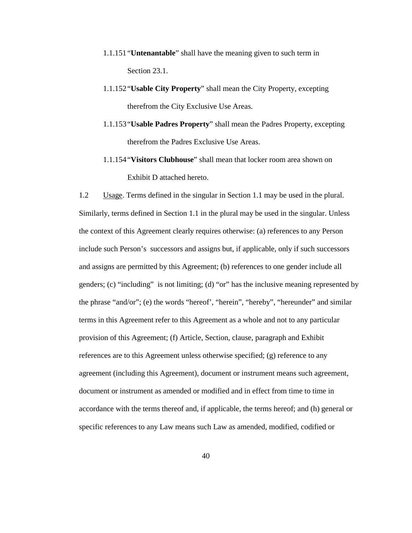- 1.1.151"**Untenantable**" shall have the meaning given to such term in Section 23.1.
- 1.1.152"**Usable City Property**" shall mean the City Property, excepting therefrom the City Exclusive Use Areas.
- 1.1.153"**Usable Padres Property**" shall mean the Padres Property, excepting therefrom the Padres Exclusive Use Areas.
- 1.1.154"**Visitors Clubhouse**" shall mean that locker room area shown on Exhibit D attached hereto.

1.2 Usage. Terms defined in the singular in Section 1.1 may be used in the plural. Similarly, terms defined in Section 1.1 in the plural may be used in the singular. Unless the context of this Agreement clearly requires otherwise: (a) references to any Person include such Person's successors and assigns but, if applicable, only if such successors and assigns are permitted by this Agreement; (b) references to one gender include all genders; (c) "including" is not limiting; (d) "or" has the inclusive meaning represented by the phrase "and/or"; (e) the words "hereof', "herein", "hereby", "hereunder" and similar terms in this Agreement refer to this Agreement as a whole and not to any particular provision of this Agreement; (f) Article, Section, clause, paragraph and Exhibit references are to this Agreement unless otherwise specified; (g) reference to any agreement (including this Agreement), document or instrument means such agreement, document or instrument as amended or modified and in effect from time to time in accordance with the terms thereof and, if applicable, the terms hereof; and (h) general or specific references to any Law means such Law as amended, modified, codified or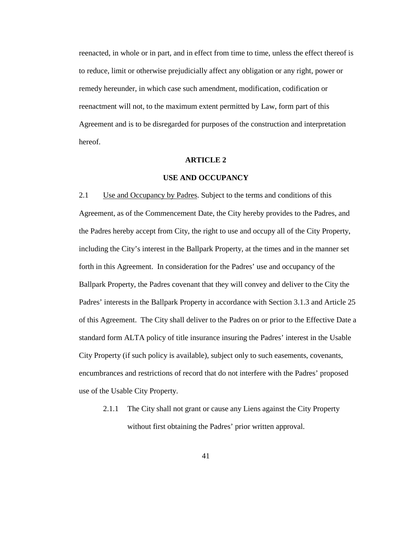reenacted, in whole or in part, and in effect from time to time, unless the effect thereof is to reduce, limit or otherwise prejudicially affect any obligation or any right, power or remedy hereunder, in which case such amendment, modification, codification or reenactment will not, to the maximum extent permitted by Law, form part of this Agreement and is to be disregarded for purposes of the construction and interpretation hereof.

#### **ARTICLE 2**

### **USE AND OCCUPANCY**

2.1 Use and Occupancy by Padres. Subject to the terms and conditions of this Agreement, as of the Commencement Date, the City hereby provides to the Padres, and the Padres hereby accept from City, the right to use and occupy all of the City Property, including the City's interest in the Ballpark Property, at the times and in the manner set forth in this Agreement. In consideration for the Padres' use and occupancy of the Ballpark Property, the Padres covenant that they will convey and deliver to the City the Padres' interests in the Ballpark Property in accordance with Section 3.1.3 and Article 25 of this Agreement. The City shall deliver to the Padres on or prior to the Effective Date a standard form ALTA policy of title insurance insuring the Padres' interest in the Usable City Property (if such policy is available), subject only to such easements, covenants, encumbrances and restrictions of record that do not interfere with the Padres' proposed use of the Usable City Property.

2.1.1 The City shall not grant or cause any Liens against the City Property without first obtaining the Padres' prior written approval.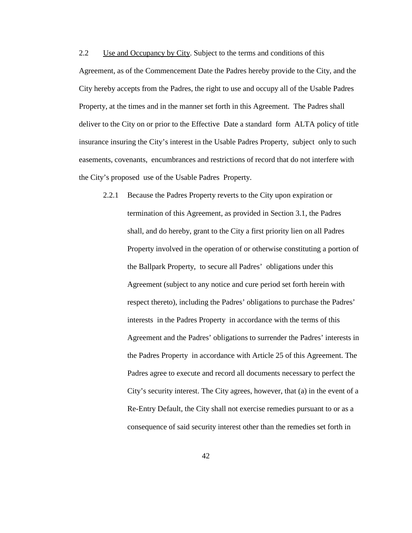2.2 Use and Occupancy by City. Subject to the terms and conditions of this Agreement, as of the Commencement Date the Padres hereby provide to the City, and the City hereby accepts from the Padres, the right to use and occupy all of the Usable Padres Property, at the times and in the manner set forth in this Agreement. The Padres shall deliver to the City on or prior to the Effective Date a standard form ALTA policy of title insurance insuring the City's interest in the Usable Padres Property, subject only to such easements, covenants, encumbrances and restrictions of record that do not interfere with the City's proposed use of the Usable Padres Property.

2.2.1 Because the Padres Property reverts to the City upon expiration or termination of this Agreement, as provided in Section 3.1, the Padres shall, and do hereby, grant to the City a first priority lien on all Padres Property involved in the operation of or otherwise constituting a portion of the Ballpark Property, to secure all Padres' obligations under this Agreement (subject to any notice and cure period set forth herein with respect thereto), including the Padres' obligations to purchase the Padres' interests in the Padres Property in accordance with the terms of this Agreement and the Padres' obligations to surrender the Padres' interests in the Padres Property in accordance with Article 25 of this Agreement. The Padres agree to execute and record all documents necessary to perfect the City's security interest. The City agrees, however, that (a) in the event of a Re-Entry Default, the City shall not exercise remedies pursuant to or as a consequence of said security interest other than the remedies set forth in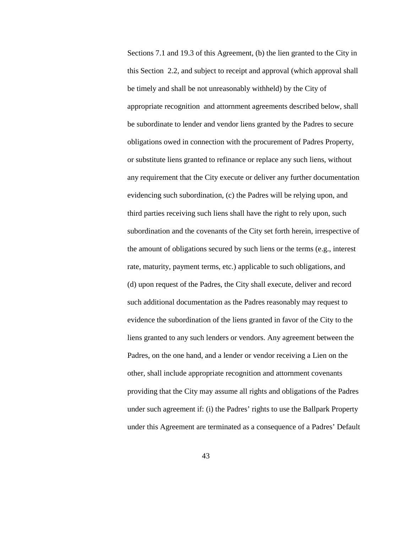Sections 7.1 and 19.3 of this Agreement, (b) the lien granted to the City in this Section 2.2, and subject to receipt and approval (which approval shall be timely and shall be not unreasonably withheld) by the City of appropriate recognition and attornment agreements described below, shall be subordinate to lender and vendor liens granted by the Padres to secure obligations owed in connection with the procurement of Padres Property, or substitute liens granted to refinance or replace any such liens, without any requirement that the City execute or deliver any further documentation evidencing such subordination, (c) the Padres will be relying upon, and third parties receiving such liens shall have the right to rely upon, such subordination and the covenants of the City set forth herein, irrespective of the amount of obligations secured by such liens or the terms (e.g., interest rate, maturity, payment terms, etc.) applicable to such obligations, and (d) upon request of the Padres, the City shall execute, deliver and record such additional documentation as the Padres reasonably may request to evidence the subordination of the liens granted in favor of the City to the liens granted to any such lenders or vendors. Any agreement between the Padres, on the one hand, and a lender or vendor receiving a Lien on the other, shall include appropriate recognition and attornment covenants providing that the City may assume all rights and obligations of the Padres under such agreement if: (i) the Padres' rights to use the Ballpark Property under this Agreement are terminated as a consequence of a Padres' Default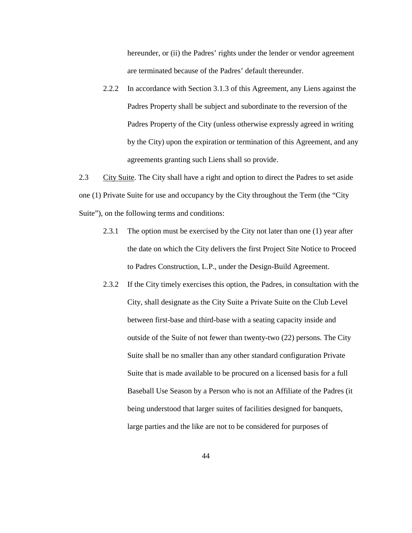hereunder, or (ii) the Padres' rights under the lender or vendor agreement are terminated because of the Padres' default thereunder.

2.2.2 In accordance with Section 3.1.3 of this Agreement, any Liens against the Padres Property shall be subject and subordinate to the reversion of the Padres Property of the City (unless otherwise expressly agreed in writing by the City) upon the expiration or termination of this Agreement, and any agreements granting such Liens shall so provide.

2.3 City Suite. The City shall have a right and option to direct the Padres to set aside one (1) Private Suite for use and occupancy by the City throughout the Term (the "City Suite"), on the following terms and conditions:

- 2.3.1 The option must be exercised by the City not later than one (1) year after the date on which the City delivers the first Project Site Notice to Proceed to Padres Construction, L.P., under the Design-Build Agreement.
- 2.3.2 If the City timely exercises this option, the Padres, in consultation with the City, shall designate as the City Suite a Private Suite on the Club Level between first-base and third-base with a seating capacity inside and outside of the Suite of not fewer than twenty-two (22) persons. The City Suite shall be no smaller than any other standard configuration Private Suite that is made available to be procured on a licensed basis for a full Baseball Use Season by a Person who is not an Affiliate of the Padres (it being understood that larger suites of facilities designed for banquets, large parties and the like are not to be considered for purposes of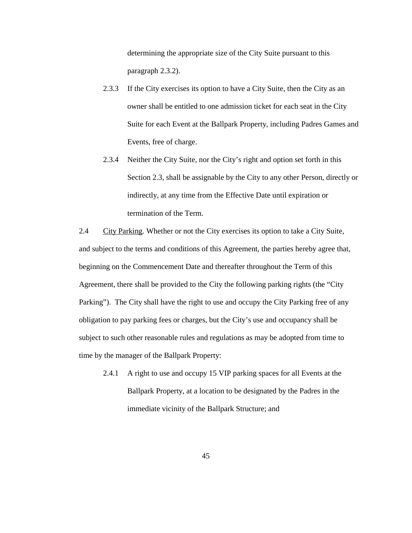determining the appropriate size of the City Suite pursuant to this paragraph 2.3.2).

- 2.3.3 If the City exercises its option to have a City Suite, then the City as an owner shall be entitled to one admission ticket for each seat in the City Suite for each Event at the Ballpark Property, including Padres Games and Events, free of charge.
- 2.3.4 Neither the City Suite, nor the City's right and option set forth in this Section 2.3, shall be assignable by the City to any other Person, directly or indirectly, at any time from the Effective Date until expiration or termination of the Term.

2.4 City Parking. Whether or not the City exercises its option to take a City Suite, and subject to the terms and conditions of this Agreement, the parties hereby agree that, beginning on the Commencement Date and thereafter throughout the Term of this Agreement, there shall be provided to the City the following parking rights (the "City Parking"). The City shall have the right to use and occupy the City Parking free of any obligation to pay parking fees or charges, but the City's use and occupancy shall be subject to such other reasonable rules and regulations as may be adopted from time to time by the manager of the Ballpark Property:

2.4.1 A right to use and occupy 15 VIP parking spaces for all Events at the Ballpark Property, at a location to be designated by the Padres in the immediate vicinity of the Ballpark Structure; and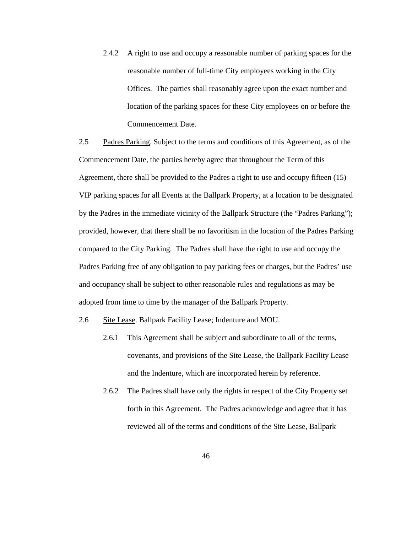2.4.2 A right to use and occupy a reasonable number of parking spaces for the reasonable number of full-time City employees working in the City Offices. The parties shall reasonably agree upon the exact number and location of the parking spaces for these City employees on or before the Commencement Date.

2.5 Padres Parking. Subject to the terms and conditions of this Agreement, as of the Commencement Date, the parties hereby agree that throughout the Term of this Agreement, there shall be provided to the Padres a right to use and occupy fifteen (15) VIP parking spaces for all Events at the Ballpark Property, at a location to be designated by the Padres in the immediate vicinity of the Ballpark Structure (the "Padres Parking"); provided, however, that there shall be no favoritism in the location of the Padres Parking compared to the City Parking. The Padres shall have the right to use and occupy the Padres Parking free of any obligation to pay parking fees or charges, but the Padres' use and occupancy shall be subject to other reasonable rules and regulations as may be adopted from time to time by the manager of the Ballpark Property.

2.6 Site Lease. Ballpark Facility Lease; Indenture and MOU.

- 2.6.1 This Agreement shall be subject and subordinate to all of the terms, covenants, and provisions of the Site Lease, the Ballpark Facility Lease and the Indenture, which are incorporated herein by reference.
- 2.6.2 The Padres shall have only the rights in respect of the City Property set forth in this Agreement. The Padres acknowledge and agree that it has reviewed all of the terms and conditions of the Site Lease, Ballpark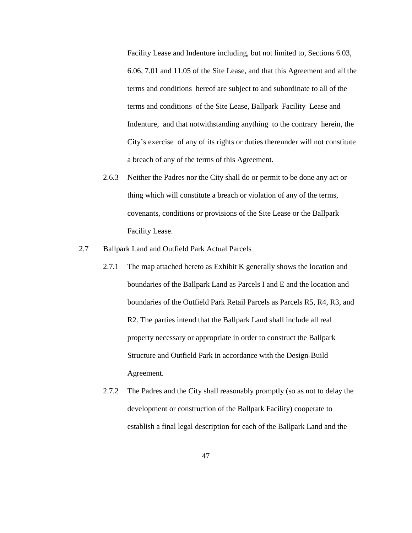Facility Lease and Indenture including, but not limited to, Sections 6.03, 6.06, 7.01 and 11.05 of the Site Lease, and that this Agreement and all the terms and conditions hereof are subject to and subordinate to all of the terms and conditions of the Site Lease, Ballpark Facility Lease and Indenture, and that notwithstanding anything to the contrary herein, the City's exercise of any of its rights or duties thereunder will not constitute a breach of any of the terms of this Agreement.

2.6.3 Neither the Padres nor the City shall do or permit to be done any act or thing which will constitute a breach or violation of any of the terms, covenants, conditions or provisions of the Site Lease or the Ballpark Facility Lease.

# 2.7 Ballpark Land and Outfield Park Actual Parcels

- 2.7.1 The map attached hereto as Exhibit K generally shows the location and boundaries of the Ballpark Land as Parcels I and E and the location and boundaries of the Outfield Park Retail Parcels as Parcels R5, R4, R3, and R2. The parties intend that the Ballpark Land shall include all real property necessary or appropriate in order to construct the Ballpark Structure and Outfield Park in accordance with the Design-Build Agreement.
- 2.7.2 The Padres and the City shall reasonably promptly (so as not to delay the development or construction of the Ballpark Facility) cooperate to establish a final legal description for each of the Ballpark Land and the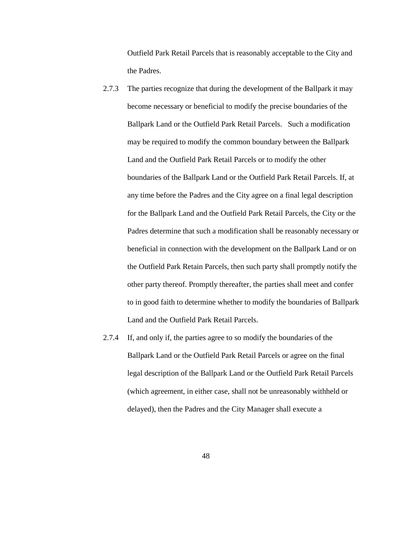Outfield Park Retail Parcels that is reasonably acceptable to the City and the Padres.

- 2.7.3 The parties recognize that during the development of the Ballpark it may become necessary or beneficial to modify the precise boundaries of the Ballpark Land or the Outfield Park Retail Parcels. Such a modification may be required to modify the common boundary between the Ballpark Land and the Outfield Park Retail Parcels or to modify the other boundaries of the Ballpark Land or the Outfield Park Retail Parcels. If, at any time before the Padres and the City agree on a final legal description for the Ballpark Land and the Outfield Park Retail Parcels, the City or the Padres determine that such a modification shall be reasonably necessary or beneficial in connection with the development on the Ballpark Land or on the Outfield Park Retain Parcels, then such party shall promptly notify the other party thereof. Promptly thereafter, the parties shall meet and confer to in good faith to determine whether to modify the boundaries of Ballpark Land and the Outfield Park Retail Parcels.
- 2.7.4 If, and only if, the parties agree to so modify the boundaries of the Ballpark Land or the Outfield Park Retail Parcels or agree on the final legal description of the Ballpark Land or the Outfield Park Retail Parcels (which agreement, in either case, shall not be unreasonably withheld or delayed), then the Padres and the City Manager shall execute a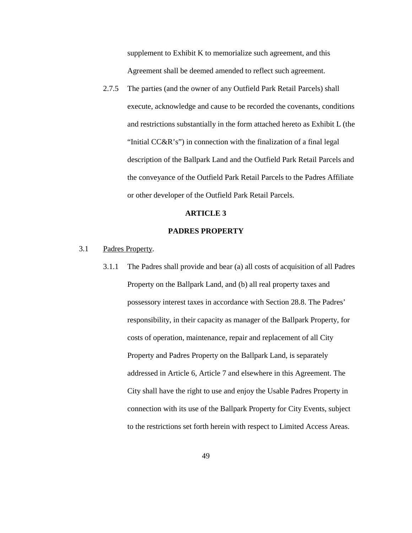supplement to Exhibit K to memorialize such agreement, and this Agreement shall be deemed amended to reflect such agreement.

2.7.5 The parties (and the owner of any Outfield Park Retail Parcels) shall execute, acknowledge and cause to be recorded the covenants, conditions and restrictions substantially in the form attached hereto as Exhibit L (the "Initial CC&R's") in connection with the finalization of a final legal description of the Ballpark Land and the Outfield Park Retail Parcels and the conveyance of the Outfield Park Retail Parcels to the Padres Affiliate or other developer of the Outfield Park Retail Parcels.

#### **ARTICLE 3**

### **PADRES PROPERTY**

- 3.1 Padres Property.
	- 3.1.1 The Padres shall provide and bear (a) all costs of acquisition of all Padres Property on the Ballpark Land, and (b) all real property taxes and possessory interest taxes in accordance with Section 28.8. The Padres' responsibility, in their capacity as manager of the Ballpark Property, for costs of operation, maintenance, repair and replacement of all City Property and Padres Property on the Ballpark Land, is separately addressed in Article 6, Article 7 and elsewhere in this Agreement. The City shall have the right to use and enjoy the Usable Padres Property in connection with its use of the Ballpark Property for City Events, subject to the restrictions set forth herein with respect to Limited Access Areas.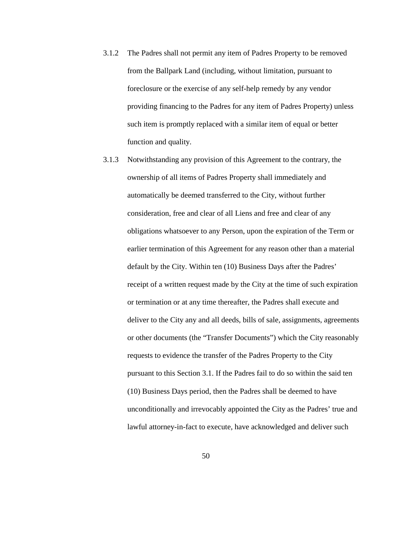- 3.1.2 The Padres shall not permit any item of Padres Property to be removed from the Ballpark Land (including, without limitation, pursuant to foreclosure or the exercise of any self-help remedy by any vendor providing financing to the Padres for any item of Padres Property) unless such item is promptly replaced with a similar item of equal or better function and quality.
- 3.1.3 Notwithstanding any provision of this Agreement to the contrary, the ownership of all items of Padres Property shall immediately and automatically be deemed transferred to the City, without further consideration, free and clear of all Liens and free and clear of any obligations whatsoever to any Person, upon the expiration of the Term or earlier termination of this Agreement for any reason other than a material default by the City. Within ten (10) Business Days after the Padres' receipt of a written request made by the City at the time of such expiration or termination or at any time thereafter, the Padres shall execute and deliver to the City any and all deeds, bills of sale, assignments, agreements or other documents (the "Transfer Documents") which the City reasonably requests to evidence the transfer of the Padres Property to the City pursuant to this Section 3.1. If the Padres fail to do so within the said ten (10) Business Days period, then the Padres shall be deemed to have unconditionally and irrevocably appointed the City as the Padres' true and lawful attorney-in-fact to execute, have acknowledged and deliver such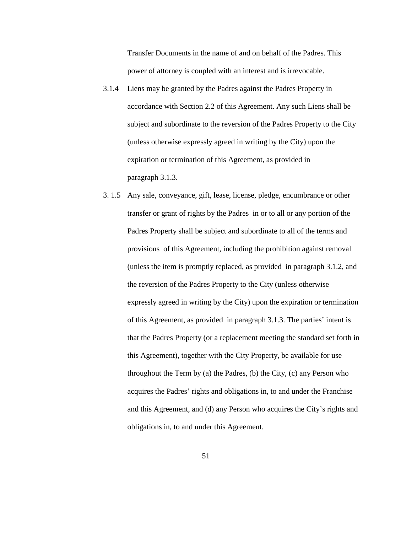Transfer Documents in the name of and on behalf of the Padres. This power of attorney is coupled with an interest and is irrevocable.

- 3.1.4 Liens may be granted by the Padres against the Padres Property in accordance with Section 2.2 of this Agreement. Any such Liens shall be subject and subordinate to the reversion of the Padres Property to the City (unless otherwise expressly agreed in writing by the City) upon the expiration or termination of this Agreement, as provided in paragraph 3.1.3.
- 3. 1.5 Any sale, conveyance, gift, lease, license, pledge, encumbrance or other transfer or grant of rights by the Padres in or to all or any portion of the Padres Property shall be subject and subordinate to all of the terms and provisions of this Agreement, including the prohibition against removal (unless the item is promptly replaced, as provided in paragraph 3.1.2, and the reversion of the Padres Property to the City (unless otherwise expressly agreed in writing by the City) upon the expiration or termination of this Agreement, as provided in paragraph 3.1.3. The parties' intent is that the Padres Property (or a replacement meeting the standard set forth in this Agreement), together with the City Property, be available for use throughout the Term by (a) the Padres, (b) the City, (c) any Person who acquires the Padres' rights and obligations in, to and under the Franchise and this Agreement, and (d) any Person who acquires the City's rights and obligations in, to and under this Agreement.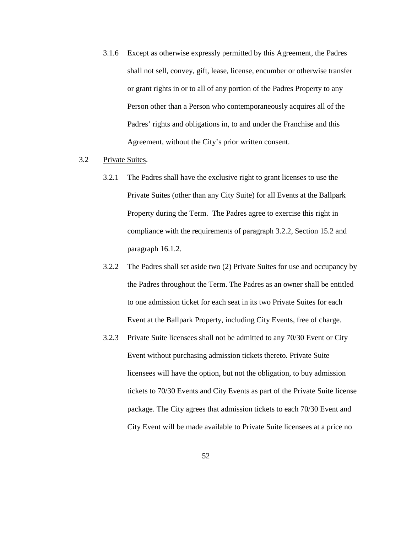3.1.6 Except as otherwise expressly permitted by this Agreement, the Padres shall not sell, convey, gift, lease, license, encumber or otherwise transfer or grant rights in or to all of any portion of the Padres Property to any Person other than a Person who contemporaneously acquires all of the Padres' rights and obligations in, to and under the Franchise and this Agreement, without the City's prior written consent.

#### 3.2 Private Suites.

- 3.2.1 The Padres shall have the exclusive right to grant licenses to use the Private Suites (other than any City Suite) for all Events at the Ballpark Property during the Term. The Padres agree to exercise this right in compliance with the requirements of paragraph 3.2.2, Section 15.2 and paragraph 16.1.2.
- 3.2.2 The Padres shall set aside two (2) Private Suites for use and occupancy by the Padres throughout the Term. The Padres as an owner shall be entitled to one admission ticket for each seat in its two Private Suites for each Event at the Ballpark Property, including City Events, free of charge.
- 3.2.3 Private Suite licensees shall not be admitted to any 70/30 Event or City Event without purchasing admission tickets thereto. Private Suite licensees will have the option, but not the obligation, to buy admission tickets to 70/30 Events and City Events as part of the Private Suite license package. The City agrees that admission tickets to each 70/30 Event and City Event will be made available to Private Suite licensees at a price no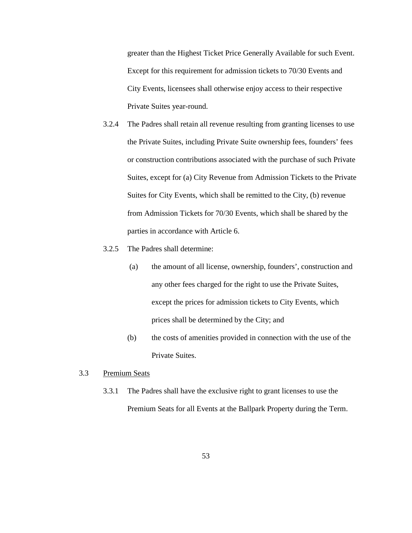greater than the Highest Ticket Price Generally Available for such Event. Except for this requirement for admission tickets to 70/30 Events and City Events, licensees shall otherwise enjoy access to their respective Private Suites year-round.

- 3.2.4 The Padres shall retain all revenue resulting from granting licenses to use the Private Suites, including Private Suite ownership fees, founders' fees or construction contributions associated with the purchase of such Private Suites, except for (a) City Revenue from Admission Tickets to the Private Suites for City Events, which shall be remitted to the City, (b) revenue from Admission Tickets for 70/30 Events, which shall be shared by the parties in accordance with Article 6.
- 3.2.5 The Padres shall determine:
	- (a) the amount of all license, ownership, founders', construction and any other fees charged for the right to use the Private Suites, except the prices for admission tickets to City Events, which prices shall be determined by the City; and
	- (b) the costs of amenities provided in connection with the use of the Private Suites.

## 3.3 Premium Seats

3.3.1 The Padres shall have the exclusive right to grant licenses to use the Premium Seats for all Events at the Ballpark Property during the Term.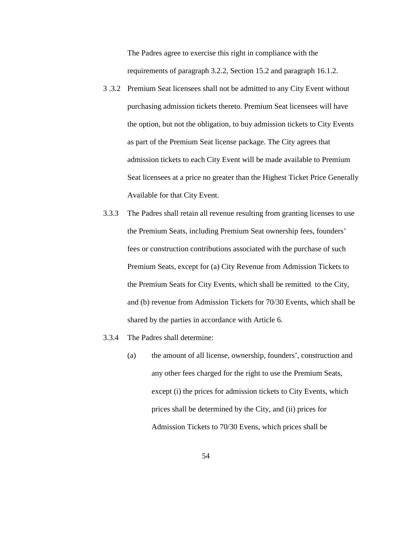The Padres agree to exercise this right in compliance with the requirements of paragraph 3.2.2, Section 15.2 and paragraph 16.1.2.

- 3 .3.2 Premium Seat licensees shall not be admitted to any City Event without purchasing admission tickets thereto. Premium Seat licensees will have the option, but not the obligation, to buy admission tickets to City Events as part of the Premium Seat license package. The City agrees that admission tickets to each City Event will be made available to Premium Seat licensees at a price no greater than the Highest Ticket Price Generally Available for that City Event.
- 3.3.3 The Padres shall retain all revenue resulting from granting licenses to use the Premium Seats, including Premium Seat ownership fees, founders' fees or construction contributions associated with the purchase of such Premium Seats, except for (a) City Revenue from Admission Tickets to the Premium Seats for City Events, which shall be remitted to the City, and (b) revenue from Admission Tickets for 70/30 Events, which shall be shared by the parties in accordance with Article 6.
- 3.3.4 The Padres shall determine:
	- (a) the amount of all license, ownership, founders', construction and any other fees charged for the right to use the Premium Seats, except (i) the prices for admission tickets to City Events, which prices shall be determined by the City, and (ii) prices for Admission Tickets to 70/30 Evens, which prices shall be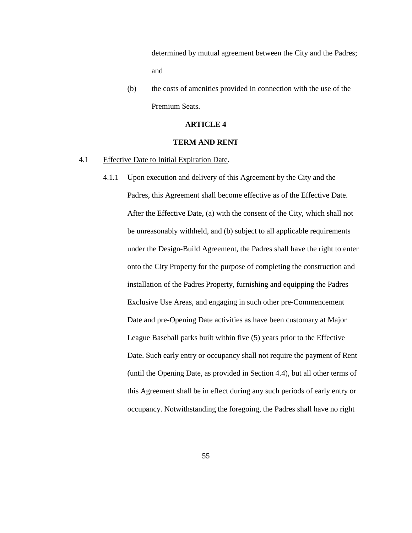determined by mutual agreement between the City and the Padres; and

(b) the costs of amenities provided in connection with the use of the Premium Seats.

## **ARTICLE 4**

### **TERM AND RENT**

### 4.1 Effective Date to Initial Expiration Date.

4.1.1 Upon execution and delivery of this Agreement by the City and the Padres, this Agreement shall become effective as of the Effective Date. After the Effective Date, (a) with the consent of the City, which shall not be unreasonably withheld, and (b) subject to all applicable requirements under the Design-Build Agreement, the Padres shall have the right to enter onto the City Property for the purpose of completing the construction and installation of the Padres Property, furnishing and equipping the Padres Exclusive Use Areas, and engaging in such other pre-Commencement Date and pre-Opening Date activities as have been customary at Major League Baseball parks built within five (5) years prior to the Effective Date. Such early entry or occupancy shall not require the payment of Rent (until the Opening Date, as provided in Section 4.4), but all other terms of this Agreement shall be in effect during any such periods of early entry or occupancy. Notwithstanding the foregoing, the Padres shall have no right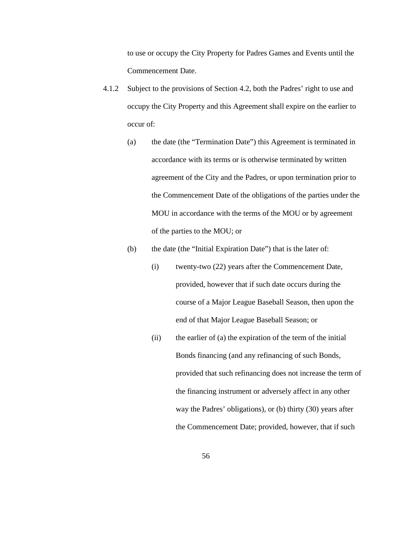to use or occupy the City Property for Padres Games and Events until the Commencement Date.

- 4.1.2 Subject to the provisions of Section 4.2, both the Padres' right to use and occupy the City Property and this Agreement shall expire on the earlier to occur of:
	- (a) the date (the "Termination Date") this Agreement is terminated in accordance with its terms or is otherwise terminated by written agreement of the City and the Padres, or upon termination prior to the Commencement Date of the obligations of the parties under the MOU in accordance with the terms of the MOU or by agreement of the parties to the MOU; or

## (b) the date (the "Initial Expiration Date") that is the later of:

- (i) twenty-two (22) years after the Commencement Date, provided, however that if such date occurs during the course of a Major League Baseball Season, then upon the end of that Major League Baseball Season; or
- (ii) the earlier of (a) the expiration of the term of the initial Bonds financing (and any refinancing of such Bonds, provided that such refinancing does not increase the term of the financing instrument or adversely affect in any other way the Padres' obligations), or (b) thirty (30) years after the Commencement Date; provided, however, that if such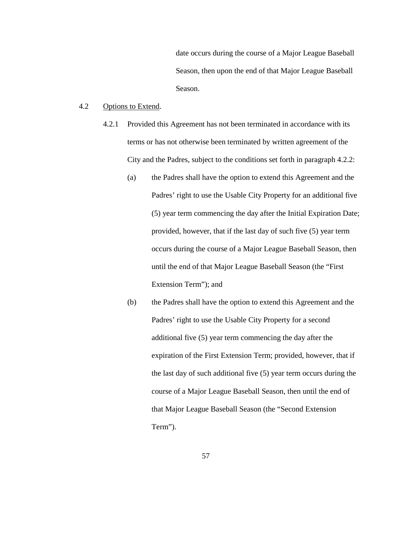date occurs during the course of a Major League Baseball Season, then upon the end of that Major League Baseball Season.

#### 4.2 Options to Extend.

- 4.2.1 Provided this Agreement has not been terminated in accordance with its terms or has not otherwise been terminated by written agreement of the City and the Padres, subject to the conditions set forth in paragraph 4.2.2:
	- (a) the Padres shall have the option to extend this Agreement and the Padres' right to use the Usable City Property for an additional five (5) year term commencing the day after the Initial Expiration Date; provided, however, that if the last day of such five (5) year term occurs during the course of a Major League Baseball Season, then until the end of that Major League Baseball Season (the "First Extension Term"); and
	- (b) the Padres shall have the option to extend this Agreement and the Padres' right to use the Usable City Property for a second additional five (5) year term commencing the day after the expiration of the First Extension Term; provided, however, that if the last day of such additional five (5) year term occurs during the course of a Major League Baseball Season, then until the end of that Major League Baseball Season (the "Second Extension Term").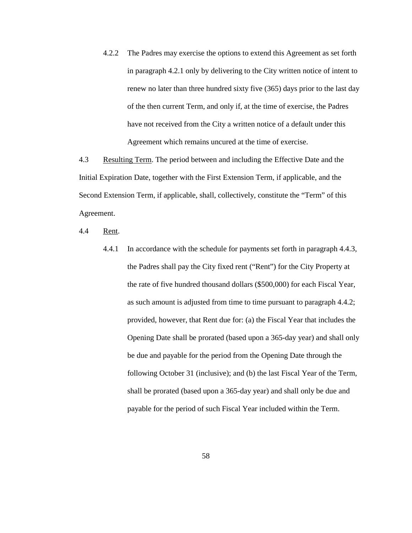4.2.2 The Padres may exercise the options to extend this Agreement as set forth in paragraph 4.2.1 only by delivering to the City written notice of intent to renew no later than three hundred sixty five (365) days prior to the last day of the then current Term, and only if, at the time of exercise, the Padres have not received from the City a written notice of a default under this Agreement which remains uncured at the time of exercise.

4.3 Resulting Term. The period between and including the Effective Date and the Initial Expiration Date, together with the First Extension Term, if applicable, and the Second Extension Term, if applicable, shall, collectively, constitute the "Term" of this Agreement.

4.4 Rent.

4.4.1 In accordance with the schedule for payments set forth in paragraph 4.4.3, the Padres shall pay the City fixed rent ("Rent") for the City Property at the rate of five hundred thousand dollars (\$500,000) for each Fiscal Year, as such amount is adjusted from time to time pursuant to paragraph 4.4.2; provided, however, that Rent due for: (a) the Fiscal Year that includes the Opening Date shall be prorated (based upon a 365-day year) and shall only be due and payable for the period from the Opening Date through the following October 31 (inclusive); and (b) the last Fiscal Year of the Term, shall be prorated (based upon a 365-day year) and shall only be due and payable for the period of such Fiscal Year included within the Term.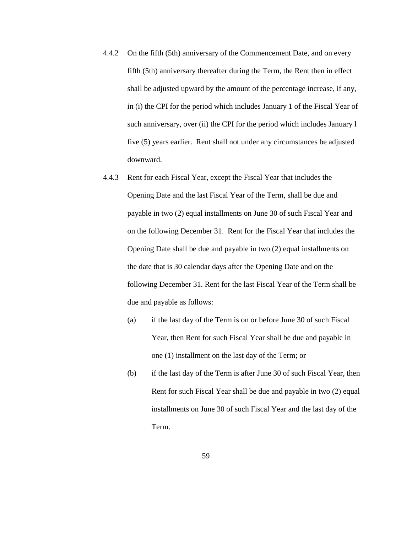- 4.4.2 On the fifth (5th) anniversary of the Commencement Date, and on every fifth (5th) anniversary thereafter during the Term, the Rent then in effect shall be adjusted upward by the amount of the percentage increase, if any, in (i) the CPI for the period which includes January 1 of the Fiscal Year of such anniversary, over (ii) the CPI for the period which includes January 1 five (5) years earlier. Rent shall not under any circumstances be adjusted downward.
- 4.4.3 Rent for each Fiscal Year, except the Fiscal Year that includes the Opening Date and the last Fiscal Year of the Term, shall be due and payable in two (2) equal installments on June 30 of such Fiscal Year and on the following December 31. Rent for the Fiscal Year that includes the Opening Date shall be due and payable in two (2) equal installments on the date that is 30 calendar days after the Opening Date and on the following December 31. Rent for the last Fiscal Year of the Term shall be due and payable as follows:
	- (a) if the last day of the Term is on or before June 30 of such Fiscal Year, then Rent for such Fiscal Year shall be due and payable in one (1) installment on the last day of the Term; or
	- (b) if the last day of the Term is after June 30 of such Fiscal Year, then Rent for such Fiscal Year shall be due and payable in two (2) equal installments on June 30 of such Fiscal Year and the last day of the Term.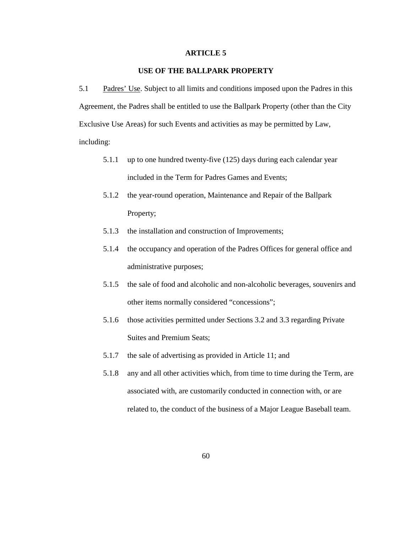#### **ARTICLE 5**

# **USE OF THE BALLPARK PROPERTY**

5.1 Padres' Use. Subject to all limits and conditions imposed upon the Padres in this Agreement, the Padres shall be entitled to use the Ballpark Property (other than the City Exclusive Use Areas) for such Events and activities as may be permitted by Law, including:

- 5.1.1 up to one hundred twenty-five (125) days during each calendar year included in the Term for Padres Games and Events;
- 5.1.2 the year-round operation, Maintenance and Repair of the Ballpark Property;
- 5.1.3 the installation and construction of Improvements;
- 5.1.4 the occupancy and operation of the Padres Offices for general office and administrative purposes;
- 5.1.5 the sale of food and alcoholic and non-alcoholic beverages, souvenirs and other items normally considered "concessions";
- 5.1.6 those activities permitted under Sections 3.2 and 3.3 regarding Private Suites and Premium Seats;
- 5.1.7 the sale of advertising as provided in Article 11; and
- 5.1.8 any and all other activities which, from time to time during the Term, are associated with, are customarily conducted in connection with, or are related to, the conduct of the business of a Major League Baseball team.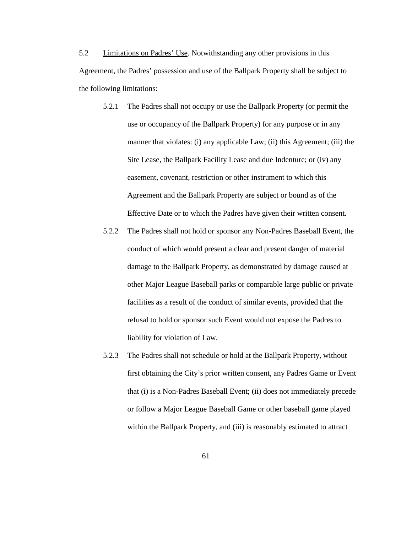5.2 Limitations on Padres' Use. Notwithstanding any other provisions in this Agreement, the Padres' possession and use of the Ballpark Property shall be subject to the following limitations:

- 5.2.1 The Padres shall not occupy or use the Ballpark Property (or permit the use or occupancy of the Ballpark Property) for any purpose or in any manner that violates: (i) any applicable Law; (ii) this Agreement; (iii) the Site Lease, the Ballpark Facility Lease and due Indenture; or (iv) any easement, covenant, restriction or other instrument to which this Agreement and the Ballpark Property are subject or bound as of the Effective Date or to which the Padres have given their written consent.
- 5.2.2 The Padres shall not hold or sponsor any Non-Padres Baseball Event, the conduct of which would present a clear and present danger of material damage to the Ballpark Property, as demonstrated by damage caused at other Major League Baseball parks or comparable large public or private facilities as a result of the conduct of similar events, provided that the refusal to hold or sponsor such Event would not expose the Padres to liability for violation of Law.
- 5.2.3 The Padres shall not schedule or hold at the Ballpark Property, without first obtaining the City's prior written consent, any Padres Game or Event that (i) is a Non-Padres Baseball Event; (ii) does not immediately precede or follow a Major League Baseball Game or other baseball game played within the Ballpark Property, and (iii) is reasonably estimated to attract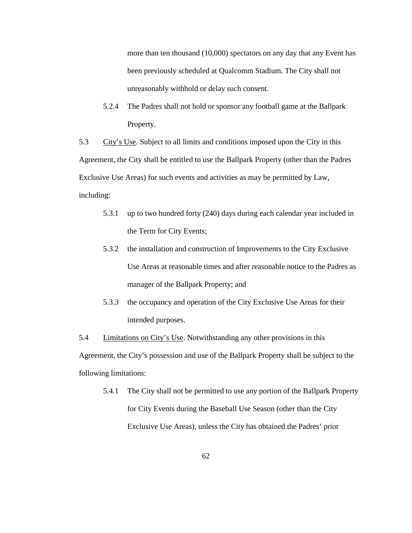more than ten thousand (10,000) spectators on any day that any Event has been previously scheduled at Qualcomm Stadium. The City shall not unreasonably withhold or delay such consent.

5.2.4 The Padres shall not hold or sponsor any football game at the Ballpark Property.

5.3 City's Use. Subject to all limits and conditions imposed upon the City in this Agreement, the City shall be entitled to use the Ballpark Property (other than the Padres Exclusive Use Areas) for such events and activities as may be permitted by Law, including:

- 5.3.1 up to two hundred forty (240) days during each calendar year included in the Term for City Events;
- 5.3.2 the installation and construction of Improvements to the City Exclusive Use Areas at reasonable times and after reasonable notice to the Padres as manager of the Ballpark Property; and
- 5.3.3 the occupancy and operation of the City Exclusive Use Areas for their intended purposes.

5.4 **Limitations on City's Use.** Notwithstanding any other provisions in this Agreement, the City's possession and use of the Ballpark Property shall be subject to the following limitations:

5.4.1 The City shall not be permitted to use any portion of the Ballpark Property for City Events during the Baseball Use Season (other than the City Exclusive Use Areas), unless the City has obtained the Padres' prior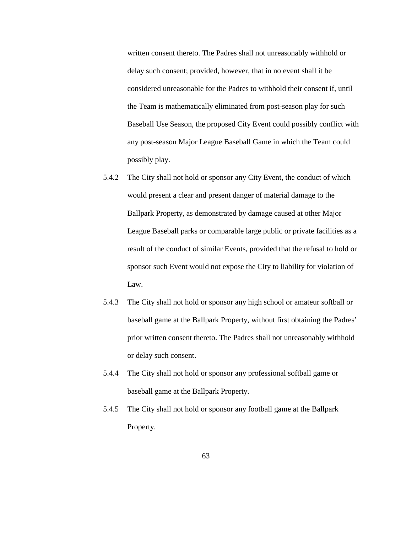written consent thereto. The Padres shall not unreasonably withhold or delay such consent; provided, however, that in no event shall it be considered unreasonable for the Padres to withhold their consent if, until the Team is mathematically eliminated from post-season play for such Baseball Use Season, the proposed City Event could possibly conflict with any post-season Major League Baseball Game in which the Team could possibly play.

- 5.4.2 The City shall not hold or sponsor any City Event, the conduct of which would present a clear and present danger of material damage to the Ballpark Property, as demonstrated by damage caused at other Major League Baseball parks or comparable large public or private facilities as a result of the conduct of similar Events, provided that the refusal to hold or sponsor such Event would not expose the City to liability for violation of Law.
- 5.4.3 The City shall not hold or sponsor any high school or amateur softball or baseball game at the Ballpark Property, without first obtaining the Padres' prior written consent thereto. The Padres shall not unreasonably withhold or delay such consent.
- 5.4.4 The City shall not hold or sponsor any professional softball game or baseball game at the Ballpark Property.
- 5.4.5 The City shall not hold or sponsor any football game at the Ballpark Property.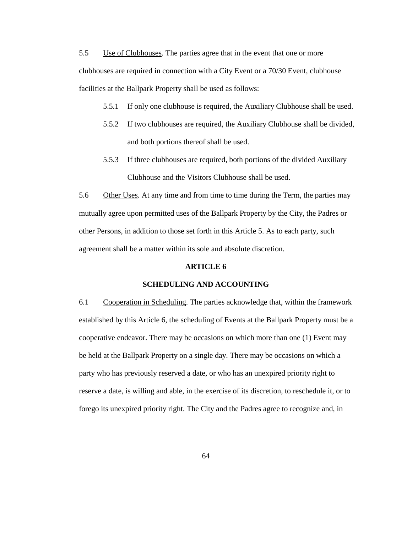5.5 Use of Clubhouses. The parties agree that in the event that one or more clubhouses are required in connection with a City Event or a 70/30 Event, clubhouse facilities at the Ballpark Property shall be used as follows:

- 5.5.1 If only one clubhouse is required, the Auxiliary Clubhouse shall be used.
- 5.5.2 If two clubhouses are required, the Auxiliary Clubhouse shall be divided, and both portions thereof shall be used.
- 5.5.3 If three clubhouses are required, both portions of the divided Auxiliary Clubhouse and the Visitors Clubhouse shall be used.

5.6 Other Uses. At any time and from time to time during the Term, the parties may mutually agree upon permitted uses of the Ballpark Property by the City, the Padres or other Persons, in addition to those set forth in this Article 5. As to each party, such agreement shall be a matter within its sole and absolute discretion.

## **ARTICLE 6**

#### **SCHEDULING AND ACCOUNTING**

6.1 Cooperation in Scheduling. The parties acknowledge that, within the framework established by this Article 6, the scheduling of Events at the Ballpark Property must be a cooperative endeavor. There may be occasions on which more than one (1) Event may be held at the Ballpark Property on a single day. There may be occasions on which a party who has previously reserved a date, or who has an unexpired priority right to reserve a date, is willing and able, in the exercise of its discretion, to reschedule it, or to forego its unexpired priority right. The City and the Padres agree to recognize and, in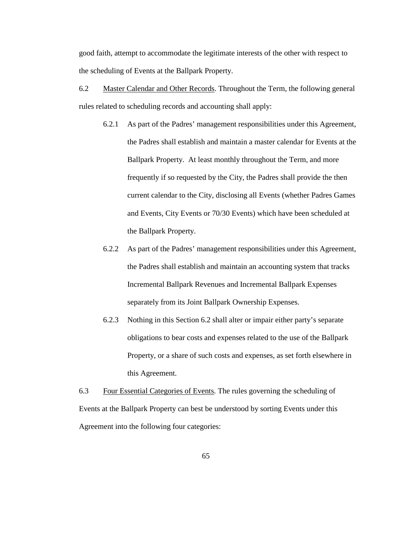good faith, attempt to accommodate the legitimate interests of the other with respect to the scheduling of Events at the Ballpark Property.

- 6.2 Master Calendar and Other Records. Throughout the Term, the following general rules related to scheduling records and accounting shall apply:
	- 6.2.1 As part of the Padres' management responsibilities under this Agreement, the Padres shall establish and maintain a master calendar for Events at the Ballpark Property. At least monthly throughout the Term, and more frequently if so requested by the City, the Padres shall provide the then current calendar to the City, disclosing all Events (whether Padres Games and Events, City Events or 70/30 Events) which have been scheduled at the Ballpark Property.
	- 6.2.2 As part of the Padres' management responsibilities under this Agreement, the Padres shall establish and maintain an accounting system that tracks Incremental Ballpark Revenues and Incremental Ballpark Expenses separately from its Joint Ballpark Ownership Expenses.
	- 6.2.3 Nothing in this Section 6.2 shall alter or impair either party's separate obligations to bear costs and expenses related to the use of the Ballpark Property, or a share of such costs and expenses, as set forth elsewhere in this Agreement.

6.3 Four Essential Categories of Events. The rules governing the scheduling of Events at the Ballpark Property can best be understood by sorting Events under this Agreement into the following four categories: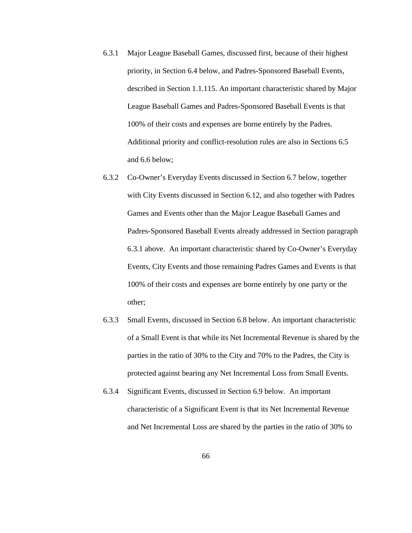- 6.3.1 Major League Baseball Games, discussed first, because of their highest priority, in Section 6.4 below, and Padres-Sponsored Baseball Events, described in Section 1.1.115. An important characteristic shared by Major League Baseball Games and Padres-Sponsored Baseball Events is that 100% of their costs and expenses are borne entirely by the Padres. Additional priority and conflict-resolution rules are also in Sections 6.5 and 6.6 below;
- 6.3.2 Co-Owner's Everyday Events discussed in Section 6.7 below, together with City Events discussed in Section 6.12, and also together with Padres Games and Events other than the Major League Baseball Games and Padres-Sponsored Baseball Events already addressed in Section paragraph 6.3.1 above. An important characteristic shared by Co-Owner's Everyday Events, City Events and those remaining Padres Games and Events is that 100% of their costs and expenses are borne entirely by one party or the other;
- 6.3.3 Small Events, discussed in Section 6.8 below. An important characteristic of a Small Event is that while its Net Incremental Revenue is shared by the parties in the ratio of 30% to the City and 70% to the Padres, the City is protected against bearing any Net Incremental Loss from Small Events.
- 6.3.4 Significant Events, discussed in Section 6.9 below. An important characteristic of a Significant Event is that its Net Incremental Revenue and Net Incremental Loss are shared by the parties in the ratio of 30% to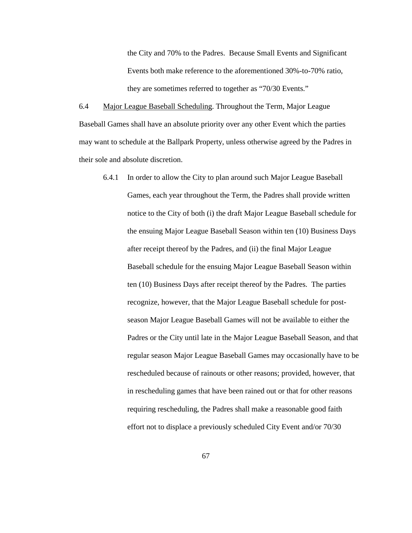the City and 70% to the Padres. Because Small Events and Significant Events both make reference to the aforementioned 30%-to-70% ratio, they are sometimes referred to together as "70/30 Events."

6.4 Major League Baseball Scheduling. Throughout the Term, Major League Baseball Games shall have an absolute priority over any other Event which the parties may want to schedule at the Ballpark Property, unless otherwise agreed by the Padres in their sole and absolute discretion.

6.4.1 In order to allow the City to plan around such Major League Baseball Games, each year throughout the Term, the Padres shall provide written notice to the City of both (i) the draft Major League Baseball schedule for the ensuing Major League Baseball Season within ten (10) Business Days after receipt thereof by the Padres, and (ii) the final Major League Baseball schedule for the ensuing Major League Baseball Season within ten (10) Business Days after receipt thereof by the Padres. The parties recognize, however, that the Major League Baseball schedule for postseason Major League Baseball Games will not be available to either the Padres or the City until late in the Major League Baseball Season, and that regular season Major League Baseball Games may occasionally have to be rescheduled because of rainouts or other reasons; provided, however, that in rescheduling games that have been rained out or that for other reasons requiring rescheduling, the Padres shall make a reasonable good faith effort not to displace a previously scheduled City Event and/or 70/30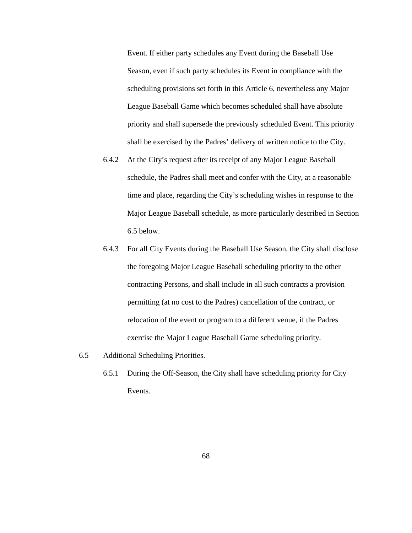Event. If either party schedules any Event during the Baseball Use Season, even if such party schedules its Event in compliance with the scheduling provisions set forth in this Article 6, nevertheless any Major League Baseball Game which becomes scheduled shall have absolute priority and shall supersede the previously scheduled Event. This priority shall be exercised by the Padres' delivery of written notice to the City.

- 6.4.2 At the City's request after its receipt of any Major League Baseball schedule, the Padres shall meet and confer with the City, at a reasonable time and place, regarding the City's scheduling wishes in response to the Major League Baseball schedule, as more particularly described in Section 6.5 below.
- 6.4.3 For all City Events during the Baseball Use Season, the City shall disclose the foregoing Major League Baseball scheduling priority to the other contracting Persons, and shall include in all such contracts a provision permitting (at no cost to the Padres) cancellation of the contract, or relocation of the event or program to a different venue, if the Padres exercise the Major League Baseball Game scheduling priority.
- 6.5 Additional Scheduling Priorities.
	- 6.5.1 During the Off-Season, the City shall have scheduling priority for City Events.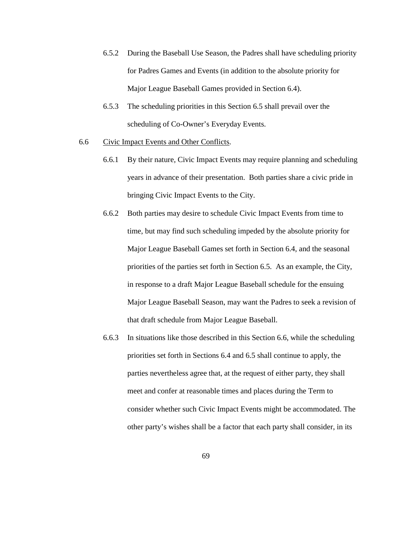- 6.5.2 During the Baseball Use Season, the Padres shall have scheduling priority for Padres Games and Events (in addition to the absolute priority for Major League Baseball Games provided in Section 6.4).
- 6.5.3 The scheduling priorities in this Section 6.5 shall prevail over the scheduling of Co-Owner's Everyday Events.
- 6.6 Civic Impact Events and Other Conflicts.
	- 6.6.1 By their nature, Civic Impact Events may require planning and scheduling years in advance of their presentation. Both parties share a civic pride in bringing Civic Impact Events to the City.
	- 6.6.2 Both parties may desire to schedule Civic Impact Events from time to time, but may find such scheduling impeded by the absolute priority for Major League Baseball Games set forth in Section 6.4, and the seasonal priorities of the parties set forth in Section 6.5. As an example, the City, in response to a draft Major League Baseball schedule for the ensuing Major League Baseball Season, may want the Padres to seek a revision of that draft schedule from Major League Baseball.
	- 6.6.3 In situations like those described in this Section 6.6, while the scheduling priorities set forth in Sections 6.4 and 6.5 shall continue to apply, the parties nevertheless agree that, at the request of either party, they shall meet and confer at reasonable times and places during the Term to consider whether such Civic Impact Events might be accommodated. The other party's wishes shall be a factor that each party shall consider, in its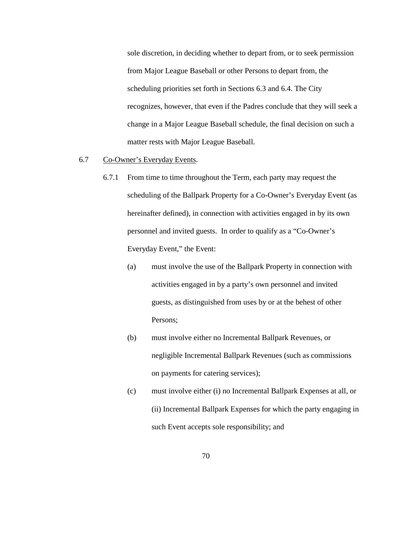sole discretion, in deciding whether to depart from, or to seek permission from Major League Baseball or other Persons to depart from, the scheduling priorities set forth in Sections 6.3 and 6.4. The City recognizes, however, that even if the Padres conclude that they will seek a change in a Major League Baseball schedule, the final decision on such a matter rests with Major League Baseball.

#### 6.7 Co-Owner's Everyday Events.

- 6.7.1 From time to time throughout the Term, each party may request the scheduling of the Ballpark Property for a Co-Owner's Everyday Event (as hereinafter defined), in connection with activities engaged in by its own personnel and invited guests. In order to qualify as a "Co-Owner's Everyday Event," the Event:
	- (a) must involve the use of the Ballpark Property in connection with activities engaged in by a party's own personnel and invited guests, as distinguished from uses by or at the behest of other Persons;
	- (b) must involve either no Incremental Ballpark Revenues, or negligible Incremental Ballpark Revenues (such as commissions on payments for catering services);
	- (c) must involve either (i) no Incremental Ballpark Expenses at all, or (ii) Incremental Ballpark Expenses for which the party engaging in such Event accepts sole responsibility; and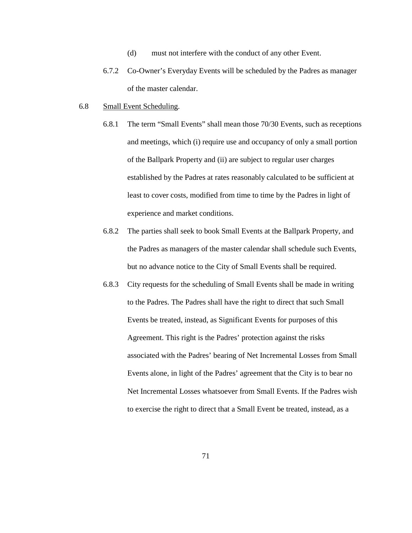- (d) must not interfere with the conduct of any other Event.
- 6.7.2 Co-Owner's Everyday Events will be scheduled by the Padres as manager of the master calendar.

#### 6.8 Small Event Scheduling.

- 6.8.1 The term "Small Events" shall mean those 70/30 Events, such as receptions and meetings, which (i) require use and occupancy of only a small portion of the Ballpark Property and (ii) are subject to regular user charges established by the Padres at rates reasonably calculated to be sufficient at least to cover costs, modified from time to time by the Padres in light of experience and market conditions.
- 6.8.2 The parties shall seek to book Small Events at the Ballpark Property, and the Padres as managers of the master calendar shall schedule such Events, but no advance notice to the City of Small Events shall be required.
- 6.8.3 City requests for the scheduling of Small Events shall be made in writing to the Padres. The Padres shall have the right to direct that such Small Events be treated, instead, as Significant Events for purposes of this Agreement. This right is the Padres' protection against the risks associated with the Padres' bearing of Net Incremental Losses from Small Events alone, in light of the Padres' agreement that the City is to bear no Net Incremental Losses whatsoever from Small Events. If the Padres wish to exercise the right to direct that a Small Event be treated, instead, as a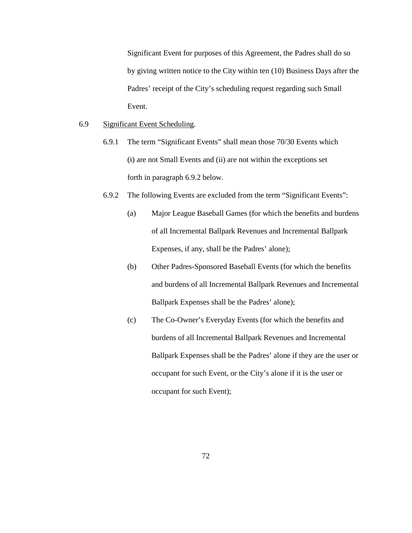Significant Event for purposes of this Agreement, the Padres shall do so by giving written notice to the City within ten (10) Business Days after the Padres' receipt of the City's scheduling request regarding such Small Event.

# 6.9 Significant Event Scheduling.

- 6.9.1 The term "Significant Events" shall mean those 70/30 Events which (i) are not Small Events and (ii) are not within the exceptions set forth in paragraph 6.9.2 below.
- 6.9.2 The following Events are excluded from the term "Significant Events":
	- (a) Major League Baseball Games (for which the benefits and burdens of all Incremental Ballpark Revenues and Incremental Ballpark Expenses, if any, shall be the Padres' alone);
	- (b) Other Padres-Sponsored Baseball Events (for which the benefits and burdens of all Incremental Ballpark Revenues and Incremental Ballpark Expenses shall be the Padres' alone);
	- (c) The Co-Owner's Everyday Events (for which the benefits and burdens of all Incremental Ballpark Revenues and Incremental Ballpark Expenses shall be the Padres' alone if they are the user or occupant for such Event, or the City's alone if it is the user or occupant for such Event);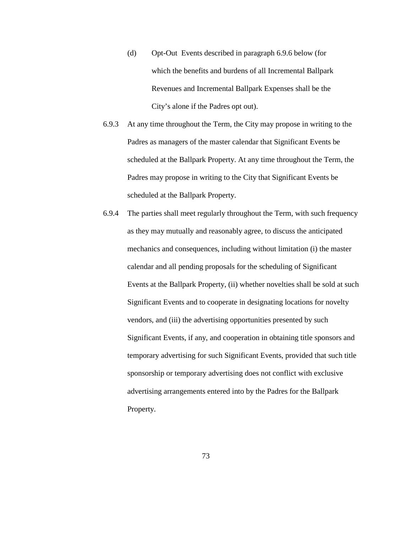- (d) Opt-Out Events described in paragraph 6.9.6 below (for which the benefits and burdens of all Incremental Ballpark Revenues and Incremental Ballpark Expenses shall be the City's alone if the Padres opt out).
- 6.9.3 At any time throughout the Term, the City may propose in writing to the Padres as managers of the master calendar that Significant Events be scheduled at the Ballpark Property. At any time throughout the Term, the Padres may propose in writing to the City that Significant Events be scheduled at the Ballpark Property.
- 6.9.4 The parties shall meet regularly throughout the Term, with such frequency as they may mutually and reasonably agree, to discuss the anticipated mechanics and consequences, including without limitation (i) the master calendar and all pending proposals for the scheduling of Significant Events at the Ballpark Property, (ii) whether novelties shall be sold at such Significant Events and to cooperate in designating locations for novelty vendors, and (iii) the advertising opportunities presented by such Significant Events, if any, and cooperation in obtaining title sponsors and temporary advertising for such Significant Events, provided that such title sponsorship or temporary advertising does not conflict with exclusive advertising arrangements entered into by the Padres for the Ballpark Property.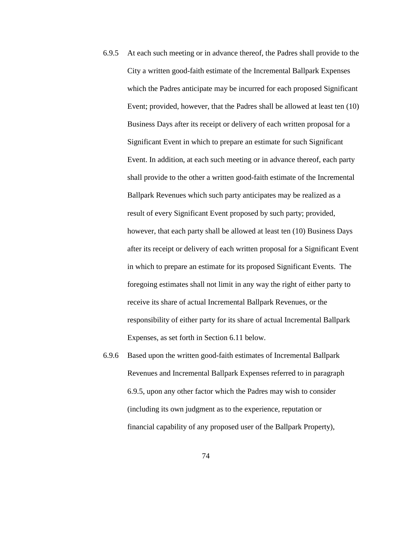- 6.9.5 At each such meeting or in advance thereof, the Padres shall provide to the City a written good-faith estimate of the Incremental Ballpark Expenses which the Padres anticipate may be incurred for each proposed Significant Event; provided, however, that the Padres shall be allowed at least ten (10) Business Days after its receipt or delivery of each written proposal for a Significant Event in which to prepare an estimate for such Significant Event. In addition, at each such meeting or in advance thereof, each party shall provide to the other a written good-faith estimate of the Incremental Ballpark Revenues which such party anticipates may be realized as a result of every Significant Event proposed by such party; provided, however, that each party shall be allowed at least ten (10) Business Days after its receipt or delivery of each written proposal for a Significant Event in which to prepare an estimate for its proposed Significant Events. The foregoing estimates shall not limit in any way the right of either party to receive its share of actual Incremental Ballpark Revenues, or the responsibility of either party for its share of actual Incremental Ballpark Expenses, as set forth in Section 6.11 below.
- 6.9.6 Based upon the written good-faith estimates of Incremental Ballpark Revenues and Incremental Ballpark Expenses referred to in paragraph 6.9.5, upon any other factor which the Padres may wish to consider (including its own judgment as to the experience, reputation or financial capability of any proposed user of the Ballpark Property),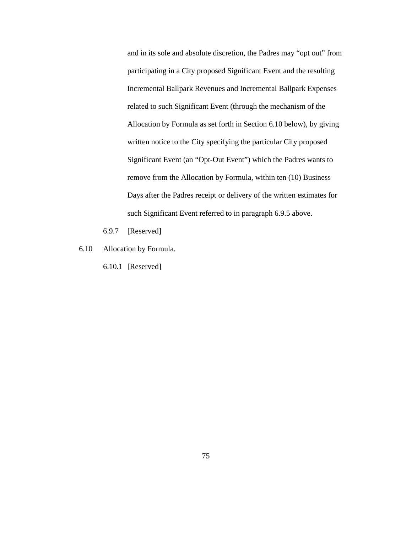and in its sole and absolute discretion, the Padres may "opt out" from participating in a City proposed Significant Event and the resulting Incremental Ballpark Revenues and Incremental Ballpark Expenses related to such Significant Event (through the mechanism of the Allocation by Formula as set forth in Section 6.10 below), by giving written notice to the City specifying the particular City proposed Significant Event (an "Opt-Out Event") which the Padres wants to remove from the Allocation by Formula, within ten (10) Business Days after the Padres receipt or delivery of the written estimates for such Significant Event referred to in paragraph 6.9.5 above.

- 6.9.7 [Reserved]
- 6.10 Allocation by Formula.
	- 6.10.1 [Reserved]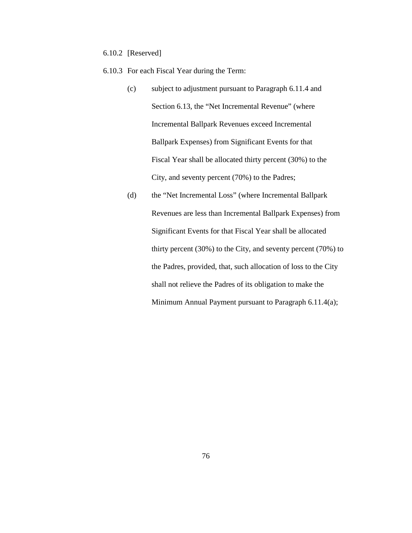6.10.2 [Reserved]

6.10.3 For each Fiscal Year during the Term:

- (c) subject to adjustment pursuant to Paragraph 6.11.4 and Section 6.13, the "Net Incremental Revenue" (where Incremental Ballpark Revenues exceed Incremental Ballpark Expenses) from Significant Events for that Fiscal Year shall be allocated thirty percent (30%) to the City, and seventy percent (70%) to the Padres;
- (d) the "Net Incremental Loss" (where Incremental Ballpark Revenues are less than Incremental Ballpark Expenses) from Significant Events for that Fiscal Year shall be allocated thirty percent (30%) to the City, and seventy percent (70%) to the Padres, provided, that, such allocation of loss to the City shall not relieve the Padres of its obligation to make the Minimum Annual Payment pursuant to Paragraph 6.11.4(a);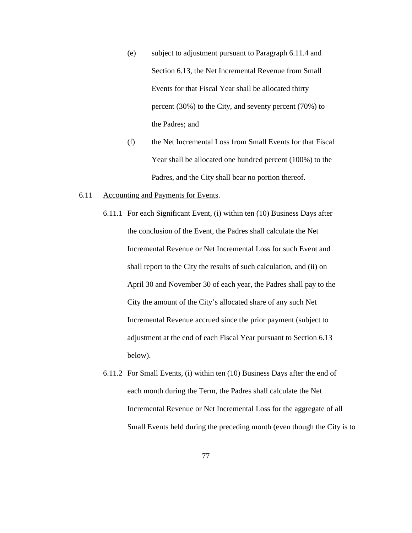- (e) subject to adjustment pursuant to Paragraph 6.11.4 and Section 6.13, the Net Incremental Revenue from Small Events for that Fiscal Year shall be allocated thirty percent (30%) to the City, and seventy percent (70%) to the Padres; and
- (f) the Net Incremental Loss from Small Events for that Fiscal Year shall be allocated one hundred percent (100%) to the Padres, and the City shall bear no portion thereof.

#### 6.11 Accounting and Payments for Events.

- 6.11.1 For each Significant Event, (i) within ten (10) Business Days after the conclusion of the Event, the Padres shall calculate the Net Incremental Revenue or Net Incremental Loss for such Event and shall report to the City the results of such calculation, and (ii) on April 30 and November 30 of each year, the Padres shall pay to the City the amount of the City's allocated share of any such Net Incremental Revenue accrued since the prior payment (subject to adjustment at the end of each Fiscal Year pursuant to Section 6.13 below).
- 6.11.2 For Small Events, (i) within ten (10) Business Days after the end of each month during the Term, the Padres shall calculate the Net Incremental Revenue or Net Incremental Loss for the aggregate of all Small Events held during the preceding month (even though the City is to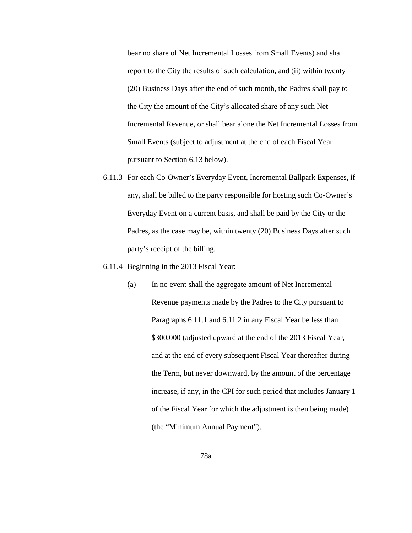bear no share of Net Incremental Losses from Small Events) and shall report to the City the results of such calculation, and (ii) within twenty (20) Business Days after the end of such month, the Padres shall pay to the City the amount of the City's allocated share of any such Net Incremental Revenue, or shall bear alone the Net Incremental Losses from Small Events (subject to adjustment at the end of each Fiscal Year pursuant to Section 6.13 below).

- 6.11.3 For each Co-Owner's Everyday Event, Incremental Ballpark Expenses, if any, shall be billed to the party responsible for hosting such Co-Owner's Everyday Event on a current basis, and shall be paid by the City or the Padres, as the case may be, within twenty (20) Business Days after such party's receipt of the billing.
- 6.11.4 Beginning in the 2013 Fiscal Year:
	- (a) In no event shall the aggregate amount of Net Incremental Revenue payments made by the Padres to the City pursuant to Paragraphs 6.11.1 and 6.11.2 in any Fiscal Year be less than \$300,000 (adjusted upward at the end of the 2013 Fiscal Year, and at the end of every subsequent Fiscal Year thereafter during the Term, but never downward, by the amount of the percentage increase, if any, in the CPI for such period that includes January 1 of the Fiscal Year for which the adjustment is then being made) (the "Minimum Annual Payment").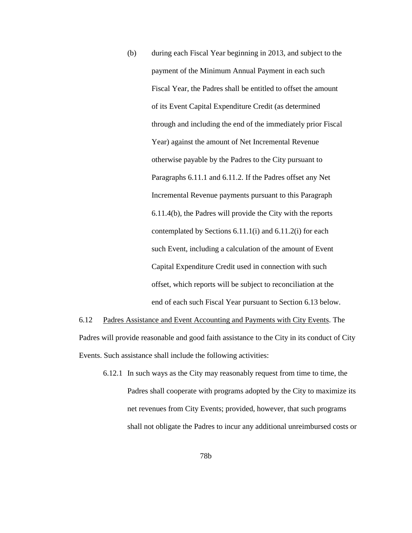(b) during each Fiscal Year beginning in 2013, and subject to the payment of the Minimum Annual Payment in each such Fiscal Year, the Padres shall be entitled to offset the amount of its Event Capital Expenditure Credit (as determined through and including the end of the immediately prior Fiscal Year) against the amount of Net Incremental Revenue otherwise payable by the Padres to the City pursuant to Paragraphs 6.11.1 and 6.11.2. If the Padres offset any Net Incremental Revenue payments pursuant to this Paragraph 6.11.4(b), the Padres will provide the City with the reports contemplated by Sections 6.11.1(i) and 6.11.2(i) for each such Event, including a calculation of the amount of Event Capital Expenditure Credit used in connection with such offset, which reports will be subject to reconciliation at the end of each such Fiscal Year pursuant to Section 6.13 below.

6.12 Padres Assistance and Event Accounting and Payments with City Events. The Padres will provide reasonable and good faith assistance to the City in its conduct of City Events. Such assistance shall include the following activities:

6.12.1 In such ways as the City may reasonably request from time to time, the Padres shall cooperate with programs adopted by the City to maximize its net revenues from City Events; provided, however, that such programs shall not obligate the Padres to incur any additional unreimbursed costs or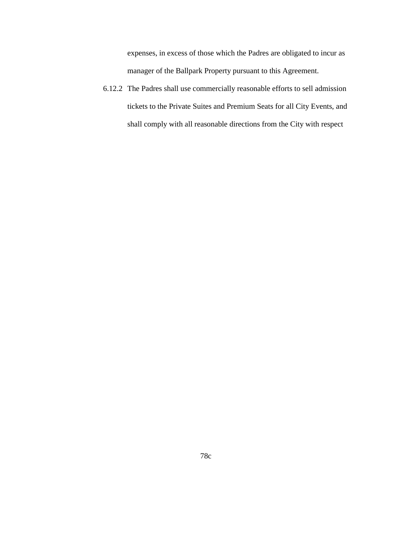expenses, in excess of those which the Padres are obligated to incur as manager of the Ballpark Property pursuant to this Agreement.

6.12.2 The Padres shall use commercially reasonable efforts to sell admission tickets to the Private Suites and Premium Seats for all City Events, and shall comply with all reasonable directions from the City with respect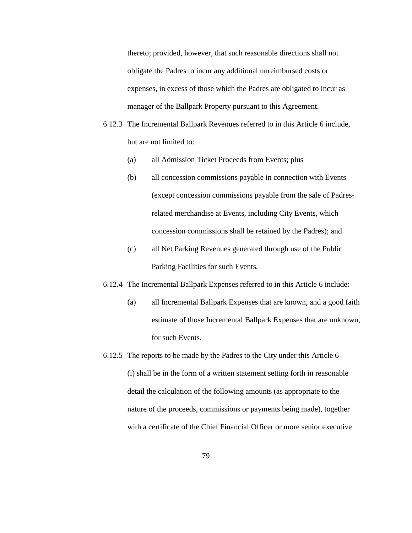thereto; provided, however, that such reasonable directions shall not obligate the Padres to incur any additional unreimbursed costs or expenses, in excess of those which the Padres are obligated to incur as manager of the Ballpark Property pursuant to this Agreement.

- 6.12.3 The Incremental Ballpark Revenues referred to in this Article 6 include, but are not limited to:
	- (a) all Admission Ticket Proceeds from Events; plus
	- (b) all concession commissions payable in connection with Events (except concession commissions payable from the sale of Padresrelated merchandise at Events, including City Events, which concession commissions shall be retained by the Padres); and
	- (c) all Net Parking Revenues generated through use of the Public Parking Facilities for such Events.
- 6.12.4 The Incremental Ballpark Expenses referred to in this Article 6 include:
	- (a) all Incremental Ballpark Expenses that are known, and a good faith estimate of those Incremental Ballpark Expenses that are unknown, for such Events.
- 6.12.5 The reports to be made by the Padres to the City under this Article 6 (i) shall be in the form of a written statement setting forth in reasonable detail the calculation of the following amounts (as appropriate to the nature of the proceeds, commissions or payments being made), together with a certificate of the Chief Financial Officer or more senior executive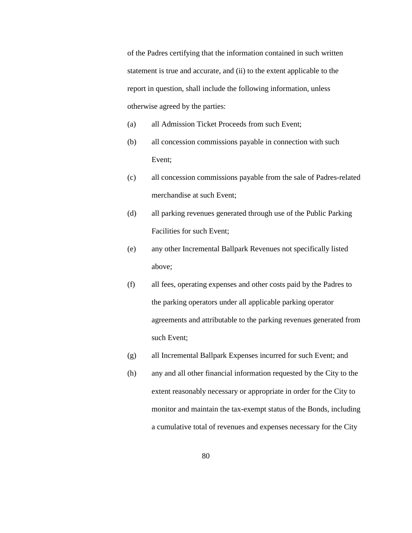of the Padres certifying that the information contained in such written statement is true and accurate, and (ii) to the extent applicable to the report in question, shall include the following information, unless otherwise agreed by the parties:

- (a) all Admission Ticket Proceeds from such Event;
- (b) all concession commissions payable in connection with such Event;
- (c) all concession commissions payable from the sale of Padres-related merchandise at such Event;
- (d) all parking revenues generated through use of the Public Parking Facilities for such Event;
- (e) any other Incremental Ballpark Revenues not specifically listed above;
- (f) all fees, operating expenses and other costs paid by the Padres to the parking operators under all applicable parking operator agreements and attributable to the parking revenues generated from such Event;
- (g) all Incremental Ballpark Expenses incurred for such Event; and
- (h) any and all other financial information requested by the City to the extent reasonably necessary or appropriate in order for the City to monitor and maintain the tax-exempt status of the Bonds, including a cumulative total of revenues and expenses necessary for the City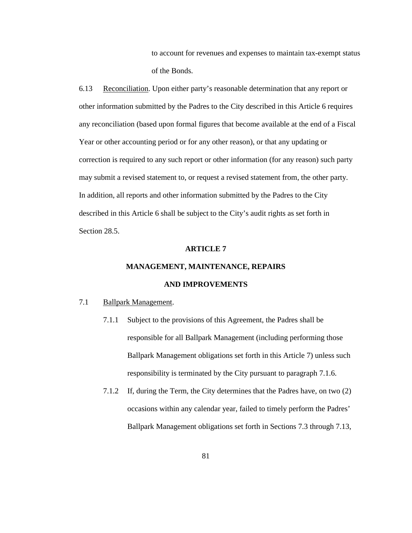to account for revenues and expenses to maintain tax-exempt status of the Bonds.

6.13 Reconciliation. Upon either party's reasonable determination that any report or other information submitted by the Padres to the City described in this Article 6 requires any reconciliation (based upon formal figures that become available at the end of a Fiscal Year or other accounting period or for any other reason), or that any updating or correction is required to any such report or other information (for any reason) such party may submit a revised statement to, or request a revised statement from, the other party. In addition, all reports and other information submitted by the Padres to the City described in this Article 6 shall be subject to the City's audit rights as set forth in Section 28.5.

### **ARTICLE 7**

# **MANAGEMENT, MAINTENANCE, REPAIRS**

# **AND IMPROVEMENTS**

# 7.1 Ballpark Management.

- 7.1.1 Subject to the provisions of this Agreement, the Padres shall be responsible for all Ballpark Management (including performing those Ballpark Management obligations set forth in this Article 7) unless such responsibility is terminated by the City pursuant to paragraph 7.1.6.
- 7.1.2 If, during the Term, the City determines that the Padres have, on two (2) occasions within any calendar year, failed to timely perform the Padres' Ballpark Management obligations set forth in Sections 7.3 through 7.13,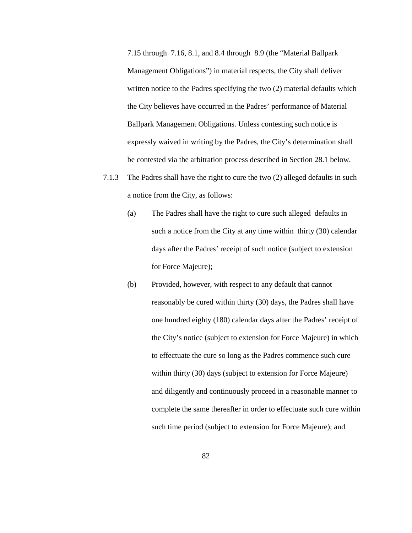7.15 through 7.16, 8.1, and 8.4 through 8.9 (the "Material Ballpark Management Obligations") in material respects, the City shall deliver written notice to the Padres specifying the two (2) material defaults which the City believes have occurred in the Padres' performance of Material Ballpark Management Obligations. Unless contesting such notice is expressly waived in writing by the Padres, the City's determination shall be contested via the arbitration process described in Section 28.1 below.

- 7.1.3 The Padres shall have the right to cure the two (2) alleged defaults in such a notice from the City, as follows:
	- (a) The Padres shall have the right to cure such alleged defaults in such a notice from the City at any time within thirty (30) calendar days after the Padres' receipt of such notice (subject to extension for Force Majeure);
	- (b) Provided, however, with respect to any default that cannot reasonably be cured within thirty (30) days, the Padres shall have one hundred eighty (180) calendar days after the Padres' receipt of the City's notice (subject to extension for Force Majeure) in which to effectuate the cure so long as the Padres commence such cure within thirty (30) days (subject to extension for Force Majeure) and diligently and continuously proceed in a reasonable manner to complete the same thereafter in order to effectuate such cure within such time period (subject to extension for Force Majeure); and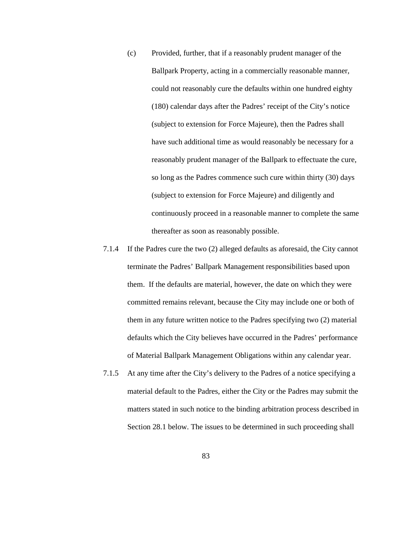- (c) Provided, further, that if a reasonably prudent manager of the Ballpark Property, acting in a commercially reasonable manner, could not reasonably cure the defaults within one hundred eighty (180) calendar days after the Padres' receipt of the City's notice (subject to extension for Force Majeure), then the Padres shall have such additional time as would reasonably be necessary for a reasonably prudent manager of the Ballpark to effectuate the cure, so long as the Padres commence such cure within thirty (30) days (subject to extension for Force Majeure) and diligently and continuously proceed in a reasonable manner to complete the same thereafter as soon as reasonably possible.
- 7.1.4 If the Padres cure the two (2) alleged defaults as aforesaid, the City cannot terminate the Padres' Ballpark Management responsibilities based upon them. If the defaults are material, however, the date on which they were committed remains relevant, because the City may include one or both of them in any future written notice to the Padres specifying two (2) material defaults which the City believes have occurred in the Padres' performance of Material Ballpark Management Obligations within any calendar year.
- 7.1.5 At any time after the City's delivery to the Padres of a notice specifying a material default to the Padres, either the City or the Padres may submit the matters stated in such notice to the binding arbitration process described in Section 28.1 below. The issues to be determined in such proceeding shall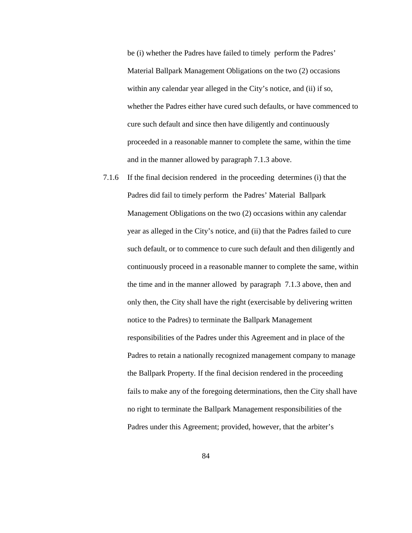be (i) whether the Padres have failed to timely perform the Padres' Material Ballpark Management Obligations on the two (2) occasions within any calendar year alleged in the City's notice, and (ii) if so, whether the Padres either have cured such defaults, or have commenced to cure such default and since then have diligently and continuously proceeded in a reasonable manner to complete the same, within the time and in the manner allowed by paragraph 7.1.3 above.

7.1.6 If the final decision rendered in the proceeding determines (i) that the Padres did fail to timely perform the Padres' Material Ballpark Management Obligations on the two (2) occasions within any calendar year as alleged in the City's notice, and (ii) that the Padres failed to cure such default, or to commence to cure such default and then diligently and continuously proceed in a reasonable manner to complete the same, within the time and in the manner allowed by paragraph 7.1.3 above, then and only then, the City shall have the right (exercisable by delivering written notice to the Padres) to terminate the Ballpark Management responsibilities of the Padres under this Agreement and in place of the Padres to retain a nationally recognized management company to manage the Ballpark Property. If the final decision rendered in the proceeding fails to make any of the foregoing determinations, then the City shall have no right to terminate the Ballpark Management responsibilities of the Padres under this Agreement; provided, however, that the arbiter's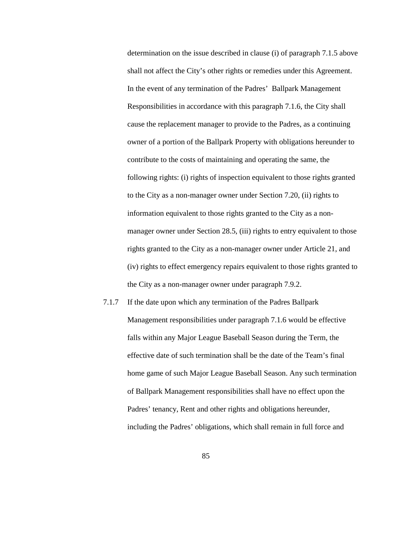determination on the issue described in clause (i) of paragraph 7.1.5 above shall not affect the City's other rights or remedies under this Agreement. In the event of any termination of the Padres' Ballpark Management Responsibilities in accordance with this paragraph 7.1.6, the City shall cause the replacement manager to provide to the Padres, as a continuing owner of a portion of the Ballpark Property with obligations hereunder to contribute to the costs of maintaining and operating the same, the following rights: (i) rights of inspection equivalent to those rights granted to the City as a non-manager owner under Section 7.20, (ii) rights to information equivalent to those rights granted to the City as a nonmanager owner under Section 28.5, (iii) rights to entry equivalent to those rights granted to the City as a non-manager owner under Article 21, and (iv) rights to effect emergency repairs equivalent to those rights granted to the City as a non-manager owner under paragraph 7.9.2.

7.1.7 If the date upon which any termination of the Padres Ballpark Management responsibilities under paragraph 7.1.6 would be effective falls within any Major League Baseball Season during the Term, the effective date of such termination shall be the date of the Team's final home game of such Major League Baseball Season. Any such termination of Ballpark Management responsibilities shall have no effect upon the Padres' tenancy, Rent and other rights and obligations hereunder, including the Padres' obligations, which shall remain in full force and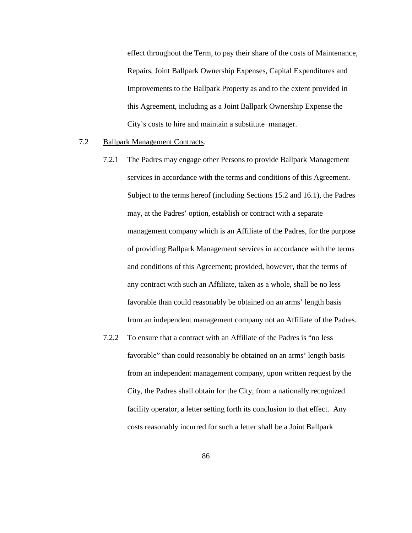effect throughout the Term, to pay their share of the costs of Maintenance, Repairs, Joint Ballpark Ownership Expenses, Capital Expenditures and Improvements to the Ballpark Property as and to the extent provided in this Agreement, including as a Joint Ballpark Ownership Expense the City's costs to hire and maintain a substitute manager.

### 7.2 Ballpark Management Contracts.

- 7.2.1 The Padres may engage other Persons to provide Ballpark Management services in accordance with the terms and conditions of this Agreement. Subject to the terms hereof (including Sections 15.2 and 16.1), the Padres may, at the Padres' option, establish or contract with a separate management company which is an Affiliate of the Padres, for the purpose of providing Ballpark Management services in accordance with the terms and conditions of this Agreement; provided, however, that the terms of any contract with such an Affiliate, taken as a whole, shall be no less favorable than could reasonably be obtained on an arms' length basis from an independent management company not an Affiliate of the Padres.
- 7.2.2 To ensure that a contract with an Affiliate of the Padres is "no less favorable" than could reasonably be obtained on an arms' length basis from an independent management company, upon written request by the City, the Padres shall obtain for the City, from a nationally recognized facility operator, a letter setting forth its conclusion to that effect. Any costs reasonably incurred for such a letter shall be a Joint Ballpark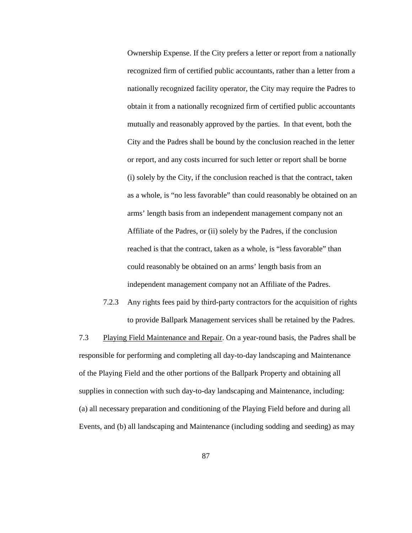Ownership Expense. If the City prefers a letter or report from a nationally recognized firm of certified public accountants, rather than a letter from a nationally recognized facility operator, the City may require the Padres to obtain it from a nationally recognized firm of certified public accountants mutually and reasonably approved by the parties. In that event, both the City and the Padres shall be bound by the conclusion reached in the letter or report, and any costs incurred for such letter or report shall be borne (i) solely by the City, if the conclusion reached is that the contract, taken as a whole, is "no less favorable" than could reasonably be obtained on an arms' length basis from an independent management company not an Affiliate of the Padres, or (ii) solely by the Padres, if the conclusion reached is that the contract, taken as a whole, is "less favorable" than could reasonably be obtained on an arms' length basis from an independent management company not an Affiliate of the Padres.

7.2.3 Any rights fees paid by third-party contractors for the acquisition of rights to provide Ballpark Management services shall be retained by the Padres.

7.3 Playing Field Maintenance and Repair. On a year-round basis, the Padres shall be responsible for performing and completing all day-to-day landscaping and Maintenance of the Playing Field and the other portions of the Ballpark Property and obtaining all supplies in connection with such day-to-day landscaping and Maintenance, including: (a) all necessary preparation and conditioning of the Playing Field before and during all Events, and (b) all landscaping and Maintenance (including sodding and seeding) as may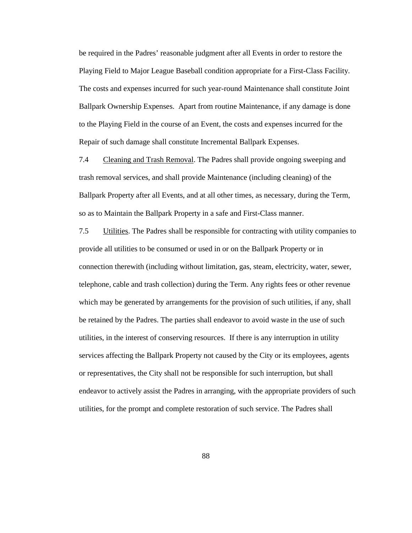be required in the Padres' reasonable judgment after all Events in order to restore the Playing Field to Major League Baseball condition appropriate for a First-Class Facility. The costs and expenses incurred for such year-round Maintenance shall constitute Joint Ballpark Ownership Expenses. Apart from routine Maintenance, if any damage is done to the Playing Field in the course of an Event, the costs and expenses incurred for the Repair of such damage shall constitute Incremental Ballpark Expenses.

7.4 Cleaning and Trash Removal. The Padres shall provide ongoing sweeping and trash removal services, and shall provide Maintenance (including cleaning) of the Ballpark Property after all Events, and at all other times, as necessary, during the Term, so as to Maintain the Ballpark Property in a safe and First-Class manner.

7.5 Utilities. The Padres shall be responsible for contracting with utility companies to provide all utilities to be consumed or used in or on the Ballpark Property or in connection therewith (including without limitation, gas, steam, electricity, water, sewer, telephone, cable and trash collection) during the Term. Any rights fees or other revenue which may be generated by arrangements for the provision of such utilities, if any, shall be retained by the Padres. The parties shall endeavor to avoid waste in the use of such utilities, in the interest of conserving resources. If there is any interruption in utility services affecting the Ballpark Property not caused by the City or its employees, agents or representatives, the City shall not be responsible for such interruption, but shall endeavor to actively assist the Padres in arranging, with the appropriate providers of such utilities, for the prompt and complete restoration of such service. The Padres shall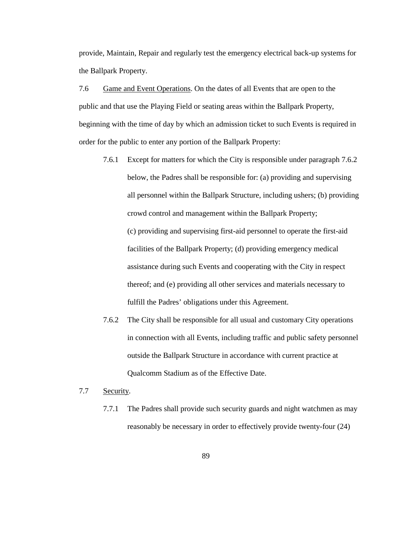provide, Maintain, Repair and regularly test the emergency electrical back-up systems for the Ballpark Property.

7.6 Game and Event Operations. On the dates of all Events that are open to the public and that use the Playing Field or seating areas within the Ballpark Property, beginning with the time of day by which an admission ticket to such Events is required in order for the public to enter any portion of the Ballpark Property:

- 7.6.1 Except for matters for which the City is responsible under paragraph 7.6.2 below, the Padres shall be responsible for: (a) providing and supervising all personnel within the Ballpark Structure, including ushers; (b) providing crowd control and management within the Ballpark Property; (c) providing and supervising first-aid personnel to operate the first-aid facilities of the Ballpark Property; (d) providing emergency medical assistance during such Events and cooperating with the City in respect thereof; and (e) providing all other services and materials necessary to fulfill the Padres' obligations under this Agreement.
- 7.6.2 The City shall be responsible for all usual and customary City operations in connection with all Events, including traffic and public safety personnel outside the Ballpark Structure in accordance with current practice at Qualcomm Stadium as of the Effective Date.
- 7.7 Security.
	- 7.7.1 The Padres shall provide such security guards and night watchmen as may reasonably be necessary in order to effectively provide twenty-four (24)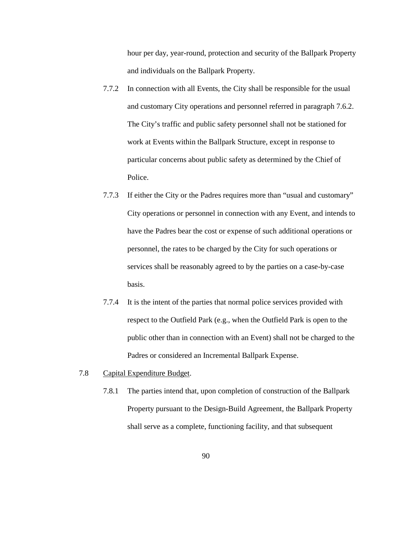hour per day, year-round, protection and security of the Ballpark Property and individuals on the Ballpark Property.

- 7.7.2 In connection with all Events, the City shall be responsible for the usual and customary City operations and personnel referred in paragraph 7.6.2. The City's traffic and public safety personnel shall not be stationed for work at Events within the Ballpark Structure, except in response to particular concerns about public safety as determined by the Chief of Police.
- 7.7.3 If either the City or the Padres requires more than "usual and customary" City operations or personnel in connection with any Event, and intends to have the Padres bear the cost or expense of such additional operations or personnel, the rates to be charged by the City for such operations or services shall be reasonably agreed to by the parties on a case-by-case basis.
- 7.7.4 It is the intent of the parties that normal police services provided with respect to the Outfield Park (e.g., when the Outfield Park is open to the public other than in connection with an Event) shall not be charged to the Padres or considered an Incremental Ballpark Expense.
- 7.8 Capital Expenditure Budget.
	- 7.8.1 The parties intend that, upon completion of construction of the Ballpark Property pursuant to the Design-Build Agreement, the Ballpark Property shall serve as a complete, functioning facility, and that subsequent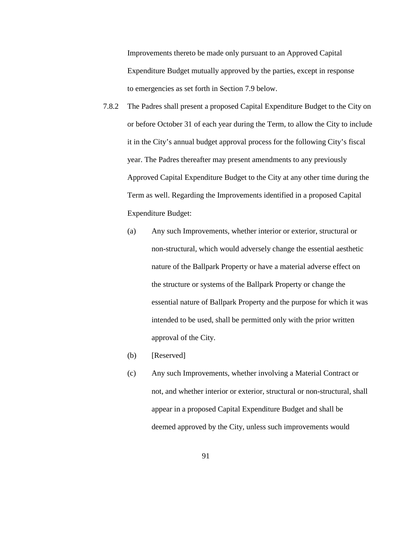Improvements thereto be made only pursuant to an Approved Capital Expenditure Budget mutually approved by the parties, except in response to emergencies as set forth in Section 7.9 below.

- 7.8.2 The Padres shall present a proposed Capital Expenditure Budget to the City on or before October 31 of each year during the Term, to allow the City to include it in the City's annual budget approval process for the following City's fiscal year. The Padres thereafter may present amendments to any previously Approved Capital Expenditure Budget to the City at any other time during the Term as well. Regarding the Improvements identified in a proposed Capital Expenditure Budget:
	- (a) Any such Improvements, whether interior or exterior, structural or non-structural, which would adversely change the essential aesthetic nature of the Ballpark Property or have a material adverse effect on the structure or systems of the Ballpark Property or change the essential nature of Ballpark Property and the purpose for which it was intended to be used, shall be permitted only with the prior written approval of the City.
	- (b) [Reserved]
	- (c) Any such Improvements, whether involving a Material Contract or not, and whether interior or exterior, structural or non-structural, shall appear in a proposed Capital Expenditure Budget and shall be deemed approved by the City, unless such improvements would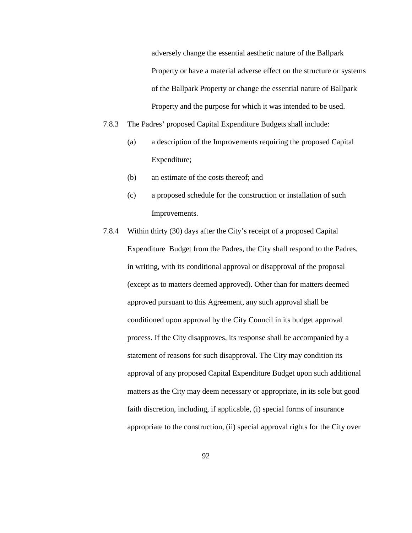adversely change the essential aesthetic nature of the Ballpark Property or have a material adverse effect on the structure or systems of the Ballpark Property or change the essential nature of Ballpark Property and the purpose for which it was intended to be used.

- 7.8.3 The Padres' proposed Capital Expenditure Budgets shall include:
	- (a) a description of the Improvements requiring the proposed Capital Expenditure;
	- (b) an estimate of the costs thereof; and
	- (c) a proposed schedule for the construction or installation of such Improvements.
- 7.8.4 Within thirty (30) days after the City's receipt of a proposed Capital Expenditure Budget from the Padres, the City shall respond to the Padres, in writing, with its conditional approval or disapproval of the proposal (except as to matters deemed approved). Other than for matters deemed approved pursuant to this Agreement, any such approval shall be conditioned upon approval by the City Council in its budget approval process. If the City disapproves, its response shall be accompanied by a statement of reasons for such disapproval. The City may condition its approval of any proposed Capital Expenditure Budget upon such additional matters as the City may deem necessary or appropriate, in its sole but good faith discretion, including, if applicable, (i) special forms of insurance appropriate to the construction, (ii) special approval rights for the City over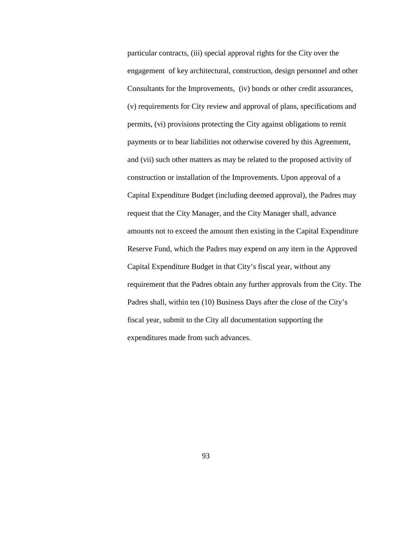particular contracts, (iii) special approval rights for the City over the engagement of key architectural, construction, design personnel and other Consultants for the Improvements, (iv) bonds or other credit assurances, (v) requirements for City review and approval of plans, specifications and permits, (vi) provisions protecting the City against obligations to remit payments or to bear liabilities not otherwise covered by this Agreement, and (vii) such other matters as may be related to the proposed activity of construction or installation of the Improvements. Upon approval of a Capital Expenditure Budget (including deemed approval), the Padres may request that the City Manager, and the City Manager shall, advance amounts not to exceed the amount then existing in the Capital Expenditure Reserve Fund, which the Padres may expend on any item in the Approved Capital Expenditure Budget in that City's fiscal year, without any requirement that the Padres obtain any further approvals from the City. The Padres shall, within ten (10) Business Days after the close of the City's fiscal year, submit to the City all documentation supporting the expenditures made from such advances.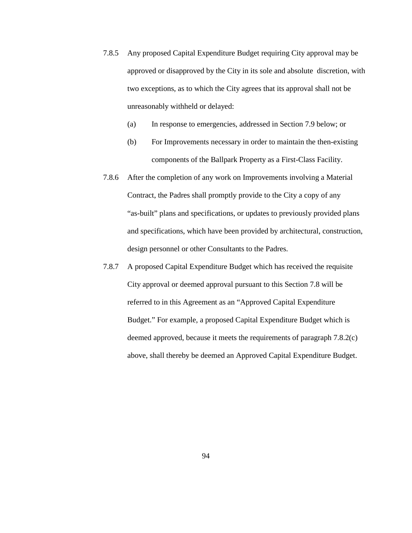- 7.8.5 Any proposed Capital Expenditure Budget requiring City approval may be approved or disapproved by the City in its sole and absolute discretion, with two exceptions, as to which the City agrees that its approval shall not be unreasonably withheld or delayed:
	- (a) In response to emergencies, addressed in Section 7.9 below; or
	- (b) For Improvements necessary in order to maintain the then-existing components of the Ballpark Property as a First-Class Facility.
- 7.8.6 After the completion of any work on Improvements involving a Material Contract, the Padres shall promptly provide to the City a copy of any "as-built" plans and specifications, or updates to previously provided plans and specifications, which have been provided by architectural, construction, design personnel or other Consultants to the Padres.
- 7.8.7 A proposed Capital Expenditure Budget which has received the requisite City approval or deemed approval pursuant to this Section 7.8 will be referred to in this Agreement as an "Approved Capital Expenditure Budget." For example, a proposed Capital Expenditure Budget which is deemed approved, because it meets the requirements of paragraph 7.8.2(c) above, shall thereby be deemed an Approved Capital Expenditure Budget.

94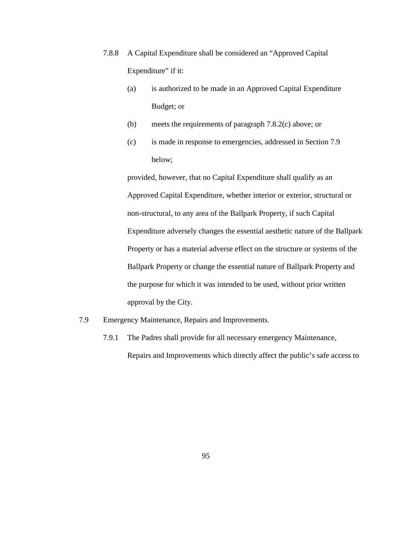- 7.8.8 A Capital Expenditure shall be considered an "Approved Capital Expenditure" if it:
	- (a) is authorized to be made in an Approved Capital Expenditure Budget; or
	- (b) meets the requirements of paragraph 7.8.2(c) above; or
	- (c) is made in response to emergencies, addressed in Section 7.9 below;

provided, however, that no Capital Expenditure shall qualify as an Approved Capital Expenditure, whether interior or exterior, structural or non-structural, to any area of the Ballpark Property, if such Capital Expenditure adversely changes the essential aesthetic nature of the Ballpark Property or has a material adverse effect on the structure or systems of the Ballpark Property or change the essential nature of Ballpark Property and the purpose for which it was intended to be used, without prior written approval by the City.

- 7.9 Emergency Maintenance, Repairs and Improvements.
	- 7.9.1 The Padres shall provide for all necessary emergency Maintenance, Repairs and Improvements which directly affect the public's safe access to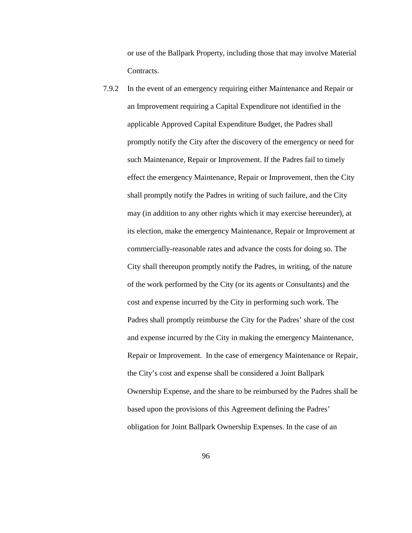or use of the Ballpark Property, including those that may involve Material Contracts.

7.9.2 In the event of an emergency requiring either Maintenance and Repair or an Improvement requiring a Capital Expenditure not identified in the applicable Approved Capital Expenditure Budget, the Padres shall promptly notify the City after the discovery of the emergency or need for such Maintenance, Repair or Improvement. If the Padres fail to timely effect the emergency Maintenance, Repair or Improvement, then the City shall promptly notify the Padres in writing of such failure, and the City may (in addition to any other rights which it may exercise hereunder), at its election, make the emergency Maintenance, Repair or Improvement at commercially-reasonable rates and advance the costs for doing so. The City shall thereupon promptly notify the Padres, in writing, of the nature of the work performed by the City (or its agents or Consultants) and the cost and expense incurred by the City in performing such work. The Padres shall promptly reimburse the City for the Padres' share of the cost and expense incurred by the City in making the emergency Maintenance, Repair or Improvement. In the case of emergency Maintenance or Repair, the City's cost and expense shall be considered a Joint Ballpark Ownership Expense, and the share to be reimbursed by the Padres shall be based upon the provisions of this Agreement defining the Padres' obligation for Joint Ballpark Ownership Expenses. In the case of an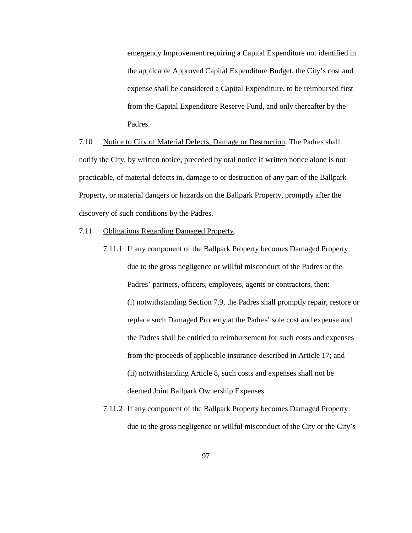emergency Improvement requiring a Capital Expenditure not identified in the applicable Approved Capital Expenditure Budget, the City's cost and expense shall be considered a Capital Expenditure, to be reimbursed first from the Capital Expenditure Reserve Fund, and only thereafter by the Padres.

7.10 Notice to City of Material Defects, Damage or Destruction. The Padres shall notify the City, by written notice, preceded by oral notice if written notice alone is not practicable, of material defects in, damage to or destruction of any part of the Ballpark Property, or material dangers or hazards on the Ballpark Property, promptly after the discovery of such conditions by the Padres.

- 7.11 Obligations Regarding Damaged Property.
	- 7.11.1 If any component of the Ballpark Property becomes Damaged Property due to the gross negligence or willful misconduct of the Padres or the Padres' partners, officers, employees, agents or contractors, then: (i) notwithstanding Section 7.9, the Padres shall promptly repair, restore or replace such Damaged Property at the Padres' sole cost and expense and the Padres shall be entitled to reimbursement for such costs and expenses from the proceeds of applicable insurance described in Article 17; and (ii) notwithstanding Article 8, such costs and expenses shall not be deemed Joint Ballpark Ownership Expenses.
	- 7.11.2 If any component of the Ballpark Property becomes Damaged Property due to the gross negligence or willful misconduct of the City or the City's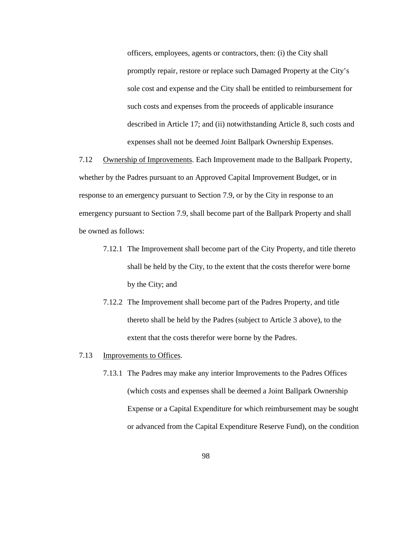officers, employees, agents or contractors, then: (i) the City shall promptly repair, restore or replace such Damaged Property at the City's sole cost and expense and the City shall be entitled to reimbursement for such costs and expenses from the proceeds of applicable insurance described in Article 17; and (ii) notwithstanding Article 8, such costs and expenses shall not be deemed Joint Ballpark Ownership Expenses.

7.12 Ownership of Improvements. Each Improvement made to the Ballpark Property, whether by the Padres pursuant to an Approved Capital Improvement Budget, or in response to an emergency pursuant to Section 7.9, or by the City in response to an emergency pursuant to Section 7.9, shall become part of the Ballpark Property and shall be owned as follows:

- 7.12.1 The Improvement shall become part of the City Property, and title thereto shall be held by the City, to the extent that the costs therefor were borne by the City; and
- 7.12.2 The Improvement shall become part of the Padres Property, and title thereto shall be held by the Padres (subject to Article 3 above), to the extent that the costs therefor were borne by the Padres.
- 7.13 Improvements to Offices.
	- 7.13.1 The Padres may make any interior Improvements to the Padres Offices (which costs and expenses shall be deemed a Joint Ballpark Ownership Expense or a Capital Expenditure for which reimbursement may be sought or advanced from the Capital Expenditure Reserve Fund), on the condition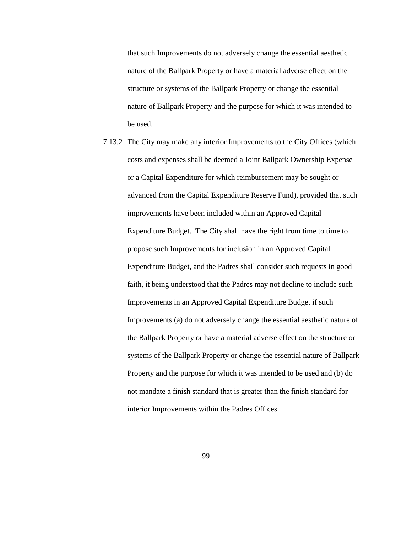that such Improvements do not adversely change the essential aesthetic nature of the Ballpark Property or have a material adverse effect on the structure or systems of the Ballpark Property or change the essential nature of Ballpark Property and the purpose for which it was intended to be used.

7.13.2 The City may make any interior Improvements to the City Offices (which costs and expenses shall be deemed a Joint Ballpark Ownership Expense or a Capital Expenditure for which reimbursement may be sought or advanced from the Capital Expenditure Reserve Fund), provided that such improvements have been included within an Approved Capital Expenditure Budget. The City shall have the right from time to time to propose such Improvements for inclusion in an Approved Capital Expenditure Budget, and the Padres shall consider such requests in good faith, it being understood that the Padres may not decline to include such Improvements in an Approved Capital Expenditure Budget if such Improvements (a) do not adversely change the essential aesthetic nature of the Ballpark Property or have a material adverse effect on the structure or systems of the Ballpark Property or change the essential nature of Ballpark Property and the purpose for which it was intended to be used and (b) do not mandate a finish standard that is greater than the finish standard for interior Improvements within the Padres Offices.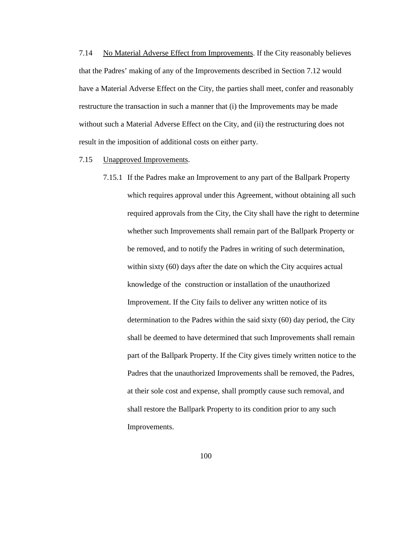7.14 No Material Adverse Effect from Improvements. If the City reasonably believes that the Padres' making of any of the Improvements described in Section 7.12 would have a Material Adverse Effect on the City, the parties shall meet, confer and reasonably restructure the transaction in such a manner that (i) the Improvements may be made without such a Material Adverse Effect on the City, and (ii) the restructuring does not result in the imposition of additional costs on either party.

#### 7.15 Unapproved Improvements.

7.15.1 If the Padres make an Improvement to any part of the Ballpark Property which requires approval under this Agreement, without obtaining all such required approvals from the City, the City shall have the right to determine whether such Improvements shall remain part of the Ballpark Property or be removed, and to notify the Padres in writing of such determination, within sixty (60) days after the date on which the City acquires actual knowledge of the construction or installation of the unauthorized Improvement. If the City fails to deliver any written notice of its determination to the Padres within the said sixty (60) day period, the City shall be deemed to have determined that such Improvements shall remain part of the Ballpark Property. If the City gives timely written notice to the Padres that the unauthorized Improvements shall be removed, the Padres, at their sole cost and expense, shall promptly cause such removal, and shall restore the Ballpark Property to its condition prior to any such Improvements.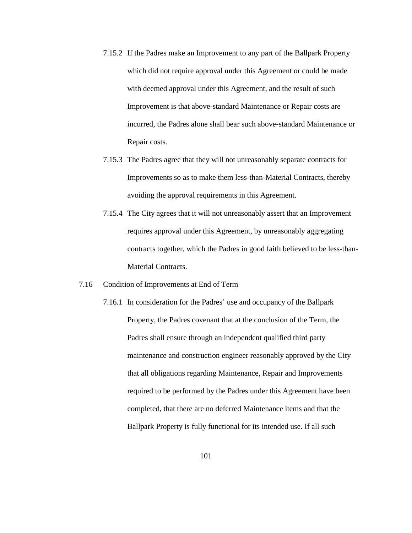- 7.15.2 If the Padres make an Improvement to any part of the Ballpark Property which did not require approval under this Agreement or could be made with deemed approval under this Agreement, and the result of such Improvement is that above-standard Maintenance or Repair costs are incurred, the Padres alone shall bear such above-standard Maintenance or Repair costs.
- 7.15.3 The Padres agree that they will not unreasonably separate contracts for Improvements so as to make them less-than-Material Contracts, thereby avoiding the approval requirements in this Agreement.
- 7.15.4 The City agrees that it will not unreasonably assert that an Improvement requires approval under this Agreement, by unreasonably aggregating contracts together, which the Padres in good faith believed to be less-than-Material Contracts.

#### 7.16 Condition of Improvements at End of Term

7.16.1 In consideration for the Padres' use and occupancy of the Ballpark Property, the Padres covenant that at the conclusion of the Term, the Padres shall ensure through an independent qualified third party maintenance and construction engineer reasonably approved by the City that all obligations regarding Maintenance, Repair and Improvements required to be performed by the Padres under this Agreement have been completed, that there are no deferred Maintenance items and that the Ballpark Property is fully functional for its intended use. If all such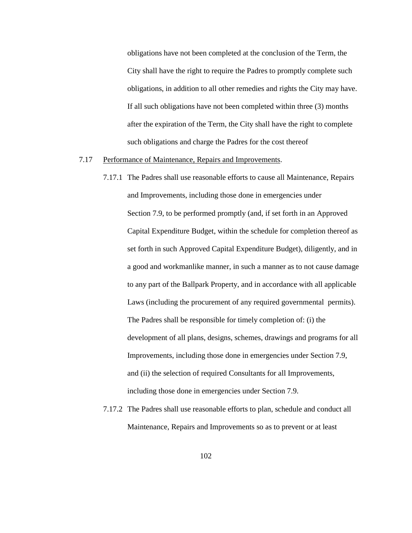obligations have not been completed at the conclusion of the Term, the City shall have the right to require the Padres to promptly complete such obligations, in addition to all other remedies and rights the City may have. If all such obligations have not been completed within three (3) months after the expiration of the Term, the City shall have the right to complete such obligations and charge the Padres for the cost thereof

## 7.17 Performance of Maintenance, Repairs and Improvements.

- 7.17.1 The Padres shall use reasonable efforts to cause all Maintenance, Repairs and Improvements, including those done in emergencies under Section 7.9, to be performed promptly (and, if set forth in an Approved Capital Expenditure Budget, within the schedule for completion thereof as set forth in such Approved Capital Expenditure Budget), diligently, and in a good and workmanlike manner, in such a manner as to not cause damage to any part of the Ballpark Property, and in accordance with all applicable Laws (including the procurement of any required governmental permits). The Padres shall be responsible for timely completion of: (i) the development of all plans, designs, schemes, drawings and programs for all Improvements, including those done in emergencies under Section 7.9, and (ii) the selection of required Consultants for all Improvements, including those done in emergencies under Section 7.9.
- 7.17.2 The Padres shall use reasonable efforts to plan, schedule and conduct all Maintenance, Repairs and Improvements so as to prevent or at least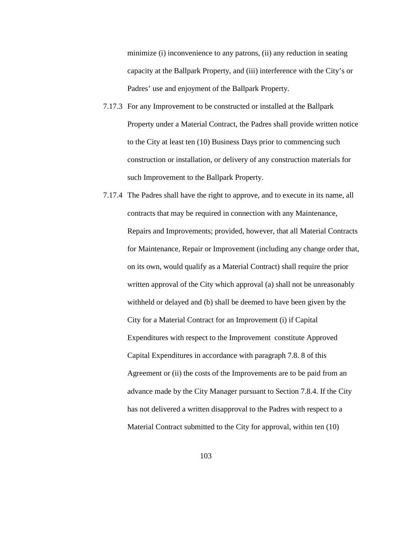minimize (i) inconvenience to any patrons, (ii) any reduction in seating capacity at the Ballpark Property, and (iii) interference with the City's or Padres' use and enjoyment of the Ballpark Property.

- 7.17.3 For any Improvement to be constructed or installed at the Ballpark Property under a Material Contract, the Padres shall provide written notice to the City at least ten (10) Business Days prior to commencing such construction or installation, or delivery of any construction materials for such Improvement to the Ballpark Property.
- 7.17.4 The Padres shall have the right to approve, and to execute in its name, all contracts that may be required in connection with any Maintenance, Repairs and Improvements; provided, however, that all Material Contracts for Maintenance, Repair or Improvement (including any change order that, on its own, would qualify as a Material Contract) shall require the prior written approval of the City which approval (a) shall not be unreasonably withheld or delayed and (b) shall be deemed to have been given by the City for a Material Contract for an Improvement (i) if Capital Expenditures with respect to the Improvement constitute Approved Capital Expenditures in accordance with paragraph 7.8. 8 of this Agreement or (ii) the costs of the Improvements are to be paid from an advance made by the City Manager pursuant to Section 7.8.4. If the City has not delivered a written disapproval to the Padres with respect to a Material Contract submitted to the City for approval, within ten (10)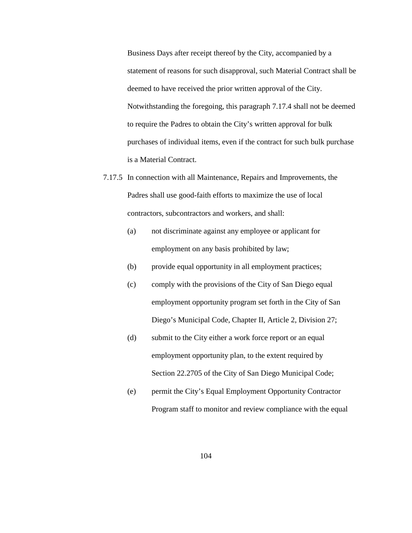Business Days after receipt thereof by the City, accompanied by a statement of reasons for such disapproval, such Material Contract shall be deemed to have received the prior written approval of the City. Notwithstanding the foregoing, this paragraph 7.17.4 shall not be deemed to require the Padres to obtain the City's written approval for bulk purchases of individual items, even if the contract for such bulk purchase is a Material Contract.

- 7.17.5 In connection with all Maintenance, Repairs and Improvements, the Padres shall use good-faith efforts to maximize the use of local contractors, subcontractors and workers, and shall:
	- (a) not discriminate against any employee or applicant for employment on any basis prohibited by law;
	- (b) provide equal opportunity in all employment practices;
	- (c) comply with the provisions of the City of San Diego equal employment opportunity program set forth in the City of San Diego's Municipal Code, Chapter II, Article 2, Division 27;
	- (d) submit to the City either a work force report or an equal employment opportunity plan, to the extent required by Section 22.2705 of the City of San Diego Municipal Code;
	- (e) permit the City's Equal Employment Opportunity Contractor Program staff to monitor and review compliance with the equal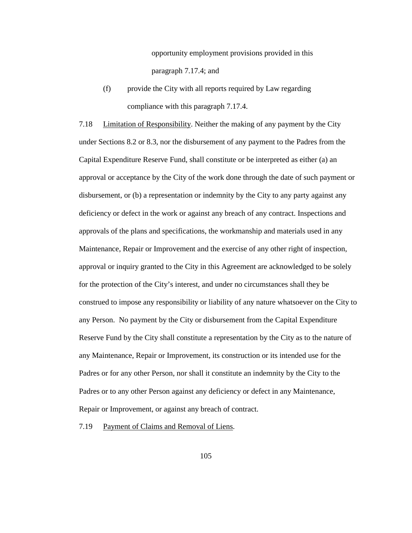opportunity employment provisions provided in this paragraph 7.17.4; and

(f) provide the City with all reports required by Law regarding compliance with this paragraph 7.17.4.

7.18 Limitation of Responsibility. Neither the making of any payment by the City under Sections 8.2 or 8.3, nor the disbursement of any payment to the Padres from the Capital Expenditure Reserve Fund, shall constitute or be interpreted as either (a) an approval or acceptance by the City of the work done through the date of such payment or disbursement, or (b) a representation or indemnity by the City to any party against any deficiency or defect in the work or against any breach of any contract. Inspections and approvals of the plans and specifications, the workmanship and materials used in any Maintenance, Repair or Improvement and the exercise of any other right of inspection, approval or inquiry granted to the City in this Agreement are acknowledged to be solely for the protection of the City's interest, and under no circumstances shall they be construed to impose any responsibility or liability of any nature whatsoever on the City to any Person. No payment by the City or disbursement from the Capital Expenditure Reserve Fund by the City shall constitute a representation by the City as to the nature of any Maintenance, Repair or Improvement, its construction or its intended use for the Padres or for any other Person, nor shall it constitute an indemnity by the City to the Padres or to any other Person against any deficiency or defect in any Maintenance, Repair or Improvement, or against any breach of contract.

7.19 Payment of Claims and Removal of Liens.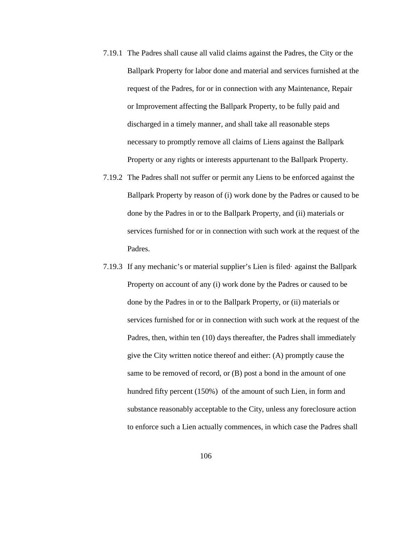- 7.19.1 The Padres shall cause all valid claims against the Padres, the City or the Ballpark Property for labor done and material and services furnished at the request of the Padres, for or in connection with any Maintenance, Repair or Improvement affecting the Ballpark Property, to be fully paid and discharged in a timely manner, and shall take all reasonable steps necessary to promptly remove all claims of Liens against the Ballpark Property or any rights or interests appurtenant to the Ballpark Property.
- 7.19.2 The Padres shall not suffer or permit any Liens to be enforced against the Ballpark Property by reason of (i) work done by the Padres or caused to be done by the Padres in or to the Ballpark Property, and (ii) materials or services furnished for or in connection with such work at the request of the Padres.
- 7.19.3 If any mechanic's or material supplier's Lien is filed· against the Ballpark Property on account of any (i) work done by the Padres or caused to be done by the Padres in or to the Ballpark Property, or (ii) materials or services furnished for or in connection with such work at the request of the Padres, then, within ten (10) days thereafter, the Padres shall immediately give the City written notice thereof and either: (A) promptly cause the same to be removed of record, or (B) post a bond in the amount of one hundred fifty percent (150%) of the amount of such Lien, in form and substance reasonably acceptable to the City, unless any foreclosure action to enforce such a Lien actually commences, in which case the Padres shall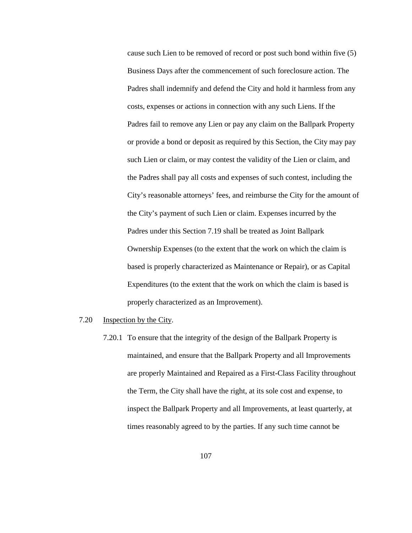cause such Lien to be removed of record or post such bond within five (5) Business Days after the commencement of such foreclosure action. The Padres shall indemnify and defend the City and hold it harmless from any costs, expenses or actions in connection with any such Liens. If the Padres fail to remove any Lien or pay any claim on the Ballpark Property or provide a bond or deposit as required by this Section, the City may pay such Lien or claim, or may contest the validity of the Lien or claim, and the Padres shall pay all costs and expenses of such contest, including the City's reasonable attorneys' fees, and reimburse the City for the amount of the City's payment of such Lien or claim. Expenses incurred by the Padres under this Section 7.19 shall be treated as Joint Ballpark Ownership Expenses (to the extent that the work on which the claim is based is properly characterized as Maintenance or Repair), or as Capital Expenditures (to the extent that the work on which the claim is based is properly characterized as an Improvement).

- 7.20 Inspection by the City.
	- 7.20.1 To ensure that the integrity of the design of the Ballpark Property is maintained, and ensure that the Ballpark Property and all Improvements are properly Maintained and Repaired as a First-Class Facility throughout the Term, the City shall have the right, at its sole cost and expense, to inspect the Ballpark Property and all Improvements, at least quarterly, at times reasonably agreed to by the parties. If any such time cannot be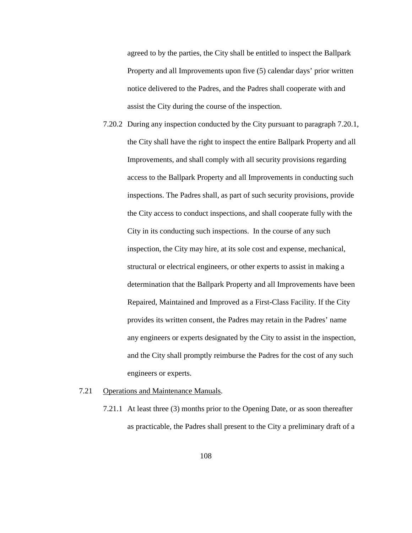agreed to by the parties, the City shall be entitled to inspect the Ballpark Property and all Improvements upon five (5) calendar days' prior written notice delivered to the Padres, and the Padres shall cooperate with and assist the City during the course of the inspection.

- 7.20.2 During any inspection conducted by the City pursuant to paragraph 7.20.1, the City shall have the right to inspect the entire Ballpark Property and all Improvements, and shall comply with all security provisions regarding access to the Ballpark Property and all Improvements in conducting such inspections. The Padres shall, as part of such security provisions, provide the City access to conduct inspections, and shall cooperate fully with the City in its conducting such inspections. In the course of any such inspection, the City may hire, at its sole cost and expense, mechanical, structural or electrical engineers, or other experts to assist in making a determination that the Ballpark Property and all Improvements have been Repaired, Maintained and Improved as a First-Class Facility. If the City provides its written consent, the Padres may retain in the Padres' name any engineers or experts designated by the City to assist in the inspection, and the City shall promptly reimburse the Padres for the cost of any such engineers or experts.
- 7.21 Operations and Maintenance Manuals.
	- 7.21.1 At least three (3) months prior to the Opening Date, or as soon thereafter as practicable, the Padres shall present to the City a preliminary draft of a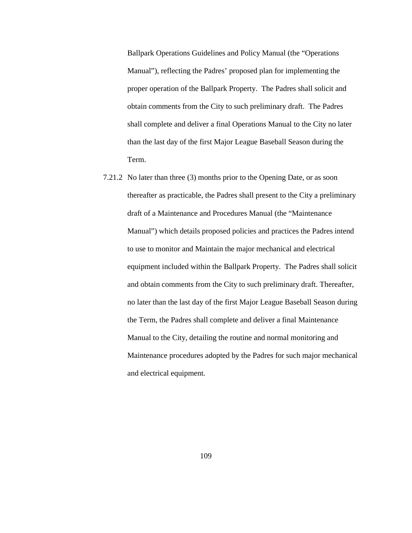Ballpark Operations Guidelines and Policy Manual (the "Operations Manual"), reflecting the Padres' proposed plan for implementing the proper operation of the Ballpark Property. The Padres shall solicit and obtain comments from the City to such preliminary draft. The Padres shall complete and deliver a final Operations Manual to the City no later than the last day of the first Major League Baseball Season during the Term.

7.21.2 No later than three (3) months prior to the Opening Date, or as soon thereafter as practicable, the Padres shall present to the City a preliminary draft of a Maintenance and Procedures Manual (the "Maintenance Manual") which details proposed policies and practices the Padres intend to use to monitor and Maintain the major mechanical and electrical equipment included within the Ballpark Property. The Padres shall solicit and obtain comments from the City to such preliminary draft. Thereafter, no later than the last day of the first Major League Baseball Season during the Term, the Padres shall complete and deliver a final Maintenance Manual to the City, detailing the routine and normal monitoring and Maintenance procedures adopted by the Padres for such major mechanical and electrical equipment.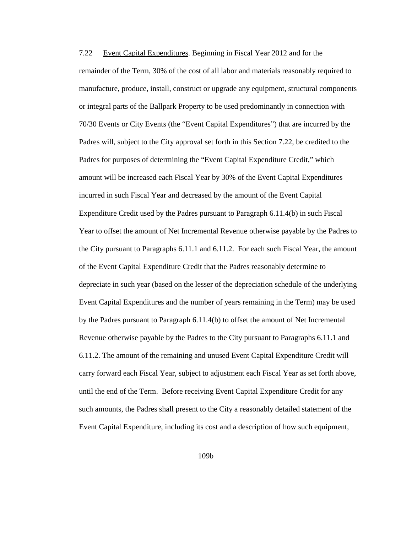7.22 Event Capital Expenditures. Beginning in Fiscal Year 2012 and for the remainder of the Term, 30% of the cost of all labor and materials reasonably required to manufacture, produce, install, construct or upgrade any equipment, structural components or integral parts of the Ballpark Property to be used predominantly in connection with 70/30 Events or City Events (the "Event Capital Expenditures") that are incurred by the Padres will, subject to the City approval set forth in this Section 7.22, be credited to the Padres for purposes of determining the "Event Capital Expenditure Credit," which amount will be increased each Fiscal Year by 30% of the Event Capital Expenditures incurred in such Fiscal Year and decreased by the amount of the Event Capital Expenditure Credit used by the Padres pursuant to Paragraph 6.11.4(b) in such Fiscal Year to offset the amount of Net Incremental Revenue otherwise payable by the Padres to the City pursuant to Paragraphs 6.11.1 and 6.11.2. For each such Fiscal Year, the amount of the Event Capital Expenditure Credit that the Padres reasonably determine to depreciate in such year (based on the lesser of the depreciation schedule of the underlying Event Capital Expenditures and the number of years remaining in the Term) may be used by the Padres pursuant to Paragraph 6.11.4(b) to offset the amount of Net Incremental Revenue otherwise payable by the Padres to the City pursuant to Paragraphs 6.11.1 and 6.11.2. The amount of the remaining and unused Event Capital Expenditure Credit will carry forward each Fiscal Year, subject to adjustment each Fiscal Year as set forth above, until the end of the Term. Before receiving Event Capital Expenditure Credit for any such amounts, the Padres shall present to the City a reasonably detailed statement of the Event Capital Expenditure, including its cost and a description of how such equipment,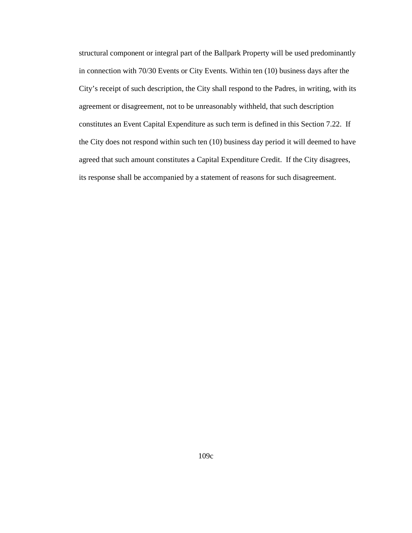structural component or integral part of the Ballpark Property will be used predominantly in connection with 70/30 Events or City Events. Within ten (10) business days after the City's receipt of such description, the City shall respond to the Padres, in writing, with its agreement or disagreement, not to be unreasonably withheld, that such description constitutes an Event Capital Expenditure as such term is defined in this Section 7.22. If the City does not respond within such ten (10) business day period it will deemed to have agreed that such amount constitutes a Capital Expenditure Credit. If the City disagrees, its response shall be accompanied by a statement of reasons for such disagreement.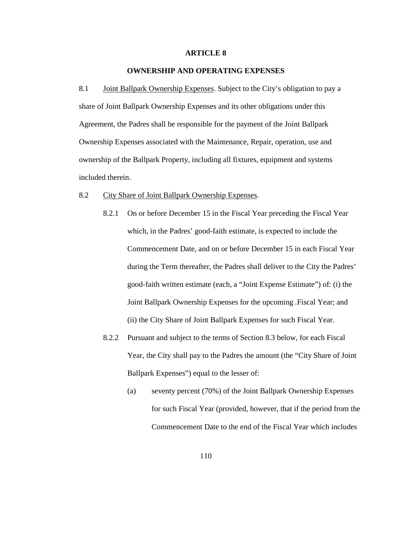## **ARTICLE 8**

# **OWNERSHIP AND OPERATING EXPENSES**

8.1 **Joint Ballpark Ownership Expenses.** Subject to the City's obligation to pay a share of Joint Ballpark Ownership Expenses and its other obligations under this Agreement, the Padres shall be responsible for the payment of the Joint Ballpark Ownership Expenses associated with the Maintenance, Repair, operation, use and ownership of the Ballpark Property, including all fixtures, equipment and systems included therein.

#### 8.2 City Share of Joint Ballpark Ownership Expenses.

- 8.2.1 On or before December 15 in the Fiscal Year preceding the Fiscal Year which, in the Padres' good-faith estimate, is expected to include the Commencement Date, and on or before December 15 in each Fiscal Year during the Term thereafter, the Padres shall deliver to the City the Padres' good-faith written estimate (each, a "Joint Expense Estimate") of: (i) the Joint Ballpark Ownership Expenses for the upcoming .Fiscal Year; and (ii) the City Share of Joint Ballpark Expenses for such Fiscal Year.
- 8.2.2 Pursuant and subject to the terms of Section 8.3 below, for each Fiscal Year, the City shall pay to the Padres the amount (the "City Share of Joint Ballpark Expenses") equal to the lesser of:
	- (a) seventy percent (70%) of the Joint Ballpark Ownership Expenses for such Fiscal Year (provided, however, that if the period from the Commencement Date to the end of the Fiscal Year which includes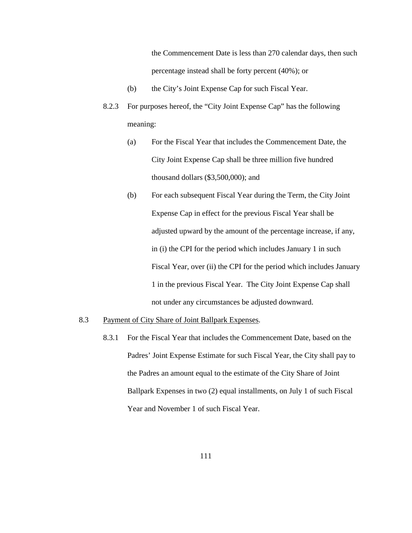the Commencement Date is less than 270 calendar days, then such percentage instead shall be forty percent (40%); or

- (b) the City's Joint Expense Cap for such Fiscal Year.
- 8.2.3 For purposes hereof, the "City Joint Expense Cap" has the following meaning:
	- (a) For the Fiscal Year that includes the Commencement Date, the City Joint Expense Cap shall be three million five hundred thousand dollars (\$3,500,000); and
	- (b) For each subsequent Fiscal Year during the Term, the City Joint Expense Cap in effect for the previous Fiscal Year shall be adjusted upward by the amount of the percentage increase, if any, in (i) the CPI for the period which includes January 1 in such Fiscal Year, over (ii) the CPI for the period which includes January 1 in the previous Fiscal Year. The City Joint Expense Cap shall not under any circumstances be adjusted downward.
- 8.3 Payment of City Share of Joint Ballpark Expenses.
	- 8.3.1 For the Fiscal Year that includes the Commencement Date, based on the Padres' Joint Expense Estimate for such Fiscal Year, the City shall pay to the Padres an amount equal to the estimate of the City Share of Joint Ballpark Expenses in two (2) equal installments, on July 1 of such Fiscal Year and November 1 of such Fiscal Year.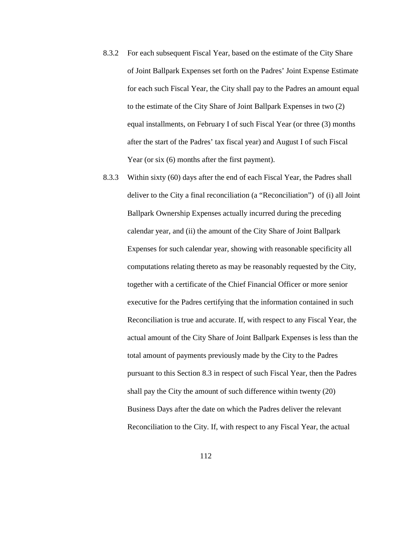- 8.3.2 For each subsequent Fiscal Year, based on the estimate of the City Share of Joint Ballpark Expenses set forth on the Padres' Joint Expense Estimate for each such Fiscal Year, the City shall pay to the Padres an amount equal to the estimate of the City Share of Joint Ballpark Expenses in two (2) equal installments, on February I of such Fiscal Year (or three (3) months after the start of the Padres' tax fiscal year) and August I of such Fiscal Year (or six  $(6)$  months after the first payment).
- 8.3.3 Within sixty (60) days after the end of each Fiscal Year, the Padres shall deliver to the City a final reconciliation (a "Reconciliation") of (i) all Joint Ballpark Ownership Expenses actually incurred during the preceding calendar year, and (ii) the amount of the City Share of Joint Ballpark Expenses for such calendar year, showing with reasonable specificity all computations relating thereto as may be reasonably requested by the City, together with a certificate of the Chief Financial Officer or more senior executive for the Padres certifying that the information contained in such Reconciliation is true and accurate. If, with respect to any Fiscal Year, the actual amount of the City Share of Joint Ballpark Expenses is less than the total amount of payments previously made by the City to the Padres pursuant to this Section 8.3 in respect of such Fiscal Year, then the Padres shall pay the City the amount of such difference within twenty (20) Business Days after the date on which the Padres deliver the relevant Reconciliation to the City. If, with respect to any Fiscal Year, the actual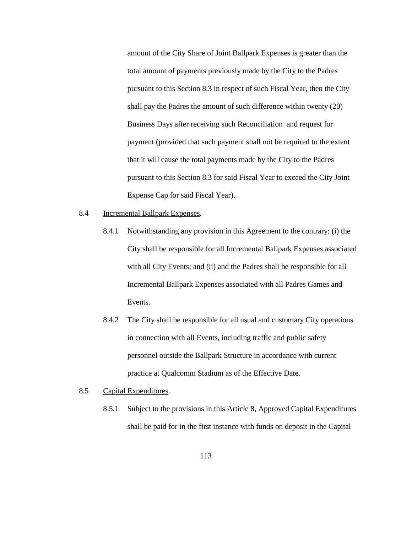amount of the City Share of Joint Ballpark Expenses is greater than the total amount of payments previously made by the City to the Padres pursuant to this Section 8.3 in respect of such Fiscal Year, then the City shall pay the Padres the amount of such difference within twenty (20) Business Days after receiving such Reconciliation and request for payment (provided that such payment shall not be required to the extent that it will cause the total payments made by the City to the Padres pursuant to this Section 8.3 for said Fiscal Year to exceed the City Joint Expense Cap for said Fiscal Year).

- 8.4 Incremental Ballpark Expenses.
	- 8.4.1 Notwithstanding any provision in this Agreement to the contrary: (i) the City shall be responsible for all Incremental Ballpark Expenses associated with all City Events; and (ii) and the Padres shall be responsible for all Incremental Ballpark Expenses associated with all Padres Games and Events.
	- 8.4.2 The City shall be responsible for all usual and customary City operations in connection with all Events, including traffic and public safety personnel outside the Ballpark Structure in accordance with current practice at Qualcomm Stadium as of the Effective Date.
- 8.5 Capital Expenditures.
	- 8.5.1 Subject to the provisions in this Article 8, Approved Capital Expenditures shall be paid for in the first instance with funds on deposit in the Capital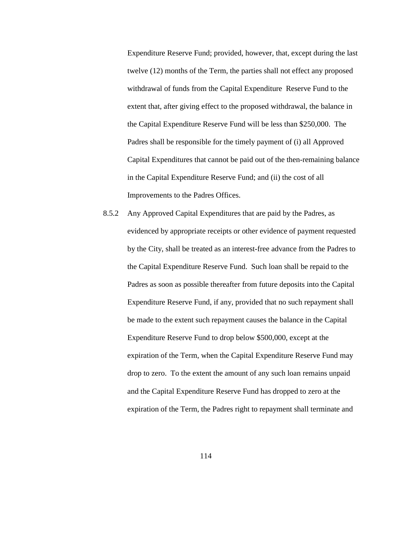Expenditure Reserve Fund; provided, however, that, except during the last twelve (12) months of the Term, the parties shall not effect any proposed withdrawal of funds from the Capital Expenditure Reserve Fund to the extent that, after giving effect to the proposed withdrawal, the balance in the Capital Expenditure Reserve Fund will be less than \$250,000. The Padres shall be responsible for the timely payment of (i) all Approved Capital Expenditures that cannot be paid out of the then-remaining balance in the Capital Expenditure Reserve Fund; and (ii) the cost of all Improvements to the Padres Offices.

8.5.2 Any Approved Capital Expenditures that are paid by the Padres, as evidenced by appropriate receipts or other evidence of payment requested by the City, shall be treated as an interest-free advance from the Padres to the Capital Expenditure Reserve Fund. Such loan shall be repaid to the Padres as soon as possible thereafter from future deposits into the Capital Expenditure Reserve Fund, if any, provided that no such repayment shall be made to the extent such repayment causes the balance in the Capital Expenditure Reserve Fund to drop below \$500,000, except at the expiration of the Term, when the Capital Expenditure Reserve Fund may drop to zero. To the extent the amount of any such loan remains unpaid and the Capital Expenditure Reserve Fund has dropped to zero at the expiration of the Term, the Padres right to repayment shall terminate and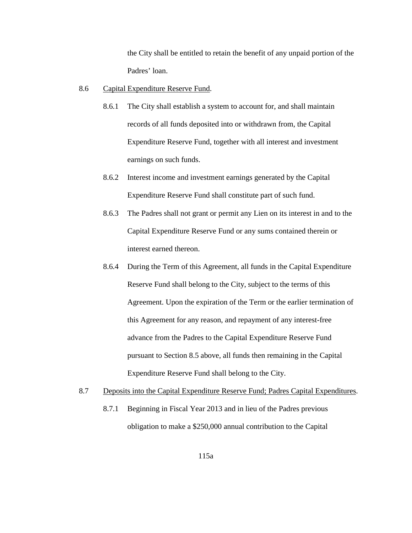the City shall be entitled to retain the benefit of any unpaid portion of the Padres' loan.

- 8.6 Capital Expenditure Reserve Fund.
	- 8.6.1 The City shall establish a system to account for, and shall maintain records of all funds deposited into or withdrawn from, the Capital Expenditure Reserve Fund, together with all interest and investment earnings on such funds.
	- 8.6.2 Interest income and investment earnings generated by the Capital Expenditure Reserve Fund shall constitute part of such fund.
	- 8.6.3 The Padres shall not grant or permit any Lien on its interest in and to the Capital Expenditure Reserve Fund or any sums contained therein or interest earned thereon.
	- 8.6.4 During the Term of this Agreement, all funds in the Capital Expenditure Reserve Fund shall belong to the City, subject to the terms of this Agreement. Upon the expiration of the Term or the earlier termination of this Agreement for any reason, and repayment of any interest-free advance from the Padres to the Capital Expenditure Reserve Fund pursuant to Section 8.5 above, all funds then remaining in the Capital Expenditure Reserve Fund shall belong to the City.
- 8.7 Deposits into the Capital Expenditure Reserve Fund; Padres Capital Expenditures.
	- 8.7.1 Beginning in Fiscal Year 2013 and in lieu of the Padres previous obligation to make a \$250,000 annual contribution to the Capital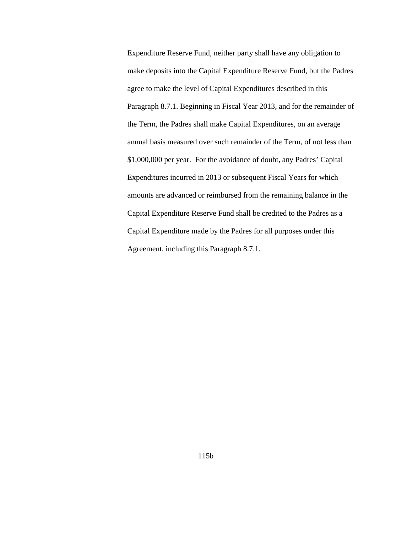Expenditure Reserve Fund, neither party shall have any obligation to make deposits into the Capital Expenditure Reserve Fund, but the Padres agree to make the level of Capital Expenditures described in this Paragraph 8.7.1. Beginning in Fiscal Year 2013, and for the remainder of the Term, the Padres shall make Capital Expenditures, on an average annual basis measured over such remainder of the Term, of not less than \$1,000,000 per year. For the avoidance of doubt, any Padres' Capital Expenditures incurred in 2013 or subsequent Fiscal Years for which amounts are advanced or reimbursed from the remaining balance in the Capital Expenditure Reserve Fund shall be credited to the Padres as a Capital Expenditure made by the Padres for all purposes under this Agreement, including this Paragraph 8.7.1.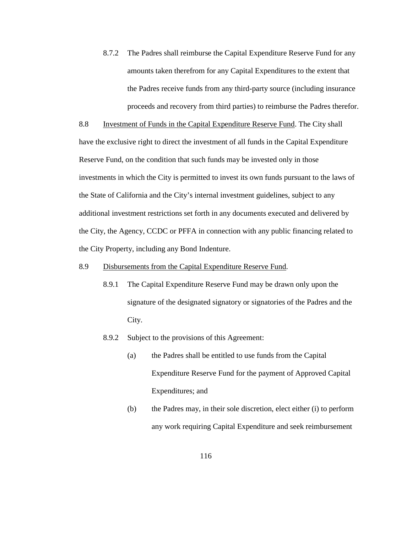8.7.2 The Padres shall reimburse the Capital Expenditure Reserve Fund for any amounts taken therefrom for any Capital Expenditures to the extent that the Padres receive funds from any third-party source (including insurance proceeds and recovery from third parties) to reimburse the Padres therefor.

8.8 Investment of Funds in the Capital Expenditure Reserve Fund. The City shall have the exclusive right to direct the investment of all funds in the Capital Expenditure Reserve Fund, on the condition that such funds may be invested only in those investments in which the City is permitted to invest its own funds pursuant to the laws of the State of California and the City's internal investment guidelines, subject to any additional investment restrictions set forth in any documents executed and delivered by the City, the Agency, CCDC or PFFA in connection with any public financing related to the City Property, including any Bond Indenture.

# 8.9 Disbursements from the Capital Expenditure Reserve Fund.

- 8.9.1 The Capital Expenditure Reserve Fund may be drawn only upon the signature of the designated signatory or signatories of the Padres and the City.
- 8.9.2 Subject to the provisions of this Agreement:
	- (a) the Padres shall be entitled to use funds from the Capital Expenditure Reserve Fund for the payment of Approved Capital Expenditures; and
	- (b) the Padres may, in their sole discretion, elect either (i) to perform any work requiring Capital Expenditure and seek reimbursement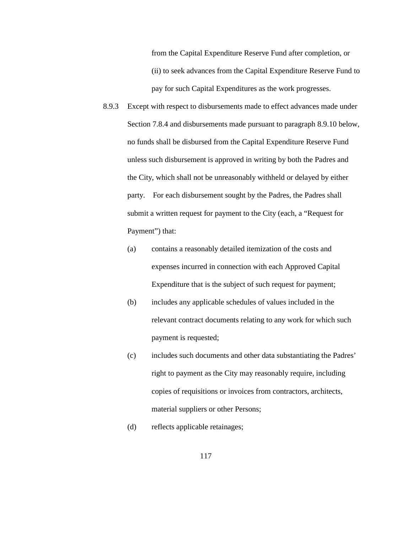from the Capital Expenditure Reserve Fund after completion, or (ii) to seek advances from the Capital Expenditure Reserve Fund to pay for such Capital Expenditures as the work progresses.

- 8.9.3 Except with respect to disbursements made to effect advances made under Section 7.8.4 and disbursements made pursuant to paragraph 8.9.10 below, no funds shall be disbursed from the Capital Expenditure Reserve Fund unless such disbursement is approved in writing by both the Padres and the City, which shall not be unreasonably withheld or delayed by either party. For each disbursement sought by the Padres, the Padres shall submit a written request for payment to the City (each, a "Request for Payment") that:
	- (a) contains a reasonably detailed itemization of the costs and expenses incurred in connection with each Approved Capital Expenditure that is the subject of such request for payment;
	- (b) includes any applicable schedules of values included in the relevant contract documents relating to any work for which such payment is requested;
	- (c) includes such documents and other data substantiating the Padres' right to payment as the City may reasonably require, including copies of requisitions or invoices from contractors, architects, material suppliers or other Persons;
	- (d) reflects applicable retainages;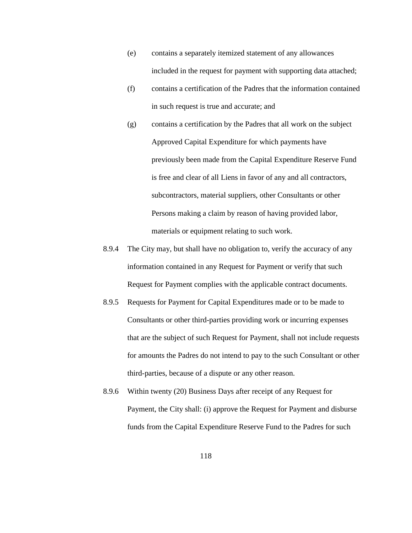- (e) contains a separately itemized statement of any allowances included in the request for payment with supporting data attached;
- (f) contains a certification of the Padres that the information contained in such request is true and accurate; and
- (g) contains a certification by the Padres that all work on the subject Approved Capital Expenditure for which payments have previously been made from the Capital Expenditure Reserve Fund is free and clear of all Liens in favor of any and all contractors, subcontractors, material suppliers, other Consultants or other Persons making a claim by reason of having provided labor, materials or equipment relating to such work.
- 8.9.4 The City may, but shall have no obligation to, verify the accuracy of any information contained in any Request for Payment or verify that such Request for Payment complies with the applicable contract documents.
- 8.9.5 Requests for Payment for Capital Expenditures made or to be made to Consultants or other third-parties providing work or incurring expenses that are the subject of such Request for Payment, shall not include requests for amounts the Padres do not intend to pay to the such Consultant or other third-parties, because of a dispute or any other reason.
- 8.9.6 Within twenty (20) Business Days after receipt of any Request for Payment, the City shall: (i) approve the Request for Payment and disburse funds from the Capital Expenditure Reserve Fund to the Padres for such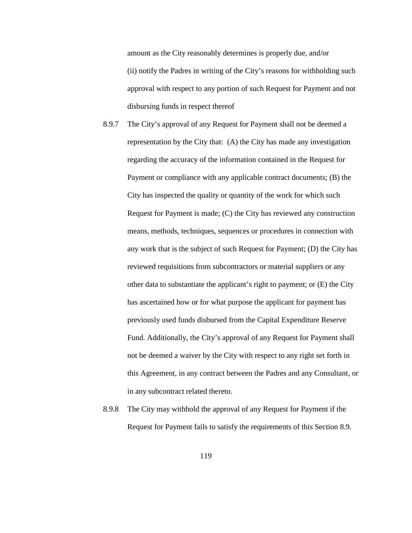amount as the City reasonably determines is properly due, and/or (ii) notify the Padres in writing of the City's reasons for withholding such approval with respect to any portion of such Request for Payment and not disbursing funds in respect thereof

- 8.9.7 The City's approval of any Request for Payment shall not be deemed a representation by the City that: (A) the City has made any investigation regarding the accuracy of the information contained in the Request for Payment or compliance with any applicable contract documents; (B) the City has inspected the quality or quantity of the work for which such Request for Payment is made; (C) the City has reviewed any construction means, methods, techniques, sequences or procedures in connection with any work that is the subject of such Request for Payment; (D) the City has reviewed requisitions from subcontractors or material suppliers or any other data to substantiate the applicant's right to payment; or (E) the City has ascertained how or for what purpose the applicant for payment has previously used funds disbursed from the Capital Expenditure Reserve Fund. Additionally, the City's approval of any Request for Payment shall not be deemed a waiver by the City with respect to any right set forth in this Agreement, in any contract between the Padres and any Consultant, or in any subcontract related thereto.
- 8.9.8 The City may withhold the approval of any Request for Payment if the Request for Payment fails to satisfy the requirements of this Section 8.9.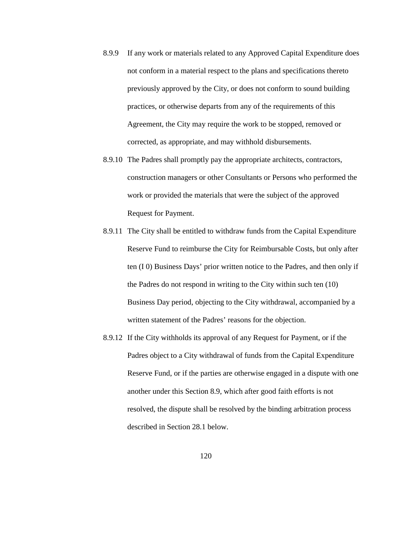- 8.9.9 If any work or materials related to any Approved Capital Expenditure does not conform in a material respect to the plans and specifications thereto previously approved by the City, or does not conform to sound building practices, or otherwise departs from any of the requirements of this Agreement, the City may require the work to be stopped, removed or corrected, as appropriate, and may withhold disbursements.
- 8.9.10 The Padres shall promptly pay the appropriate architects, contractors, construction managers or other Consultants or Persons who performed the work or provided the materials that were the subject of the approved Request for Payment.
- 8.9.11 The City shall be entitled to withdraw funds from the Capital Expenditure Reserve Fund to reimburse the City for Reimbursable Costs, but only after ten (I 0) Business Days' prior written notice to the Padres, and then only if the Padres do not respond in writing to the City within such ten (10) Business Day period, objecting to the City withdrawal, accompanied by a written statement of the Padres' reasons for the objection.
- 8.9.12 If the City withholds its approval of any Request for Payment, or if the Padres object to a City withdrawal of funds from the Capital Expenditure Reserve Fund, or if the parties are otherwise engaged in a dispute with one another under this Section 8.9, which after good faith efforts is not resolved, the dispute shall be resolved by the binding arbitration process described in Section 28.1 below.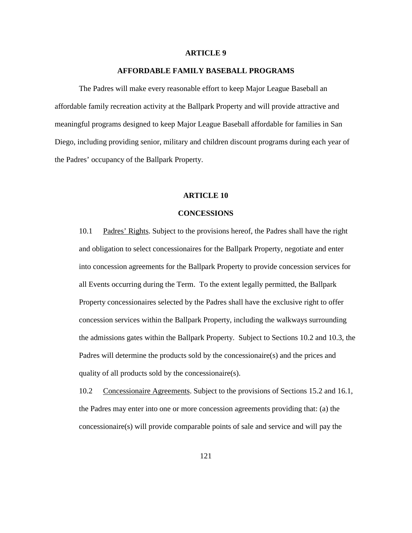#### **ARTICLE 9**

## **AFFORDABLE FAMILY BASEBALL PROGRAMS**

The Padres will make every reasonable effort to keep Major League Baseball an affordable family recreation activity at the Ballpark Property and will provide attractive and meaningful programs designed to keep Major League Baseball affordable for families in San Diego, including providing senior, military and children discount programs during each year of the Padres' occupancy of the Ballpark Property.

#### **ARTICLE 10**

#### **CONCESSIONS**

10.1 Padres' Rights. Subject to the provisions hereof, the Padres shall have the right and obligation to select concessionaires for the Ballpark Property, negotiate and enter into concession agreements for the Ballpark Property to provide concession services for all Events occurring during the Term. To the extent legally permitted, the Ballpark Property concessionaires selected by the Padres shall have the exclusive right to offer concession services within the Ballpark Property, including the walkways surrounding the admissions gates within the Ballpark Property. Subject to Sections 10.2 and 10.3, the Padres will determine the products sold by the concessionaire(s) and the prices and quality of all products sold by the concessionaire(s).

10.2 Concessionaire Agreements. Subject to the provisions of Sections 15.2 and 16.1, the Padres may enter into one or more concession agreements providing that: (a) the concessionaire(s) will provide comparable points of sale and service and will pay the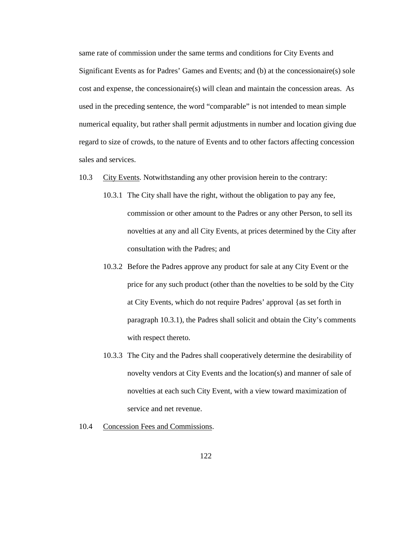same rate of commission under the same terms and conditions for City Events and Significant Events as for Padres' Games and Events; and (b) at the concessionaire(s) sole cost and expense, the concessionaire(s) will clean and maintain the concession areas. As used in the preceding sentence, the word "comparable" is not intended to mean simple numerical equality, but rather shall permit adjustments in number and location giving due regard to size of crowds, to the nature of Events and to other factors affecting concession sales and services.

- 10.3 City Events. Notwithstanding any other provision herein to the contrary:
	- 10.3.1 The City shall have the right, without the obligation to pay any fee, commission or other amount to the Padres or any other Person, to sell its novelties at any and all City Events, at prices determined by the City after consultation with the Padres; and
	- 10.3.2 Before the Padres approve any product for sale at any City Event or the price for any such product (other than the novelties to be sold by the City at City Events, which do not require Padres' approval {as set forth in paragraph 10.3.1), the Padres shall solicit and obtain the City's comments with respect thereto.
	- 10.3.3 The City and the Padres shall cooperatively determine the desirability of novelty vendors at City Events and the location(s) and manner of sale of novelties at each such City Event, with a view toward maximization of service and net revenue.
- 10.4 Concession Fees and Commissions.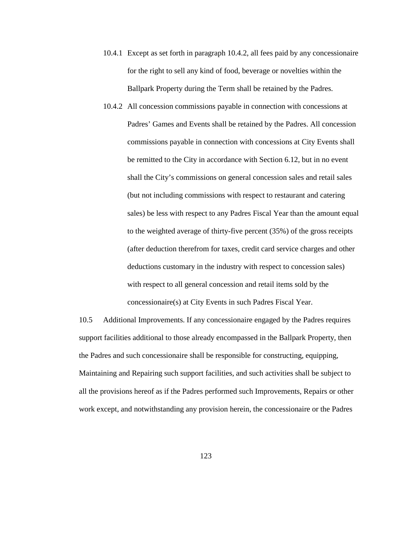- 10.4.1 Except as set forth in paragraph 10.4.2, all fees paid by any concessionaire for the right to sell any kind of food, beverage or novelties within the Ballpark Property during the Term shall be retained by the Padres.
- 10.4.2 All concession commissions payable in connection with concessions at Padres' Games and Events shall be retained by the Padres. All concession commissions payable in connection with concessions at City Events shall be remitted to the City in accordance with Section 6.12, but in no event shall the City's commissions on general concession sales and retail sales (but not including commissions with respect to restaurant and catering sales) be less with respect to any Padres Fiscal Year than the amount equal to the weighted average of thirty-five percent (35%) of the gross receipts (after deduction therefrom for taxes, credit card service charges and other deductions customary in the industry with respect to concession sales) with respect to all general concession and retail items sold by the concessionaire(s) at City Events in such Padres Fiscal Year.

10.5 Additional Improvements. If any concessionaire engaged by the Padres requires support facilities additional to those already encompassed in the Ballpark Property, then the Padres and such concessionaire shall be responsible for constructing, equipping, Maintaining and Repairing such support facilities, and such activities shall be subject to all the provisions hereof as if the Padres performed such Improvements, Repairs or other work except, and notwithstanding any provision herein, the concessionaire or the Padres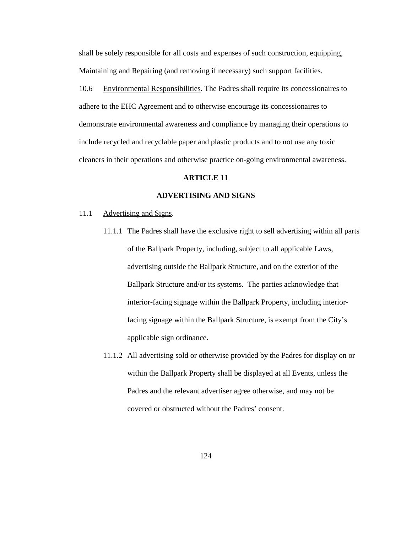shall be solely responsible for all costs and expenses of such construction, equipping, Maintaining and Repairing (and removing if necessary) such support facilities.

10.6 Environmental Responsibilities. The Padres shall require its concessionaires to adhere to the EHC Agreement and to otherwise encourage its concessionaires to demonstrate environmental awareness and compliance by managing their operations to include recycled and recyclable paper and plastic products and to not use any toxic cleaners in their operations and otherwise practice on-going environmental awareness.

## **ARTICLE 11**

## **ADVERTISING AND SIGNS**

#### 11.1 Advertising and Signs.

- 11.1.1 The Padres shall have the exclusive right to sell advertising within all parts of the Ballpark Property, including, subject to all applicable Laws, advertising outside the Ballpark Structure, and on the exterior of the Ballpark Structure and/or its systems. The parties acknowledge that interior-facing signage within the Ballpark Property, including interiorfacing signage within the Ballpark Structure, is exempt from the City's applicable sign ordinance.
- 11.1.2 All advertising sold or otherwise provided by the Padres for display on or within the Ballpark Property shall be displayed at all Events, unless the Padres and the relevant advertiser agree otherwise, and may not be covered or obstructed without the Padres' consent.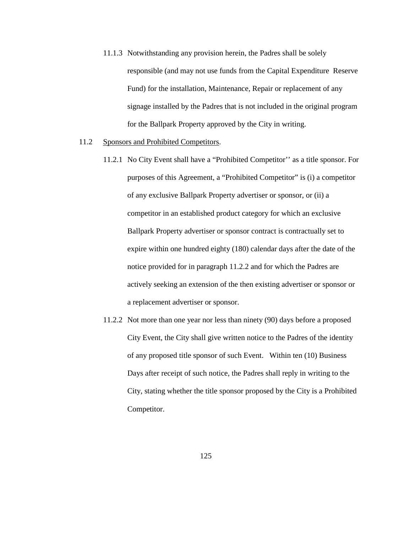- 11.1.3 Notwithstanding any provision herein, the Padres shall be solely responsible (and may not use funds from the Capital Expenditure Reserve Fund) for the installation, Maintenance, Repair or replacement of any signage installed by the Padres that is not included in the original program for the Ballpark Property approved by the City in writing.
- 11.2 Sponsors and Prohibited Competitors.
	- 11.2.1 No City Event shall have a "Prohibited Competitor'' as a title sponsor. For purposes of this Agreement, a "Prohibited Competitor" is (i) a competitor of any exclusive Ballpark Property advertiser or sponsor, or (ii) a competitor in an established product category for which an exclusive Ballpark Property advertiser or sponsor contract is contractually set to expire within one hundred eighty (180) calendar days after the date of the notice provided for in paragraph 11.2.2 and for which the Padres are actively seeking an extension of the then existing advertiser or sponsor or a replacement advertiser or sponsor.
	- 11.2.2 Not more than one year nor less than ninety (90) days before a proposed City Event, the City shall give written notice to the Padres of the identity of any proposed title sponsor of such Event. Within ten (10) Business Days after receipt of such notice, the Padres shall reply in writing to the City, stating whether the title sponsor proposed by the City is a Prohibited Competitor.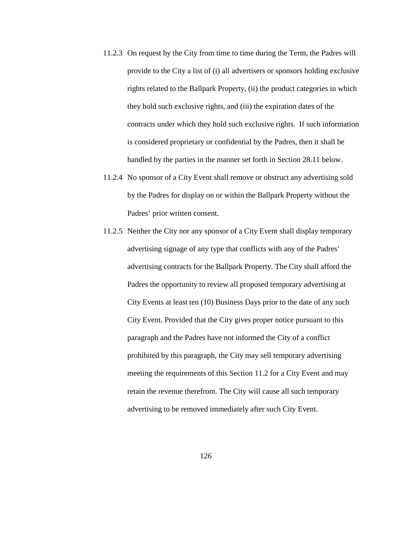- 11.2.3 On request by the City from time to time during the Term, the Padres will provide to the City a list of (i) all advertisers or sponsors holding exclusive rights related to the Ballpark Property, (ii) the product categories in which they hold such exclusive rights, and (iii) the expiration dates of the contracts under which they hold such exclusive rights. If such information is considered proprietary or confidential by the Padres, then it shall be handled by the parties in the manner set forth in Section 28.11 below.
- 11.2.4 No sponsor of a City Event shall remove or obstruct any advertising sold by the Padres for display on or within the Ballpark Property without the Padres' prior written consent.
- 11.2.5 Neither the City nor any sponsor of a City Event shall display temporary advertising signage of any type that conflicts with any of the Padres' advertising contracts for the Ballpark Property. The City shall afford the Padres the opportunity to review all proposed temporary advertising at City Events at least ten (10) Business Days prior to the date of any such City Event. Provided that the City gives proper notice pursuant to this paragraph and the Padres have not informed the City of a conflict prohibited by this paragraph, the City may sell temporary advertising meeting the requirements of this Section 11.2 for a City Event and may retain the revenue therefrom. The City will cause all such temporary advertising to be removed immediately after such City Event.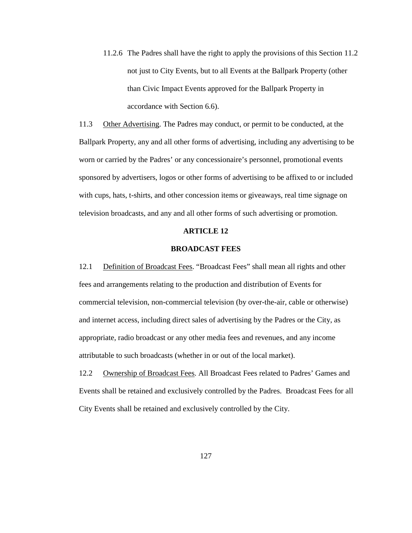11.2.6 The Padres shall have the right to apply the provisions of this Section 11.2 not just to City Events, but to all Events at the Ballpark Property (other than Civic Impact Events approved for the Ballpark Property in accordance with Section 6.6).

11.3 Other Advertising. The Padres may conduct, or permit to be conducted, at the Ballpark Property, any and all other forms of advertising, including any advertising to be worn or carried by the Padres' or any concessionaire's personnel, promotional events sponsored by advertisers, logos or other forms of advertising to be affixed to or included with cups, hats, t-shirts, and other concession items or giveaways, real time signage on television broadcasts, and any and all other forms of such advertising or promotion.

## **ARTICLE 12**

## **BROADCAST FEES**

12.1 Definition of Broadcast Fees. "Broadcast Fees" shall mean all rights and other fees and arrangements relating to the production and distribution of Events for commercial television, non-commercial television (by over-the-air, cable or otherwise) and internet access, including direct sales of advertising by the Padres or the City, as appropriate, radio broadcast or any other media fees and revenues, and any income attributable to such broadcasts (whether in or out of the local market).

12.2 Ownership of Broadcast Fees. All Broadcast Fees related to Padres' Games and Events shall be retained and exclusively controlled by the Padres. Broadcast Fees for all City Events shall be retained and exclusively controlled by the City.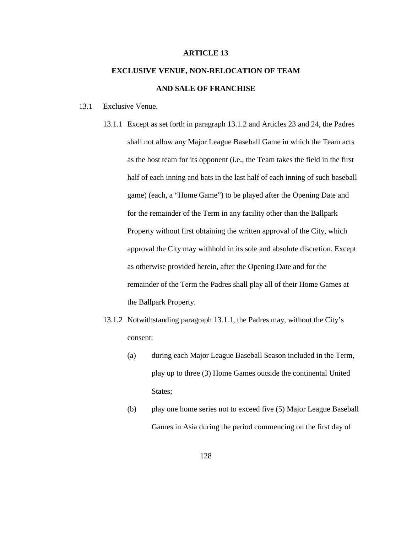## **ARTICLE 13**

# **EXCLUSIVE VENUE, NON-RELOCATION OF TEAM AND SALE OF FRANCHISE**

#### 13.1 Exclusive Venue.

- 13.1.1 Except as set forth in paragraph 13.1.2 and Articles 23 and 24, the Padres shall not allow any Major League Baseball Game in which the Team acts as the host team for its opponent (i.e., the Team takes the field in the first half of each inning and bats in the last half of each inning of such baseball game) (each, a "Home Game") to be played after the Opening Date and for the remainder of the Term in any facility other than the Ballpark Property without first obtaining the written approval of the City, which approval the City may withhold in its sole and absolute discretion. Except as otherwise provided herein, after the Opening Date and for the remainder of the Term the Padres shall play all of their Home Games at the Ballpark Property.
- 13.1.2 Notwithstanding paragraph 13.1.1, the Padres may, without the City's consent:
	- (a) during each Major League Baseball Season included in the Term, play up to three (3) Home Games outside the continental United States;
	- (b) play one home series not to exceed five (5) Major League Baseball Games in Asia during the period commencing on the first day of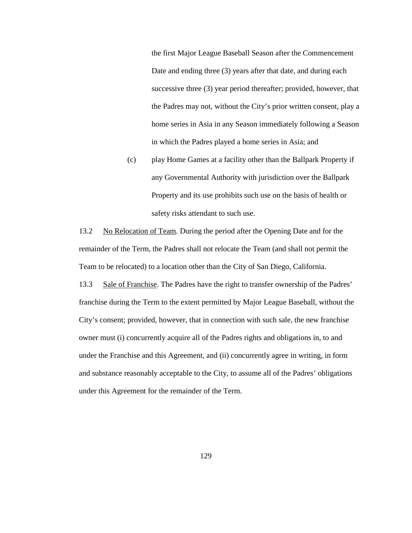the first Major League Baseball Season after the Commencement Date and ending three (3) years after that date, and during each successive three (3) year period thereafter; provided, however, that the Padres may not, without the City's prior written consent, play a home series in Asia in any Season immediately following a Season in which the Padres played a home series in Asia; and

(c) play Home Games at a facility other than the Ballpark Property if any Governmental Authority with jurisdiction over the Ballpark Property and its use prohibits such use on the basis of health or safety risks attendant to such use.

13.2 No Relocation of Team. During the period after the Opening Date and for the remainder of the Term, the Padres shall not relocate the Team (and shall not permit the Team to be relocated) to a location other than the City of San Diego, California.

13.3 Sale of Franchise. The Padres have the right to transfer ownership of the Padres' franchise during the Term to the extent permitted by Major League Baseball, without the City's consent; provided, however, that in connection with such sale, the new franchise owner must (i) concurrently acquire all of the Padres rights and obligations in, to and under the Franchise and this Agreement, and (ii) concurrently agree in writing, in form and substance reasonably acceptable to the City, to assume all of the Padres' obligations under this Agreement for the remainder of the Term.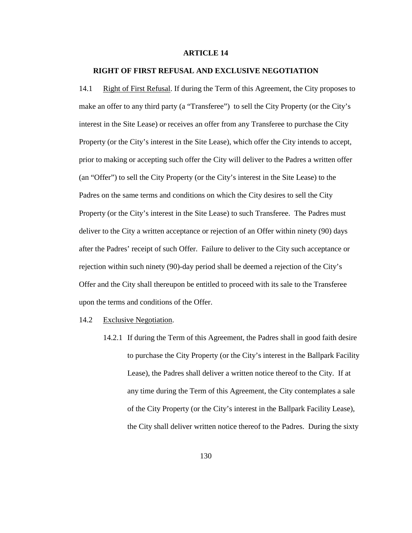#### **ARTICLE 14**

## **RIGHT OF FIRST REFUSAL AND EXCLUSIVE NEGOTIATION**

14.1 Right of First Refusal. If during the Term of this Agreement, the City proposes to make an offer to any third party (a "Transferee") to sell the City Property (or the City's interest in the Site Lease) or receives an offer from any Transferee to purchase the City Property (or the City's interest in the Site Lease), which offer the City intends to accept, prior to making or accepting such offer the City will deliver to the Padres a written offer (an "Offer") to sell the City Property (or the City's interest in the Site Lease) to the Padres on the same terms and conditions on which the City desires to sell the City Property (or the City's interest in the Site Lease) to such Transferee. The Padres must deliver to the City a written acceptance or rejection of an Offer within ninety (90) days after the Padres' receipt of such Offer. Failure to deliver to the City such acceptance or rejection within such ninety (90)-day period shall be deemed a rejection of the City's Offer and the City shall thereupon be entitled to proceed with its sale to the Transferee upon the terms and conditions of the Offer.

## 14.2 Exclusive Negotiation.

14.2.1 If during the Term of this Agreement, the Padres shall in good faith desire to purchase the City Property (or the City's interest in the Ballpark Facility Lease), the Padres shall deliver a written notice thereof to the City. If at any time during the Term of this Agreement, the City contemplates a sale of the City Property (or the City's interest in the Ballpark Facility Lease), the City shall deliver written notice thereof to the Padres. During the sixty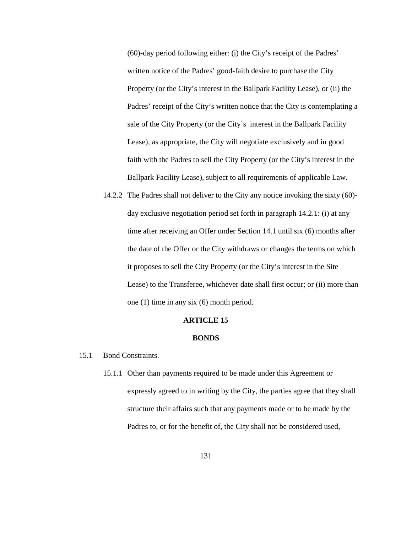(60)-day period following either: (i) the City's receipt of the Padres' written notice of the Padres' good-faith desire to purchase the City Property (or the City's interest in the Ballpark Facility Lease), or (ii) the Padres' receipt of the City's written notice that the City is contemplating a sale of the City Property (or the City's interest in the Ballpark Facility Lease), as appropriate, the City will negotiate exclusively and in good faith with the Padres to sell the City Property (or the City's interest in the Ballpark Facility Lease), subject to all requirements of applicable Law.

14.2.2 The Padres shall not deliver to the City any notice invoking the sixty (60) day exclusive negotiation period set forth in paragraph 14.2.1: (i) at any time after receiving an Offer under Section 14.1 until six (6) months after the date of the Offer or the City withdraws or changes the terms on which it proposes to sell the City Property (or the City's interest in the Site Lease) to the Transferee, whichever date shall first occur; or (ii) more than one (1) time in any six (6) month period.

### **ARTICLE 15**

#### **BONDS**

# 15.1 Bond Constraints.

15.1.1 Other than payments required to be made under this Agreement or expressly agreed to in writing by the City, the parties agree that they shall structure their affairs such that any payments made or to be made by the Padres to, or for the benefit of, the City shall not be considered used,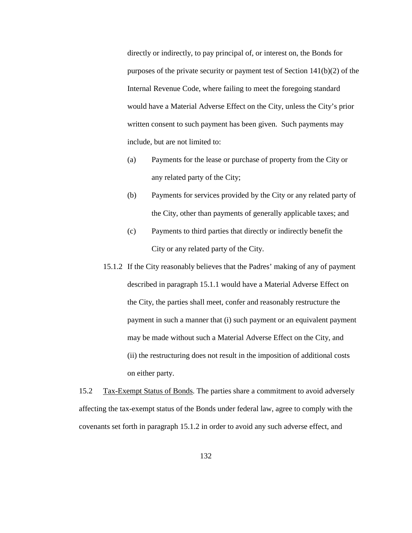directly or indirectly, to pay principal of, or interest on, the Bonds for purposes of the private security or payment test of Section 141(b)(2) of the Internal Revenue Code, where failing to meet the foregoing standard would have a Material Adverse Effect on the City, unless the City's prior written consent to such payment has been given. Such payments may include, but are not limited to:

- (a) Payments for the lease or purchase of property from the City or any related party of the City;
- (b) Payments for services provided by the City or any related party of the City, other than payments of generally applicable taxes; and
- (c) Payments to third parties that directly or indirectly benefit the City or any related party of the City.
- 15.1.2 If the City reasonably believes that the Padres' making of any of payment described in paragraph 15.1.1 would have a Material Adverse Effect on the City, the parties shall meet, confer and reasonably restructure the payment in such a manner that (i) such payment or an equivalent payment may be made without such a Material Adverse Effect on the City, and (ii) the restructuring does not result in the imposition of additional costs on either party.

15.2 Tax-Exempt Status of Bonds. The parties share a commitment to avoid adversely affecting the tax-exempt status of the Bonds under federal law, agree to comply with the covenants set forth in paragraph 15.1.2 in order to avoid any such adverse effect, and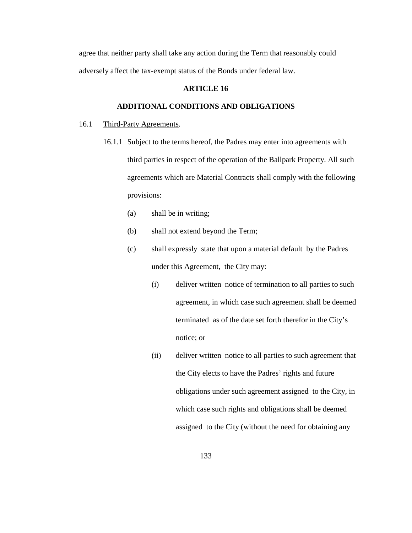agree that neither party shall take any action during the Term that reasonably could adversely affect the tax-exempt status of the Bonds under federal law.

# **ARTICLE 16**

# **ADDITIONAL CONDITIONS AND OBLIGATIONS**

### 16.1 Third-Party Agreements.

- 16.1.1 Subject to the terms hereof, the Padres may enter into agreements with third parties in respect of the operation of the Ballpark Property. All such agreements which are Material Contracts shall comply with the following provisions:
	- (a) shall be in writing;
	- (b) shall not extend beyond the Term;
	- (c) shall expressly state that upon a material default by the Padres under this Agreement, the City may:
		- (i) deliver written notice of termination to all parties to such agreement, in which case such agreement shall be deemed terminated as of the date set forth therefor in the City's notice; or
		- (ii) deliver written notice to all parties to such agreement that the City elects to have the Padres' rights and future obligations under such agreement assigned to the City, in which case such rights and obligations shall be deemed assigned to the City (without the need for obtaining any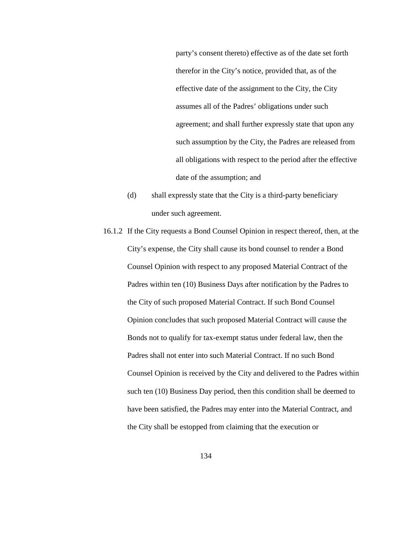party's consent thereto) effective as of the date set forth therefor in the City's notice, provided that, as of the effective date of the assignment to the City, the City assumes all of the Padres' obligations under such agreement; and shall further expressly state that upon any such assumption by the City, the Padres are released from all obligations with respect to the period after the effective date of the assumption; and

- (d) shall expressly state that the City is a third-party beneficiary under such agreement.
- 16.1.2 If the City requests a Bond Counsel Opinion in respect thereof, then, at the City's expense, the City shall cause its bond counsel to render a Bond Counsel Opinion with respect to any proposed Material Contract of the Padres within ten (10) Business Days after notification by the Padres to the City of such proposed Material Contract. If such Bond Counsel Opinion concludes that such proposed Material Contract will cause the Bonds not to qualify for tax-exempt status under federal law, then the Padres shall not enter into such Material Contract. If no such Bond Counsel Opinion is received by the City and delivered to the Padres within such ten (10) Business Day period, then this condition shall be deemed to have been satisfied, the Padres may enter into the Material Contract, and the City shall be estopped from claiming that the execution or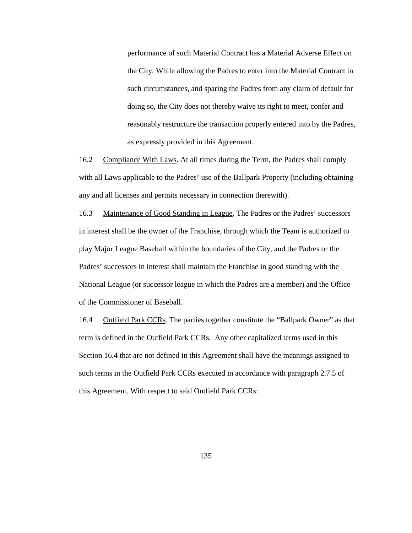performance of such Material Contract has a Material Adverse Effect on the City. While allowing the Padres to enter into the Material Contract in such circumstances, and sparing the Padres from any claim of default for doing so, the City does not thereby waive its right to meet, confer and reasonably restructure the transaction properly entered into by the Padres, as expressly provided in this Agreement.

16.2 Compliance With Laws. At all times during the Term, the Padres shall comply with all Laws applicable to the Padres' use of the Ballpark Property (including obtaining any and all licenses and permits necessary in connection therewith).

16.3 Maintenance of Good Standing in League. The Padres or the Padres' successors in interest shall be the owner of the Franchise, through which the Team is authorized to play Major League Baseball within the boundaries of the City, and the Padres or the Padres' successors in interest shall maintain the Franchise in good standing with the National League (or successor league in which the Padres are a member) and the Office of the Commissioner of Baseball.

16.4 Outfield Park CCRs. The parties together constitute the "Ballpark Owner" as that term is defined in the Outfield Park CCRs. Any other capitalized terms used in this Section 16.4 that are not defined in this Agreement shall have the meanings assigned to such terms in the Outfield Park CCRs executed in accordance with paragraph 2.7.5 of this Agreement. With respect to said Outfield Park CCRs: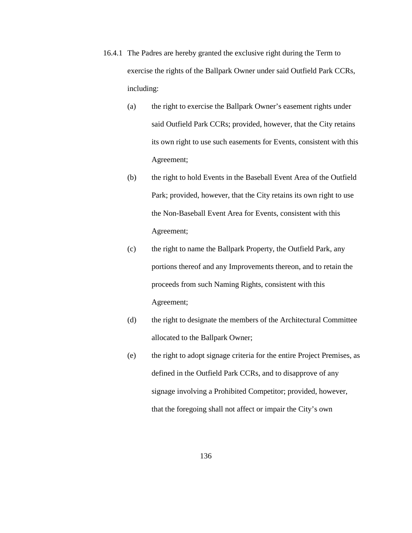- 16.4.1 The Padres are hereby granted the exclusive right during the Term to exercise the rights of the Ballpark Owner under said Outfield Park CCRs, including:
	- (a) the right to exercise the Ballpark Owner's easement rights under said Outfield Park CCRs; provided, however, that the City retains its own right to use such easements for Events, consistent with this Agreement;
	- (b) the right to hold Events in the Baseball Event Area of the Outfield Park; provided, however, that the City retains its own right to use the Non-Baseball Event Area for Events, consistent with this Agreement;
	- (c) the right to name the Ballpark Property, the Outfield Park, any portions thereof and any Improvements thereon, and to retain the proceeds from such Naming Rights, consistent with this Agreement;
	- (d) the right to designate the members of the Architectural Committee allocated to the Ballpark Owner;
	- (e) the right to adopt signage criteria for the entire Project Premises, as defined in the Outfield Park CCRs, and to disapprove of any signage involving a Prohibited Competitor; provided, however, that the foregoing shall not affect or impair the City's own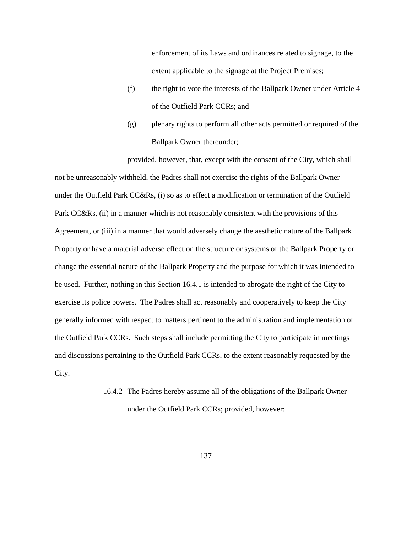enforcement of its Laws and ordinances related to signage, to the extent applicable to the signage at the Project Premises;

- (f) the right to vote the interests of the Ballpark Owner under Article 4 of the Outfield Park CCRs; and
- (g) plenary rights to perform all other acts permitted or required of the Ballpark Owner thereunder;

provided, however, that, except with the consent of the City, which shall not be unreasonably withheld, the Padres shall not exercise the rights of the Ballpark Owner under the Outfield Park CC&Rs, (i) so as to effect a modification or termination of the Outfield Park CC&Rs, (ii) in a manner which is not reasonably consistent with the provisions of this Agreement, or (iii) in a manner that would adversely change the aesthetic nature of the Ballpark Property or have a material adverse effect on the structure or systems of the Ballpark Property or change the essential nature of the Ballpark Property and the purpose for which it was intended to be used. Further, nothing in this Section 16.4.1 is intended to abrogate the right of the City to exercise its police powers. The Padres shall act reasonably and cooperatively to keep the City generally informed with respect to matters pertinent to the administration and implementation of the Outfield Park CCRs. Such steps shall include permitting the City to participate in meetings and discussions pertaining to the Outfield Park CCRs, to the extent reasonably requested by the City.

> 16.4.2 The Padres hereby assume all of the obligations of the Ballpark Owner under the Outfield Park CCRs; provided, however: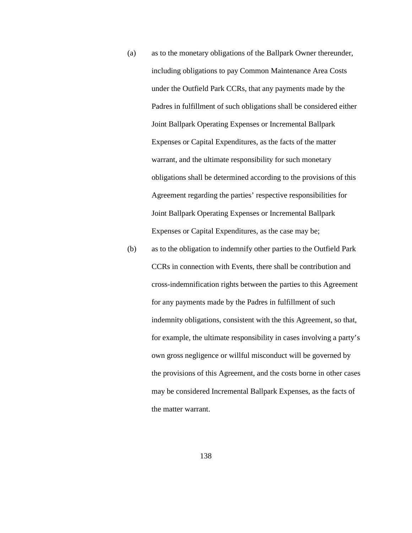- (a) as to the monetary obligations of the Ballpark Owner thereunder, including obligations to pay Common Maintenance Area Costs under the Outfield Park CCRs, that any payments made by the Padres in fulfillment of such obligations shall be considered either Joint Ballpark Operating Expenses or Incremental Ballpark Expenses or Capital Expenditures, as the facts of the matter warrant, and the ultimate responsibility for such monetary obligations shall be determined according to the provisions of this Agreement regarding the parties' respective responsibilities for Joint Ballpark Operating Expenses or Incremental Ballpark Expenses or Capital Expenditures, as the case may be;
- (b) as to the obligation to indemnify other parties to the Outfield Park CCRs in connection with Events, there shall be contribution and cross-indemnification rights between the parties to this Agreement for any payments made by the Padres in fulfillment of such indemnity obligations, consistent with the this Agreement, so that, for example, the ultimate responsibility in cases involving a party's own gross negligence or willful misconduct will be governed by the provisions of this Agreement, and the costs borne in other cases may be considered Incremental Ballpark Expenses, as the facts of the matter warrant.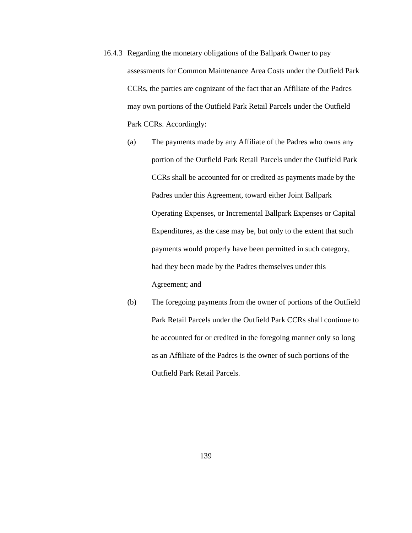- 16.4.3 Regarding the monetary obligations of the Ballpark Owner to pay assessments for Common Maintenance Area Costs under the Outfield Park CCRs, the parties are cognizant of the fact that an Affiliate of the Padres may own portions of the Outfield Park Retail Parcels under the Outfield Park CCRs. Accordingly:
	- (a) The payments made by any Affiliate of the Padres who owns any portion of the Outfield Park Retail Parcels under the Outfield Park CCRs shall be accounted for or credited as payments made by the Padres under this Agreement, toward either Joint Ballpark Operating Expenses, or Incremental Ballpark Expenses or Capital Expenditures, as the case may be, but only to the extent that such payments would properly have been permitted in such category, had they been made by the Padres themselves under this Agreement; and
	- (b) The foregoing payments from the owner of portions of the Outfield Park Retail Parcels under the Outfield Park CCRs shall continue to be accounted for or credited in the foregoing manner only so long as an Affiliate of the Padres is the owner of such portions of the Outfield Park Retail Parcels.

139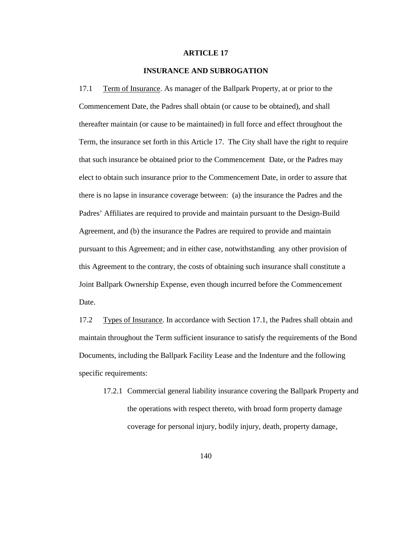### **ARTICLE 17**

# **INSURANCE AND SUBROGATION**

17.1 Term of Insurance. As manager of the Ballpark Property, at or prior to the Commencement Date, the Padres shall obtain (or cause to be obtained), and shall thereafter maintain (or cause to be maintained) in full force and effect throughout the Term, the insurance set forth in this Article 17. The City shall have the right to require that such insurance be obtained prior to the Commencement Date, or the Padres may elect to obtain such insurance prior to the Commencement Date, in order to assure that there is no lapse in insurance coverage between: (a) the insurance the Padres and the Padres' Affiliates are required to provide and maintain pursuant to the Design-Build Agreement, and (b) the insurance the Padres are required to provide and maintain pursuant to this Agreement; and in either case, notwithstanding any other provision of this Agreement to the contrary, the costs of obtaining such insurance shall constitute a Joint Ballpark Ownership Expense, even though incurred before the Commencement Date.

17.2 Types of Insurance. In accordance with Section 17.1, the Padres shall obtain and maintain throughout the Term sufficient insurance to satisfy the requirements of the Bond Documents, including the Ballpark Facility Lease and the Indenture and the following specific requirements:

17.2.1 Commercial general liability insurance covering the Ballpark Property and the operations with respect thereto, with broad form property damage coverage for personal injury, bodily injury, death, property damage,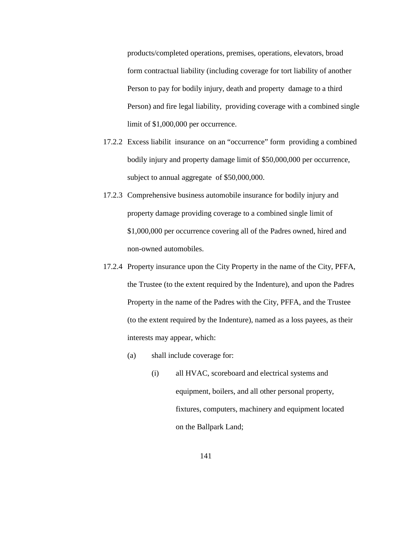products/completed operations, premises, operations, elevators, broad form contractual liability (including coverage for tort liability of another Person to pay for bodily injury, death and property damage to a third Person) and fire legal liability, providing coverage with a combined single limit of \$1,000,000 per occurrence.

- 17.2.2 Excess liabilit insurance on an "occurrence" form providing a combined bodily injury and property damage limit of \$50,000,000 per occurrence, subject to annual aggregate of \$50,000,000.
- 17.2.3 Comprehensive business automobile insurance for bodily injury and property damage providing coverage to a combined single limit of \$1,000,000 per occurrence covering all of the Padres owned, hired and non-owned automobiles.
- 17.2.4 Property insurance upon the City Property in the name of the City, PFFA, the Trustee (to the extent required by the Indenture), and upon the Padres Property in the name of the Padres with the City, PFFA, and the Trustee (to the extent required by the Indenture), named as a loss payees, as their interests may appear, which:
	- (a) shall include coverage for:
		- (i) all HVAC, scoreboard and electrical systems and equipment, boilers, and all other personal property, fixtures, computers, machinery and equipment located on the Ballpark Land;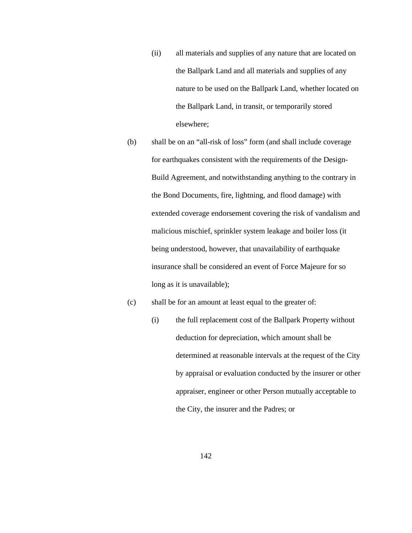- (ii) all materials and supplies of any nature that are located on the Ballpark Land and all materials and supplies of any nature to be used on the Ballpark Land, whether located on the Ballpark Land, in transit, or temporarily stored elsewhere;
- (b) shall be on an "all-risk of loss" form (and shall include coverage for earthquakes consistent with the requirements of the Design-Build Agreement, and notwithstanding anything to the contrary in the Bond Documents, fire, lightning, and flood damage) with extended coverage endorsement covering the risk of vandalism and malicious mischief, sprinkler system leakage and boiler loss (it being understood, however, that unavailability of earthquake insurance shall be considered an event of Force Majeure for so long as it is unavailable);

### (c) shall be for an amount at least equal to the greater of:

(i) the full replacement cost of the Ballpark Property without deduction for depreciation, which amount shall be determined at reasonable intervals at the request of the City by appraisal or evaluation conducted by the insurer or other appraiser, engineer or other Person mutually acceptable to the City, the insurer and the Padres; or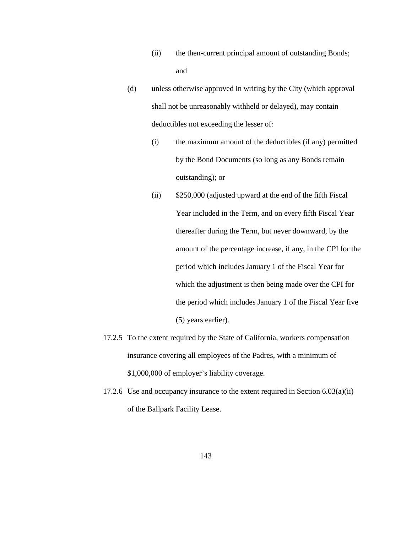- (ii) the then-current principal amount of outstanding Bonds; and
- (d) unless otherwise approved in writing by the City (which approval shall not be unreasonably withheld or delayed), may contain deductibles not exceeding the lesser of:
	- (i) the maximum amount of the deductibles (if any) permitted by the Bond Documents (so long as any Bonds remain outstanding); or
	- (ii) \$250,000 (adjusted upward at the end of the fifth Fiscal Year included in the Term, and on every fifth Fiscal Year thereafter during the Term, but never downward, by the amount of the percentage increase, if any, in the CPI for the period which includes January 1 of the Fiscal Year for which the adjustment is then being made over the CPI for the period which includes January 1 of the Fiscal Year five (5) years earlier).
- 17.2.5 To the extent required by the State of California, workers compensation insurance covering all employees of the Padres, with a minimum of \$1,000,000 of employer's liability coverage.
- 17.2.6 Use and occupancy insurance to the extent required in Section 6.03(a)(ii) of the Ballpark Facility Lease.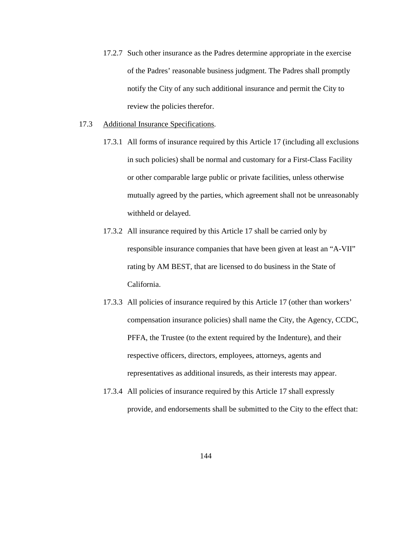- 17.2.7 Such other insurance as the Padres determine appropriate in the exercise of the Padres' reasonable business judgment. The Padres shall promptly notify the City of any such additional insurance and permit the City to review the policies therefor.
- 17.3 Additional Insurance Specifications.
	- 17.3.1 All forms of insurance required by this Article 17 (including all exclusions in such policies) shall be normal and customary for a First-Class Facility or other comparable large public or private facilities, unless otherwise mutually agreed by the parties, which agreement shall not be unreasonably withheld or delayed.
	- 17.3.2 All insurance required by this Article 17 shall be carried only by responsible insurance companies that have been given at least an "A-VII" rating by AM BEST, that are licensed to do business in the State of California.
	- 17.3.3 All policies of insurance required by this Article 17 (other than workers' compensation insurance policies) shall name the City, the Agency, CCDC, PFFA, the Trustee (to the extent required by the Indenture), and their respective officers, directors, employees, attorneys, agents and representatives as additional insureds, as their interests may appear.
	- 17.3.4 All policies of insurance required by this Article 17 shall expressly provide, and endorsements shall be submitted to the City to the effect that: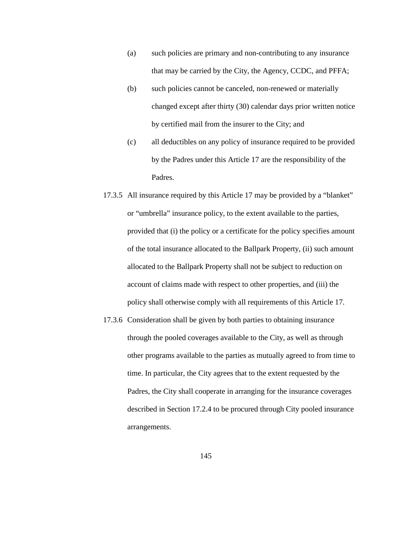- (a) such policies are primary and non-contributing to any insurance that may be carried by the City, the Agency, CCDC, and PFFA;
- (b) such policies cannot be canceled, non-renewed or materially changed except after thirty (30) calendar days prior written notice by certified mail from the insurer to the City; and
- (c) all deductibles on any policy of insurance required to be provided by the Padres under this Article 17 are the responsibility of the Padres.
- 17.3.5 All insurance required by this Article 17 may be provided by a "blanket" or "umbrella" insurance policy, to the extent available to the parties, provided that (i) the policy or a certificate for the policy specifies amount of the total insurance allocated to the Ballpark Property, (ii) such amount allocated to the Ballpark Property shall not be subject to reduction on account of claims made with respect to other properties, and (iii) the policy shall otherwise comply with all requirements of this Article 17.
- 17.3.6 Consideration shall be given by both parties to obtaining insurance through the pooled coverages available to the City, as well as through other programs available to the parties as mutually agreed to from time to time. In particular, the City agrees that to the extent requested by the Padres, the City shall cooperate in arranging for the insurance coverages described in Section 17.2.4 to be procured through City pooled insurance arrangements.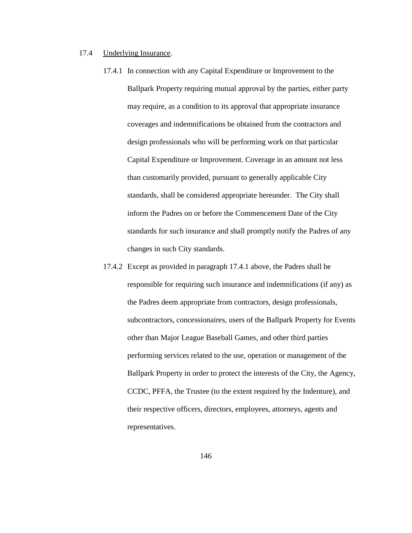## 17.4 Underlying Insurance.

- 17.4.1 In connection with any Capital Expenditure or Improvement to the Ballpark Property requiring mutual approval by the parties, either party may require, as a condition to its approval that appropriate insurance coverages and indemnifications be obtained from the contractors and design professionals who will be performing work on that particular Capital Expenditure or Improvement. Coverage in an amount not less than customarily provided, pursuant to generally applicable City standards, shall be considered appropriate hereunder. The City shall inform the Padres on or before the Commencement Date of the City standards for such insurance and shall promptly notify the Padres of any changes in such City standards.
- 17.4.2 Except as provided in paragraph 17.4.1 above, the Padres shall be responsible for requiring such insurance and indemnifications (if any) as the Padres deem appropriate from contractors, design professionals, subcontractors, concessionaires, users of the Ballpark Property for Events other than Major League Baseball Games, and other third parties performing services related to the use, operation or management of the Ballpark Property in order to protect the interests of the City, the Agency, CCDC, PFFA, the Trustee (to the extent required by the Indenture), and their respective officers, directors, employees, attorneys, agents and representatives.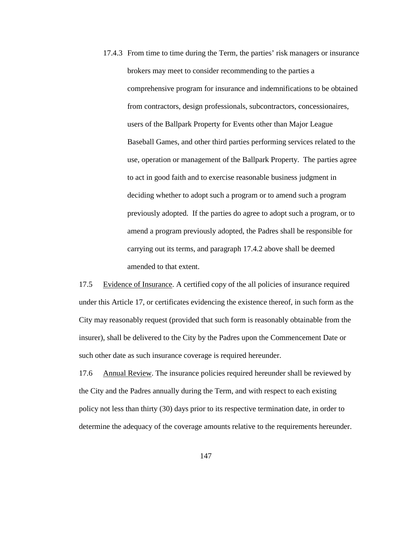17.4.3 From time to time during the Term, the parties' risk managers or insurance brokers may meet to consider recommending to the parties a comprehensive program for insurance and indemnifications to be obtained from contractors, design professionals, subcontractors, concessionaires, users of the Ballpark Property for Events other than Major League Baseball Games, and other third parties performing services related to the use, operation or management of the Ballpark Property. The parties agree to act in good faith and to exercise reasonable business judgment in deciding whether to adopt such a program or to amend such a program previously adopted. If the parties do agree to adopt such a program, or to amend a program previously adopted, the Padres shall be responsible for carrying out its terms, and paragraph 17.4.2 above shall be deemed amended to that extent.

17.5 Evidence of Insurance. A certified copy of the all policies of insurance required under this Article 17, or certificates evidencing the existence thereof, in such form as the City may reasonably request (provided that such form is reasonably obtainable from the insurer), shall be delivered to the City by the Padres upon the Commencement Date or such other date as such insurance coverage is required hereunder.

17.6 Annual Review. The insurance policies required hereunder shall be reviewed by the City and the Padres annually during the Term, and with respect to each existing policy not less than thirty (30) days prior to its respective termination date, in order to determine the adequacy of the coverage amounts relative to the requirements hereunder.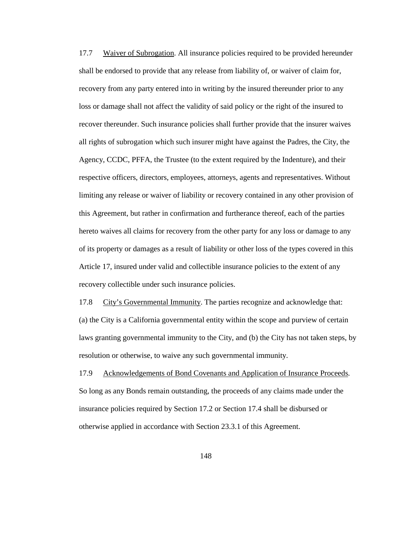17.7 Waiver of Subrogation. All insurance policies required to be provided hereunder shall be endorsed to provide that any release from liability of, or waiver of claim for, recovery from any party entered into in writing by the insured thereunder prior to any loss or damage shall not affect the validity of said policy or the right of the insured to recover thereunder. Such insurance policies shall further provide that the insurer waives all rights of subrogation which such insurer might have against the Padres, the City, the Agency, CCDC, PFFA, the Trustee (to the extent required by the Indenture), and their respective officers, directors, employees, attorneys, agents and representatives. Without limiting any release or waiver of liability or recovery contained in any other provision of this Agreement, but rather in confirmation and furtherance thereof, each of the parties hereto waives all claims for recovery from the other party for any loss or damage to any of its property or damages as a result of liability or other loss of the types covered in this Article 17, insured under valid and collectible insurance policies to the extent of any recovery collectible under such insurance policies.

17.8 City's Governmental Immunity. The parties recognize and acknowledge that: (a) the City is a California governmental entity within the scope and purview of certain laws granting governmental immunity to the City, and (b) the City has not taken steps, by resolution or otherwise, to waive any such governmental immunity.

17.9 Acknowledgements of Bond Covenants and Application of Insurance Proceeds. So long as any Bonds remain outstanding, the proceeds of any claims made under the insurance policies required by Section 17.2 or Section 17.4 shall be disbursed or otherwise applied in accordance with Section 23.3.1 of this Agreement.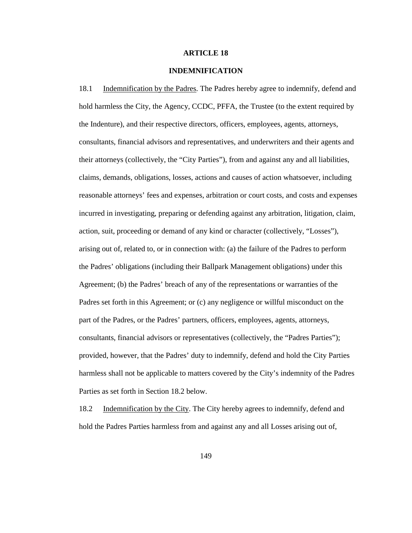## **ARTICLE 18**

# **INDEMNIFICATION**

18.1 Indemnification by the Padres. The Padres hereby agree to indemnify, defend and hold harmless the City, the Agency, CCDC, PFFA, the Trustee (to the extent required by the Indenture), and their respective directors, officers, employees, agents, attorneys, consultants, financial advisors and representatives, and underwriters and their agents and their attorneys (collectively, the "City Parties"), from and against any and all liabilities, claims, demands, obligations, losses, actions and causes of action whatsoever, including reasonable attorneys' fees and expenses, arbitration or court costs, and costs and expenses incurred in investigating, preparing or defending against any arbitration, litigation, claim, action, suit, proceeding or demand of any kind or character (collectively, "Losses"), arising out of, related to, or in connection with: (a) the failure of the Padres to perform the Padres' obligations (including their Ballpark Management obligations) under this Agreement; (b) the Padres' breach of any of the representations or warranties of the Padres set forth in this Agreement; or (c) any negligence or willful misconduct on the part of the Padres, or the Padres' partners, officers, employees, agents, attorneys, consultants, financial advisors or representatives (collectively, the "Padres Parties"); provided, however, that the Padres' duty to indemnify, defend and hold the City Parties harmless shall not be applicable to matters covered by the City's indemnity of the Padres Parties as set forth in Section 18.2 below.

18.2 Indemnification by the City. The City hereby agrees to indemnify, defend and hold the Padres Parties harmless from and against any and all Losses arising out of,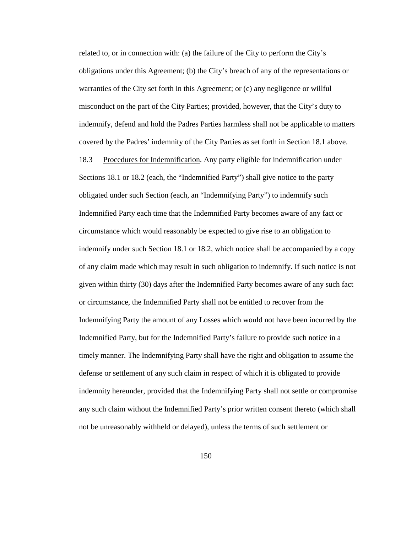related to, or in connection with: (a) the failure of the City to perform the City's obligations under this Agreement; (b) the City's breach of any of the representations or warranties of the City set forth in this Agreement; or (c) any negligence or willful misconduct on the part of the City Parties; provided, however, that the City's duty to indemnify, defend and hold the Padres Parties harmless shall not be applicable to matters covered by the Padres' indemnity of the City Parties as set forth in Section 18.1 above. 18.3 Procedures for Indemnification. Any party eligible for indemnification under Sections 18.1 or 18.2 (each, the "Indemnified Party") shall give notice to the party obligated under such Section (each, an "Indemnifying Party") to indemnify such Indemnified Party each time that the Indemnified Party becomes aware of any fact or circumstance which would reasonably be expected to give rise to an obligation to indemnify under such Section 18.1 or 18.2, which notice shall be accompanied by a copy of any claim made which may result in such obligation to indemnify. If such notice is not given within thirty (30) days after the Indemnified Party becomes aware of any such fact or circumstance, the Indemnified Party shall not be entitled to recover from the Indemnifying Party the amount of any Losses which would not have been incurred by the Indemnified Party, but for the Indemnified Party's failure to provide such notice in a timely manner. The Indemnifying Party shall have the right and obligation to assume the defense or settlement of any such claim in respect of which it is obligated to provide indemnity hereunder, provided that the Indemnifying Party shall not settle or compromise any such claim without the Indemnified Party's prior written consent thereto (which shall not be unreasonably withheld or delayed), unless the terms of such settlement or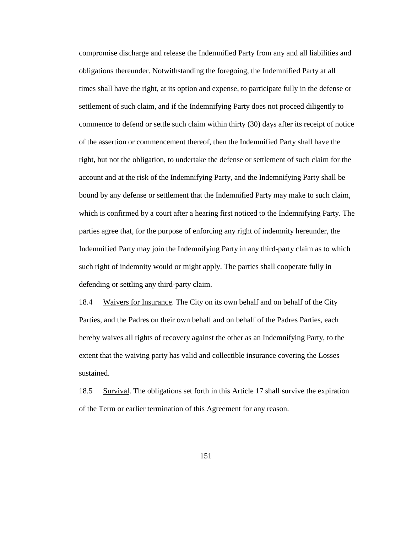compromise discharge and release the Indemnified Party from any and all liabilities and obligations thereunder. Notwithstanding the foregoing, the Indemnified Party at all times shall have the right, at its option and expense, to participate fully in the defense or settlement of such claim, and if the Indemnifying Party does not proceed diligently to commence to defend or settle such claim within thirty (30) days after its receipt of notice of the assertion or commencement thereof, then the Indemnified Party shall have the right, but not the obligation, to undertake the defense or settlement of such claim for the account and at the risk of the Indemnifying Party, and the Indemnifying Party shall be bound by any defense or settlement that the Indemnified Party may make to such claim, which is confirmed by a court after a hearing first noticed to the Indemnifying Party. The parties agree that, for the purpose of enforcing any right of indemnity hereunder, the Indemnified Party may join the Indemnifying Party in any third-party claim as to which such right of indemnity would or might apply. The parties shall cooperate fully in defending or settling any third-party claim.

18.4 Waivers for Insurance. The City on its own behalf and on behalf of the City Parties, and the Padres on their own behalf and on behalf of the Padres Parties, each hereby waives all rights of recovery against the other as an Indemnifying Party, to the extent that the waiving party has valid and collectible insurance covering the Losses sustained.

18.5 Survival. The obligations set forth in this Article 17 shall survive the expiration of the Term or earlier termination of this Agreement for any reason.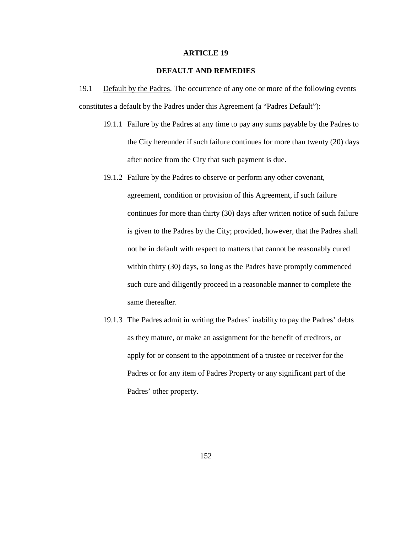#### **ARTICLE 19**

# **DEFAULT AND REMEDIES**

19.1 Default by the Padres. The occurrence of any one or more of the following events constitutes a default by the Padres under this Agreement (a "Padres Default"):

- 19.1.1 Failure by the Padres at any time to pay any sums payable by the Padres to the City hereunder if such failure continues for more than twenty (20) days after notice from the City that such payment is due.
- 19.1.2 Failure by the Padres to observe or perform any other covenant, agreement, condition or provision of this Agreement, if such failure continues for more than thirty (30) days after written notice of such failure is given to the Padres by the City; provided, however, that the Padres shall not be in default with respect to matters that cannot be reasonably cured within thirty (30) days, so long as the Padres have promptly commenced such cure and diligently proceed in a reasonable manner to complete the same thereafter.
- 19.1.3 The Padres admit in writing the Padres' inability to pay the Padres' debts as they mature, or make an assignment for the benefit of creditors, or apply for or consent to the appointment of a trustee or receiver for the Padres or for any item of Padres Property or any significant part of the Padres' other property.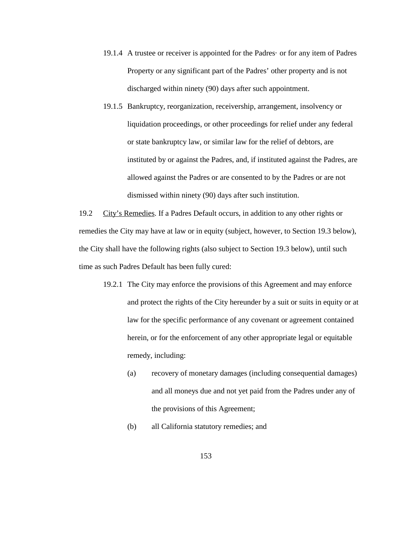- 19.1.4 A trustee or receiver is appointed for the Padres· or for any item of Padres Property or any significant part of the Padres' other property and is not discharged within ninety (90) days after such appointment.
- 19.1.5 Bankruptcy, reorganization, receivership, arrangement, insolvency or liquidation proceedings, or other proceedings for relief under any federal or state bankruptcy law, or similar law for the relief of debtors, are instituted by or against the Padres, and, if instituted against the Padres, are allowed against the Padres or are consented to by the Padres or are not dismissed within ninety (90) days after such institution.

19.2 City's Remedies. If a Padres Default occurs, in addition to any other rights or remedies the City may have at law or in equity (subject, however, to Section 19.3 below), the City shall have the following rights (also subject to Section 19.3 below), until such time as such Padres Default has been fully cured:

- 19.2.1 The City may enforce the provisions of this Agreement and may enforce and protect the rights of the City hereunder by a suit or suits in equity or at law for the specific performance of any covenant or agreement contained herein, or for the enforcement of any other appropriate legal or equitable remedy, including:
	- (a) recovery of monetary damages (including consequential damages) and all moneys due and not yet paid from the Padres under any of the provisions of this Agreement;
	- (b) all California statutory remedies; and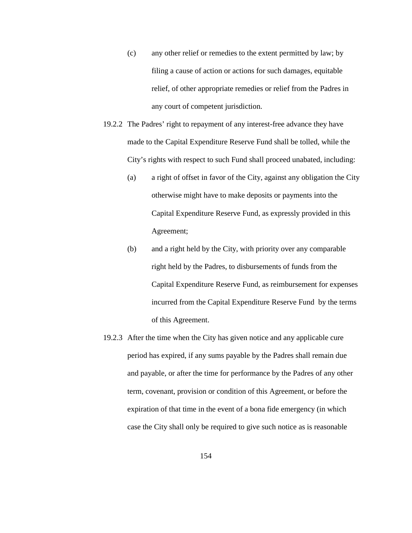- (c) any other relief or remedies to the extent permitted by law; by filing a cause of action or actions for such damages, equitable relief, of other appropriate remedies or relief from the Padres in any court of competent jurisdiction.
- 19.2.2 The Padres' right to repayment of any interest-free advance they have made to the Capital Expenditure Reserve Fund shall be tolled, while the City's rights with respect to such Fund shall proceed unabated, including:
	- (a) a right of offset in favor of the City, against any obligation the City otherwise might have to make deposits or payments into the Capital Expenditure Reserve Fund, as expressly provided in this Agreement;
	- (b) and a right held by the City, with priority over any comparable right held by the Padres, to disbursements of funds from the Capital Expenditure Reserve Fund, as reimbursement for expenses incurred from the Capital Expenditure Reserve Fund by the terms of this Agreement.
- 19.2.3 After the time when the City has given notice and any applicable cure period has expired, if any sums payable by the Padres shall remain due and payable, or after the time for performance by the Padres of any other term, covenant, provision or condition of this Agreement, or before the expiration of that time in the event of a bona fide emergency (in which case the City shall only be required to give such notice as is reasonable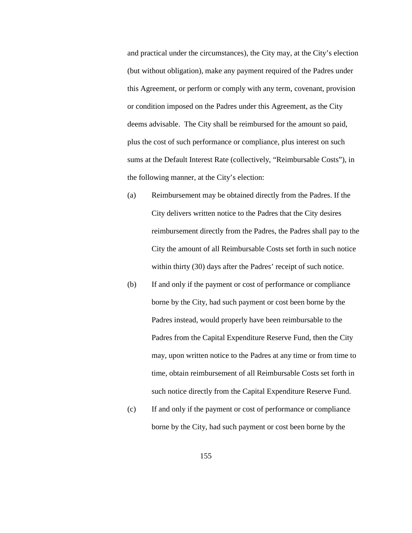and practical under the circumstances), the City may, at the City's election (but without obligation), make any payment required of the Padres under this Agreement, or perform or comply with any term, covenant, provision or condition imposed on the Padres under this Agreement, as the City deems advisable. The City shall be reimbursed for the amount so paid, plus the cost of such performance or compliance, plus interest on such sums at the Default Interest Rate (collectively, "Reimbursable Costs"), in the following manner, at the City's election:

- (a) Reimbursement may be obtained directly from the Padres. If the City delivers written notice to the Padres that the City desires reimbursement directly from the Padres, the Padres shall pay to the City the amount of all Reimbursable Costs set forth in such notice within thirty (30) days after the Padres' receipt of such notice.
- (b) If and only if the payment or cost of performance or compliance borne by the City, had such payment or cost been borne by the Padres instead, would properly have been reimbursable to the Padres from the Capital Expenditure Reserve Fund, then the City may, upon written notice to the Padres at any time or from time to time, obtain reimbursement of all Reimbursable Costs set forth in such notice directly from the Capital Expenditure Reserve Fund.
- (c) If and only if the payment or cost of performance or compliance borne by the City, had such payment or cost been borne by the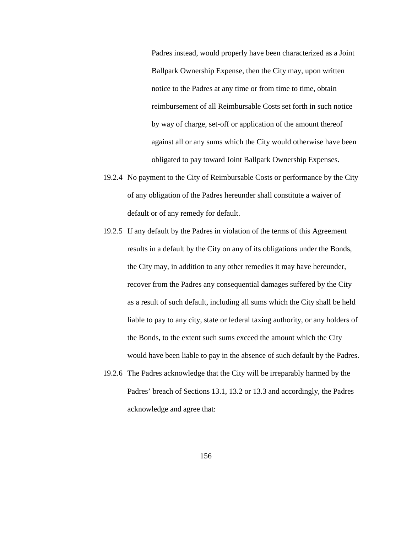Padres instead, would properly have been characterized as a Joint Ballpark Ownership Expense, then the City may, upon written notice to the Padres at any time or from time to time, obtain reimbursement of all Reimbursable Costs set forth in such notice by way of charge, set-off or application of the amount thereof against all or any sums which the City would otherwise have been obligated to pay toward Joint Ballpark Ownership Expenses.

- 19.2.4 No payment to the City of Reimbursable Costs or performance by the City of any obligation of the Padres hereunder shall constitute a waiver of default or of any remedy for default.
- 19.2.5 If any default by the Padres in violation of the terms of this Agreement results in a default by the City on any of its obligations under the Bonds, the City may, in addition to any other remedies it may have hereunder, recover from the Padres any consequential damages suffered by the City as a result of such default, including all sums which the City shall be held liable to pay to any city, state or federal taxing authority, or any holders of the Bonds, to the extent such sums exceed the amount which the City would have been liable to pay in the absence of such default by the Padres.
- 19.2.6 The Padres acknowledge that the City will be irreparably harmed by the Padres' breach of Sections 13.1, 13.2 or 13.3 and accordingly, the Padres acknowledge and agree that: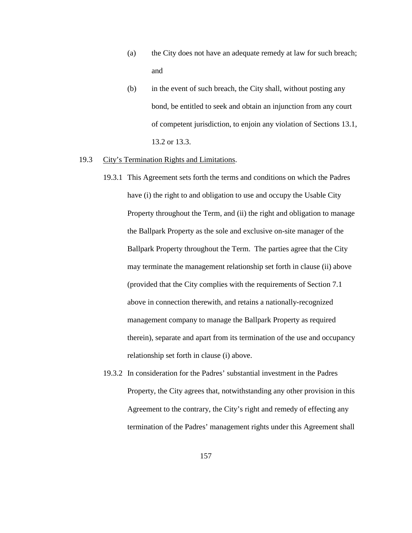- (a) the City does not have an adequate remedy at law for such breach; and
- (b) in the event of such breach, the City shall, without posting any bond, be entitled to seek and obtain an injunction from any court of competent jurisdiction, to enjoin any violation of Sections 13.1, 13.2 or 13.3.

# 19.3 City's Termination Rights and Limitations.

- 19.3.1 This Agreement sets forth the terms and conditions on which the Padres have (i) the right to and obligation to use and occupy the Usable City Property throughout the Term, and (ii) the right and obligation to manage the Ballpark Property as the sole and exclusive on-site manager of the Ballpark Property throughout the Term. The parties agree that the City may terminate the management relationship set forth in clause (ii) above (provided that the City complies with the requirements of Section 7.1 above in connection therewith, and retains a nationally-recognized management company to manage the Ballpark Property as required therein), separate and apart from its termination of the use and occupancy relationship set forth in clause (i) above.
- 19.3.2 In consideration for the Padres' substantial investment in the Padres Property, the City agrees that, notwithstanding any other provision in this Agreement to the contrary, the City's right and remedy of effecting any termination of the Padres' management rights under this Agreement shall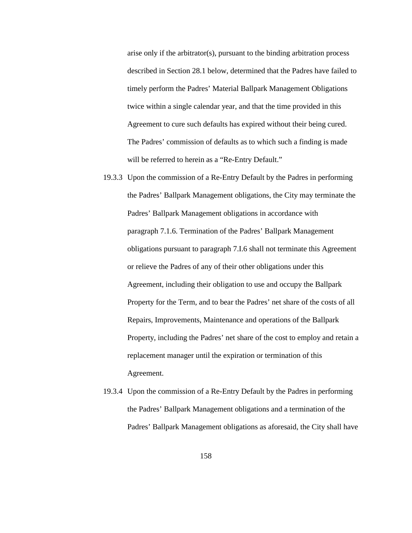arise only if the arbitrator(s), pursuant to the binding arbitration process described in Section 28.1 below, determined that the Padres have failed to timely perform the Padres' Material Ballpark Management Obligations twice within a single calendar year, and that the time provided in this Agreement to cure such defaults has expired without their being cured. The Padres' commission of defaults as to which such a finding is made will be referred to herein as a "Re-Entry Default."

- 19.3.3 Upon the commission of a Re-Entry Default by the Padres in performing the Padres' Ballpark Management obligations, the City may terminate the Padres' Ballpark Management obligations in accordance with paragraph 7.1.6. Termination of the Padres' Ballpark Management obligations pursuant to paragraph 7.I.6 shall not terminate this Agreement or relieve the Padres of any of their other obligations under this Agreement, including their obligation to use and occupy the Ballpark Property for the Term, and to bear the Padres' net share of the costs of all Repairs, Improvements, Maintenance and operations of the Ballpark Property, including the Padres' net share of the cost to employ and retain a replacement manager until the expiration or termination of this Agreement.
- 19.3.4 Upon the commission of a Re-Entry Default by the Padres in performing the Padres' Ballpark Management obligations and a termination of the Padres' Ballpark Management obligations as aforesaid, the City shall have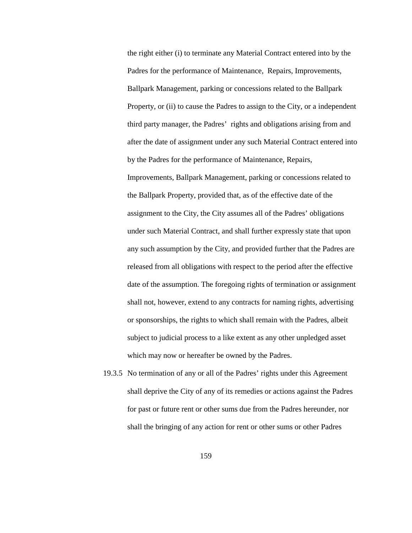the right either (i) to terminate any Material Contract entered into by the Padres for the performance of Maintenance, Repairs, Improvements, Ballpark Management, parking or concessions related to the Ballpark Property, or (ii) to cause the Padres to assign to the City, or a independent third party manager, the Padres' rights and obligations arising from and after the date of assignment under any such Material Contract entered into by the Padres for the performance of Maintenance, Repairs, Improvements, Ballpark Management, parking or concessions related to the Ballpark Property, provided that, as of the effective date of the assignment to the City, the City assumes all of the Padres' obligations under such Material Contract, and shall further expressly state that upon any such assumption by the City, and provided further that the Padres are released from all obligations with respect to the period after the effective date of the assumption. The foregoing rights of termination or assignment shall not, however, extend to any contracts for naming rights, advertising or sponsorships, the rights to which shall remain with the Padres, albeit subject to judicial process to a like extent as any other unpledged asset which may now or hereafter be owned by the Padres.

19.3.5 No termination of any or all of the Padres' rights under this Agreement shall deprive the City of any of its remedies or actions against the Padres for past or future rent or other sums due from the Padres hereunder, nor shall the bringing of any action for rent or other sums or other Padres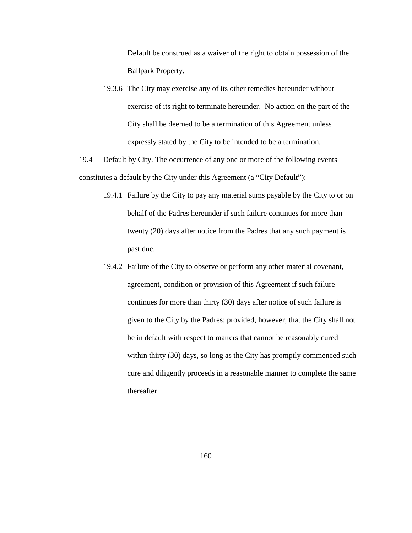Default be construed as a waiver of the right to obtain possession of the Ballpark Property.

- 19.3.6 The City may exercise any of its other remedies hereunder without exercise of its right to terminate hereunder. No action on the part of the City shall be deemed to be a termination of this Agreement unless expressly stated by the City to be intended to be a termination.
- 19.4 Default by City. The occurrence of any one or more of the following events constitutes a default by the City under this Agreement (a "City Default"):
	- 19.4.1 Failure by the City to pay any material sums payable by the City to or on behalf of the Padres hereunder if such failure continues for more than twenty (20) days after notice from the Padres that any such payment is past due.
	- 19.4.2 Failure of the City to observe or perform any other material covenant, agreement, condition or provision of this Agreement if such failure continues for more than thirty (30) days after notice of such failure is given to the City by the Padres; provided, however, that the City shall not be in default with respect to matters that cannot be reasonably cured within thirty (30) days, so long as the City has promptly commenced such cure and diligently proceeds in a reasonable manner to complete the same thereafter.

160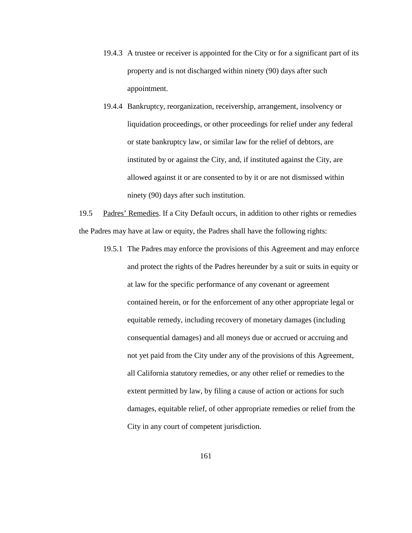- 19.4.3 A trustee or receiver is appointed for the City or for a significant part of its property and is not discharged within ninety (90) days after such appointment.
- 19.4.4 Bankruptcy, reorganization, receivership, arrangement, insolvency or liquidation proceedings, or other proceedings for relief under any federal or state bankruptcy law, or similar law for the relief of debtors, are instituted by or against the City, and, if instituted against the City, are allowed against it or are consented to by it or are not dismissed within ninety (90) days after such institution.

19.5 Padres' Remedies. If a City Default occurs, in addition to other rights or remedies the Padres may have at law or equity, the Padres shall have the following rights:

19.5.1 The Padres may enforce the provisions of this Agreement and may enforce and protect the rights of the Padres hereunder by a suit or suits in equity or at law for the specific performance of any covenant or agreement contained herein, or for the enforcement of any other appropriate legal or equitable remedy, including recovery of monetary damages (including consequential damages) and all moneys due or accrued or accruing and not yet paid from the City under any of the provisions of this Agreement, all California statutory remedies, or any other relief or remedies to the extent permitted by law, by filing a cause of action or actions for such damages, equitable relief, of other appropriate remedies or relief from the City in any court of competent jurisdiction.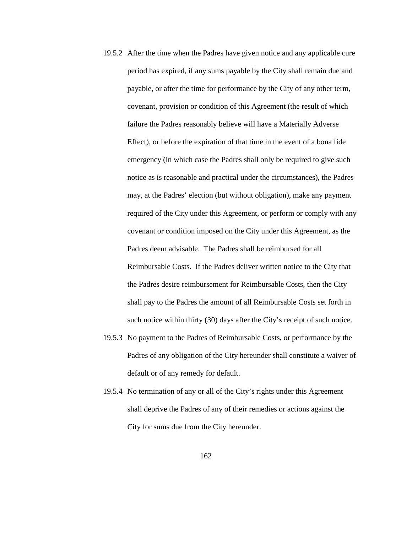- 19.5.2 After the time when the Padres have given notice and any applicable cure period has expired, if any sums payable by the City shall remain due and payable, or after the time for performance by the City of any other term, covenant, provision or condition of this Agreement (the result of which failure the Padres reasonably believe will have a Materially Adverse Effect), or before the expiration of that time in the event of a bona fide emergency (in which case the Padres shall only be required to give such notice as is reasonable and practical under the circumstances), the Padres may, at the Padres' election (but without obligation), make any payment required of the City under this Agreement, or perform or comply with any covenant or condition imposed on the City under this Agreement, as the Padres deem advisable. The Padres shall be reimbursed for all Reimbursable Costs. If the Padres deliver written notice to the City that the Padres desire reimbursement for Reimbursable Costs, then the City shall pay to the Padres the amount of all Reimbursable Costs set forth in such notice within thirty (30) days after the City's receipt of such notice.
- 19.5.3 No payment to the Padres of Reimbursable Costs, or performance by the Padres of any obligation of the City hereunder shall constitute a waiver of default or of any remedy for default.
- 19.5.4 No termination of any or all of the City's rights under this Agreement shall deprive the Padres of any of their remedies or actions against the City for sums due from the City hereunder.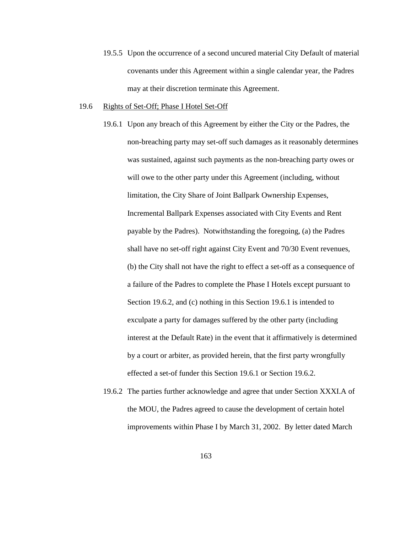19.5.5 Upon the occurrence of a second uncured material City Default of material covenants under this Agreement within a single calendar year, the Padres may at their discretion terminate this Agreement.

#### 19.6 Rights of Set-Off; Phase I Hotel Set-Off

- 19.6.1 Upon any breach of this Agreement by either the City or the Padres, the non-breaching party may set-off such damages as it reasonably determines was sustained, against such payments as the non-breaching party owes or will owe to the other party under this Agreement (including, without limitation, the City Share of Joint Ballpark Ownership Expenses, Incremental Ballpark Expenses associated with City Events and Rent payable by the Padres). Notwithstanding the foregoing, (a) the Padres shall have no set-off right against City Event and 70/30 Event revenues, (b) the City shall not have the right to effect a set-off as a consequence of a failure of the Padres to complete the Phase I Hotels except pursuant to Section 19.6.2, and (c) nothing in this Section 19.6.1 is intended to exculpate a party for damages suffered by the other party (including interest at the Default Rate) in the event that it affirmatively is determined by a court or arbiter, as provided herein, that the first party wrongfully effected a set-of funder this Section 19.6.1 or Section 19.6.2.
- 19.6.2 The parties further acknowledge and agree that under Section XXXI.A of the MOU, the Padres agreed to cause the development of certain hotel improvements within Phase I by March 31, 2002. By letter dated March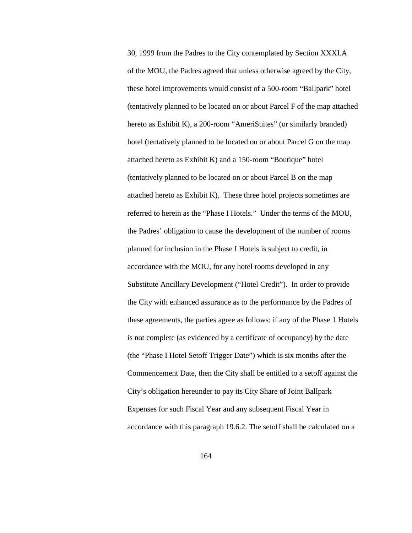30, 1999 from the Padres to the City contemplated by Section XXXI.A of the MOU, the Padres agreed that unless otherwise agreed by the City, these hotel improvements would consist of a 500-room "Ballpark" hotel (tentatively planned to be located on or about Parcel F of the map attached hereto as Exhibit K), a 200-room "AmeriSuites" (or similarly branded) hotel (tentatively planned to be located on or about Parcel G on the map attached hereto as Exhibit K) and a 150-room "Boutique" hotel (tentatively planned to be located on or about Parcel B on the map attached hereto as Exhibit K). These three hotel projects sometimes are referred to herein as the "Phase I Hotels." Under the terms of the MOU, the Padres' obligation to cause the development of the number of rooms planned for inclusion in the Phase I Hotels is subject to credit, in accordance with the MOU, for any hotel rooms developed in any Substitute Ancillary Development ("Hotel Credit"). In order to provide the City with enhanced assurance as to the performance by the Padres of these agreements, the parties agree as follows: if any of the Phase 1 Hotels is not complete (as evidenced by a certificate of occupancy) by the date (the "Phase I Hotel Setoff Trigger Date") which is six months after the Commencement Date, then the City shall be entitled to a setoff against the City's obligation hereunder to pay its City Share of Joint Ballpark Expenses for such Fiscal Year and any subsequent Fiscal Year in accordance with this paragraph 19.6.2. The setoff shall be calculated on a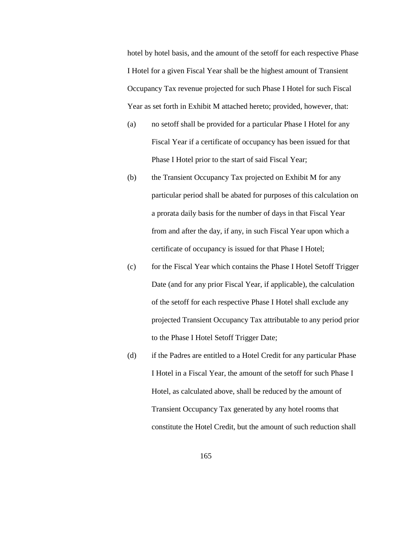hotel by hotel basis, and the amount of the setoff for each respective Phase I Hotel for a given Fiscal Year shall be the highest amount of Transient Occupancy Tax revenue projected for such Phase I Hotel for such Fiscal Year as set forth in Exhibit M attached hereto; provided, however, that:

- (a) no setoff shall be provided for a particular Phase I Hotel for any Fiscal Year if a certificate of occupancy has been issued for that Phase I Hotel prior to the start of said Fiscal Year;
- (b) the Transient Occupancy Tax projected on Exhibit M for any particular period shall be abated for purposes of this calculation on a prorata daily basis for the number of days in that Fiscal Year from and after the day, if any, in such Fiscal Year upon which a certificate of occupancy is issued for that Phase I Hotel;
- (c) for the Fiscal Year which contains the Phase I Hotel Setoff Trigger Date (and for any prior Fiscal Year, if applicable), the calculation of the setoff for each respective Phase I Hotel shall exclude any projected Transient Occupancy Tax attributable to any period prior to the Phase I Hotel Setoff Trigger Date;
- (d) if the Padres are entitled to a Hotel Credit for any particular Phase I Hotel in a Fiscal Year, the amount of the setoff for such Phase I Hotel, as calculated above, shall be reduced by the amount of Transient Occupancy Tax generated by any hotel rooms that constitute the Hotel Credit, but the amount of such reduction shall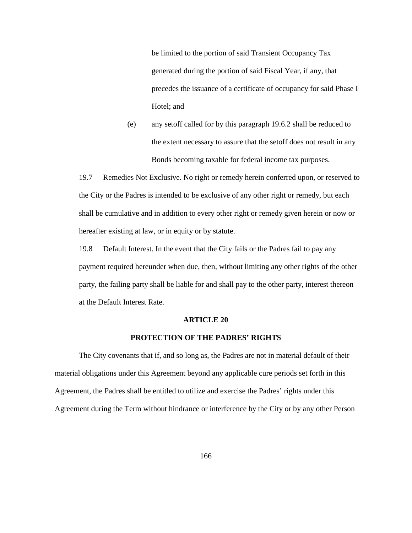be limited to the portion of said Transient Occupancy Tax generated during the portion of said Fiscal Year, if any, that precedes the issuance of a certificate of occupancy for said Phase I Hotel; and

(e) any setoff called for by this paragraph 19.6.2 shall be reduced to the extent necessary to assure that the setoff does not result in any Bonds becoming taxable for federal income tax purposes.

19.7 Remedies Not Exclusive. No right or remedy herein conferred upon, or reserved to the City or the Padres is intended to be exclusive of any other right or remedy, but each shall be cumulative and in addition to every other right or remedy given herein or now or hereafter existing at law, or in equity or by statute.

19.8 Default Interest. In the event that the City fails or the Padres fail to pay any payment required hereunder when due, then, without limiting any other rights of the other party, the failing party shall be liable for and shall pay to the other party, interest thereon at the Default Interest Rate.

#### **ARTICLE 20**

# **PROTECTION OF THE PADRES' RIGHTS**

The City covenants that if, and so long as, the Padres are not in material default of their material obligations under this Agreement beyond any applicable cure periods set forth in this Agreement, the Padres shall be entitled to utilize and exercise the Padres' rights under this Agreement during the Term without hindrance or interference by the City or by any other Person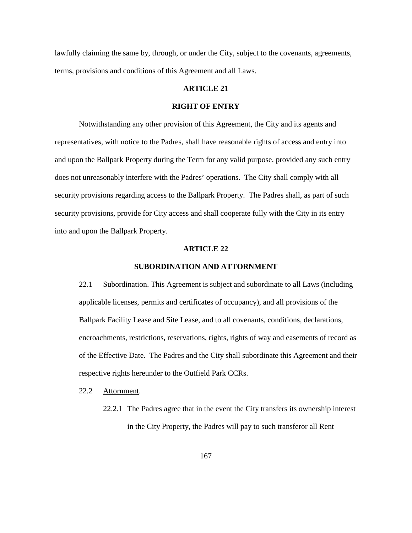lawfully claiming the same by, through, or under the City, subject to the covenants, agreements, terms, provisions and conditions of this Agreement and all Laws.

# **ARTICLE 21**

#### **RIGHT OF ENTRY**

Notwithstanding any other provision of this Agreement, the City and its agents and representatives, with notice to the Padres, shall have reasonable rights of access and entry into and upon the Ballpark Property during the Term for any valid purpose, provided any such entry does not unreasonably interfere with the Padres' operations. The City shall comply with all security provisions regarding access to the Ballpark Property. The Padres shall, as part of such security provisions, provide for City access and shall cooperate fully with the City in its entry into and upon the Ballpark Property.

### **ARTICLE 22**

# **SUBORDINATION AND ATTORNMENT**

22.1 Subordination. This Agreement is subject and subordinate to all Laws (including applicable licenses, permits and certificates of occupancy), and all provisions of the Ballpark Facility Lease and Site Lease, and to all covenants, conditions, declarations, encroachments, restrictions, reservations, rights, rights of way and easements of record as of the Effective Date. The Padres and the City shall subordinate this Agreement and their respective rights hereunder to the Outfield Park CCRs.

#### 22.2 Attornment.

22.2.1 The Padres agree that in the event the City transfers its ownership interest in the City Property, the Padres will pay to such transferor all Rent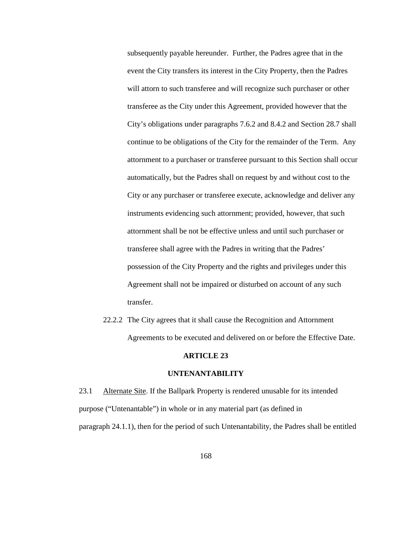subsequently payable hereunder. Further, the Padres agree that in the event the City transfers its interest in the City Property, then the Padres will attorn to such transferee and will recognize such purchaser or other transferee as the City under this Agreement, provided however that the City's obligations under paragraphs 7.6.2 and 8.4.2 and Section 28.7 shall continue to be obligations of the City for the remainder of the Term. Any attornment to a purchaser or transferee pursuant to this Section shall occur automatically, but the Padres shall on request by and without cost to the City or any purchaser or transferee execute, acknowledge and deliver any instruments evidencing such attornment; provided, however, that such attornment shall be not be effective unless and until such purchaser or transferee shall agree with the Padres in writing that the Padres' possession of the City Property and the rights and privileges under this Agreement shall not be impaired or disturbed on account of any such transfer.

22.2.2 The City agrees that it shall cause the Recognition and Attornment Agreements to be executed and delivered on or before the Effective Date.

# **ARTICLE 23**

# **UNTENANTABILITY**

23.1 Alternate Site. If the Ballpark Property is rendered unusable for its intended purpose ("Untenantable") in whole or in any material part (as defined in paragraph 24.1.1), then for the period of such Untenantability, the Padres shall be entitled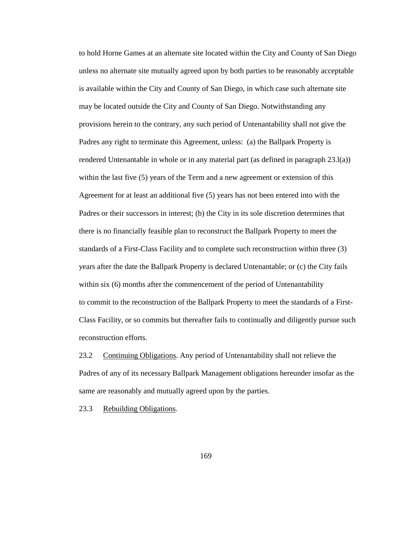to hold Horne Games at an alternate site located within the City and County of San Diego unless no alternate site mutually agreed upon by both parties to be reasonably acceptable is available within the City and County of San Diego, in which case such alternate site may be located outside the City and County of San Diego. Notwithstanding any provisions herein to the contrary, any such period of Untenantability shall not give the Padres any right to terminate this Agreement, unless: (a) the Ballpark Property is rendered Untenantable in whole or in any material part (as defined in paragraph  $23.1(a)$ ) within the last five (5) years of the Term and a new agreement or extension of this Agreement for at least an additional five (5) years has not been entered into with the Padres or their successors in interest; (b) the City in its sole discretion determines that there is no financially feasible plan to reconstruct the Ballpark Property to meet the standards of a First-Class Facility and to complete such reconstruction within three (3) years after the date the Ballpark Property is declared Untenantable; or (c) the City fails within six (6) months after the commencement of the period of Untenantability to commit to the reconstruction of the Ballpark Property to meet the standards of a First-Class Facility, or so commits but thereafter fails to continually and diligently pursue such reconstruction efforts.

23.2 Continuing Obligations. Any period of Untenantability shall not relieve the Padres of any of its necessary Ballpark Management obligations hereunder insofar as the same are reasonably and mutually agreed upon by the parties.

23.3 Rebuilding Obligations.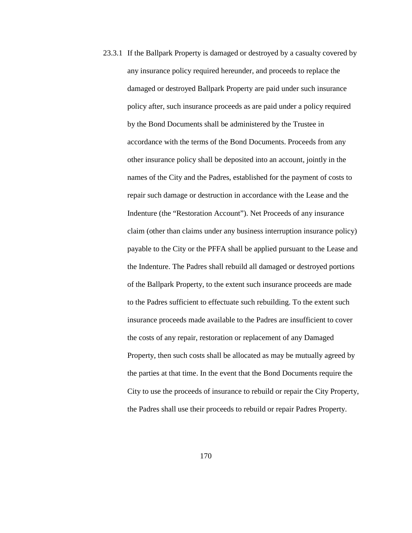23.3.1 If the Ballpark Property is damaged or destroyed by a casualty covered by any insurance policy required hereunder, and proceeds to replace the damaged or destroyed Ballpark Property are paid under such insurance policy after, such insurance proceeds as are paid under a policy required by the Bond Documents shall be administered by the Trustee in accordance with the terms of the Bond Documents. Proceeds from any other insurance policy shall be deposited into an account, jointly in the names of the City and the Padres, established for the payment of costs to repair such damage or destruction in accordance with the Lease and the Indenture (the "Restoration Account"). Net Proceeds of any insurance claim (other than claims under any business interruption insurance policy) payable to the City or the PFFA shall be applied pursuant to the Lease and the Indenture. The Padres shall rebuild all damaged or destroyed portions of the Ballpark Property, to the extent such insurance proceeds are made to the Padres sufficient to effectuate such rebuilding. To the extent such insurance proceeds made available to the Padres are insufficient to cover the costs of any repair, restoration or replacement of any Damaged Property, then such costs shall be allocated as may be mutually agreed by the parties at that time. In the event that the Bond Documents require the City to use the proceeds of insurance to rebuild or repair the City Property, the Padres shall use their proceeds to rebuild or repair Padres Property.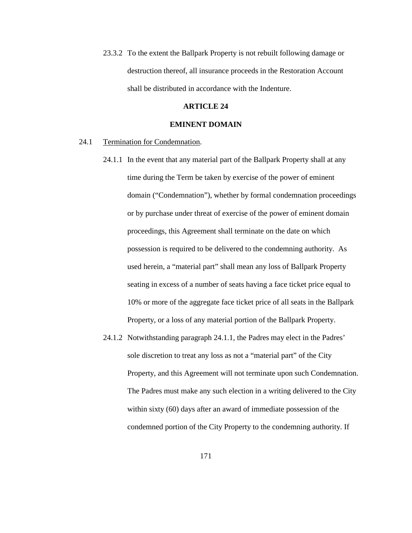23.3.2 To the extent the Ballpark Property is not rebuilt following damage or destruction thereof, all insurance proceeds in the Restoration Account shall be distributed in accordance with the Indenture.

#### **ARTICLE 24**

# **EMINENT DOMAIN**

### 24.1 Termination for Condemnation.

- 24.1.1 In the event that any material part of the Ballpark Property shall at any time during the Term be taken by exercise of the power of eminent domain ("Condemnation"), whether by formal condemnation proceedings or by purchase under threat of exercise of the power of eminent domain proceedings, this Agreement shall terminate on the date on which possession is required to be delivered to the condemning authority. As used herein, a "material part" shall mean any loss of Ballpark Property seating in excess of a number of seats having a face ticket price equal to 10% or more of the aggregate face ticket price of all seats in the Ballpark Property, or a loss of any material portion of the Ballpark Property.
- 24.1.2 Notwithstanding paragraph 24.1.1, the Padres may elect in the Padres' sole discretion to treat any loss as not a "material part" of the City Property, and this Agreement will not terminate upon such Condemnation. The Padres must make any such election in a writing delivered to the City within sixty (60) days after an award of immediate possession of the condemned portion of the City Property to the condemning authority. If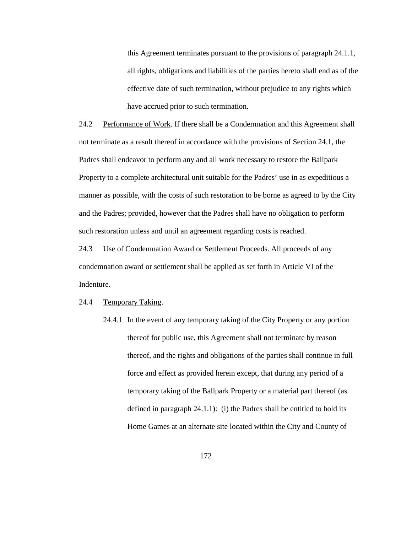this Agreement terminates pursuant to the provisions of paragraph 24.1.1, all rights, obligations and liabilities of the parties hereto shall end as of the effective date of such termination, without prejudice to any rights which have accrued prior to such termination.

24.2 Performance of Work. If there shall be a Condemnation and this Agreement shall not terminate as a result thereof in accordance with the provisions of Section 24.1, the Padres shall endeavor to perform any and all work necessary to restore the Ballpark Property to a complete architectural unit suitable for the Padres' use in as expeditious a manner as possible, with the costs of such restoration to be borne as agreed to by the City and the Padres; provided, however that the Padres shall have no obligation to perform such restoration unless and until an agreement regarding costs is reached.

24.3 Use of Condemnation Award or Settlement Proceeds. All proceeds of any condemnation award or settlement shall be applied as set forth in Article VI of the Indenture.

#### 24.4 Temporary Taking.

24.4.1 In the event of any temporary taking of the City Property or any portion thereof for public use, this Agreement shall not terminate by reason thereof, and the rights and obligations of the parties shall continue in full force and effect as provided herein except, that during any period of a temporary taking of the Ballpark Property or a material part thereof (as defined in paragraph 24.1.1): (i) the Padres shall be entitled to hold its Home Games at an alternate site located within the City and County of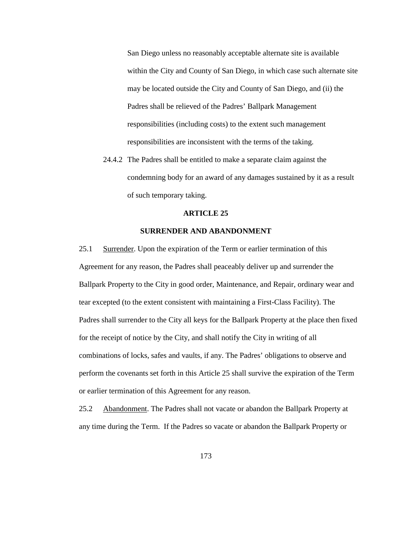San Diego unless no reasonably acceptable alternate site is available within the City and County of San Diego, in which case such alternate site may be located outside the City and County of San Diego, and (ii) the Padres shall be relieved of the Padres' Ballpark Management responsibilities (including costs) to the extent such management responsibilities are inconsistent with the terms of the taking.

24.4.2 The Padres shall be entitled to make a separate claim against the condemning body for an award of any damages sustained by it as a result of such temporary taking.

#### **ARTICLE 25**

# **SURRENDER AND ABANDONMENT**

25.1 Surrender. Upon the expiration of the Term or earlier termination of this Agreement for any reason, the Padres shall peaceably deliver up and surrender the Ballpark Property to the City in good order, Maintenance, and Repair, ordinary wear and tear excepted (to the extent consistent with maintaining a First-Class Facility). The Padres shall surrender to the City all keys for the Ballpark Property at the place then fixed for the receipt of notice by the City, and shall notify the City in writing of all combinations of locks, safes and vaults, if any. The Padres' obligations to observe and perform the covenants set forth in this Article 25 shall survive the expiration of the Term or earlier termination of this Agreement for any reason.

25.2 Abandonment. The Padres shall not vacate or abandon the Ballpark Property at any time during the Term. If the Padres so vacate or abandon the Ballpark Property or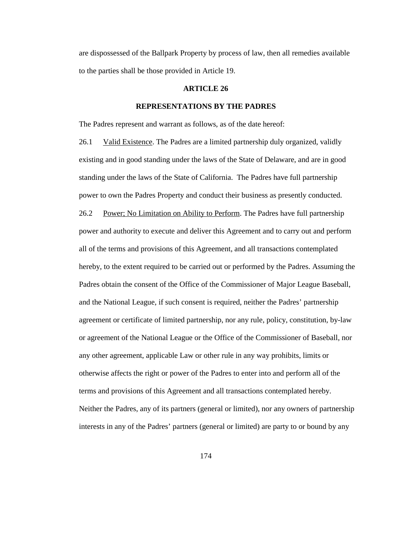are dispossessed of the Ballpark Property by process of law, then all remedies available to the parties shall be those provided in Article 19.

# **ARTICLE 26**

## **REPRESENTATIONS BY THE PADRES**

The Padres represent and warrant as follows, as of the date hereof:

26.1 Valid Existence. The Padres are a limited partnership duly organized, validly existing and in good standing under the laws of the State of Delaware, and are in good standing under the laws of the State of California. The Padres have full partnership power to own the Padres Property and conduct their business as presently conducted. 26.2 Power; No Limitation on Ability to Perform. The Padres have full partnership power and authority to execute and deliver this Agreement and to carry out and perform all of the terms and provisions of this Agreement, and all transactions contemplated hereby, to the extent required to be carried out or performed by the Padres. Assuming the Padres obtain the consent of the Office of the Commissioner of Major League Baseball, and the National League, if such consent is required, neither the Padres' partnership agreement or certificate of limited partnership, nor any rule, policy, constitution, by-law or agreement of the National League or the Office of the Commissioner of Baseball, nor any other agreement, applicable Law or other rule in any way prohibits, limits or otherwise affects the right or power of the Padres to enter into and perform all of the terms and provisions of this Agreement and all transactions contemplated hereby. Neither the Padres, any of its partners (general or limited), nor any owners of partnership interests in any of the Padres' partners (general or limited) are party to or bound by any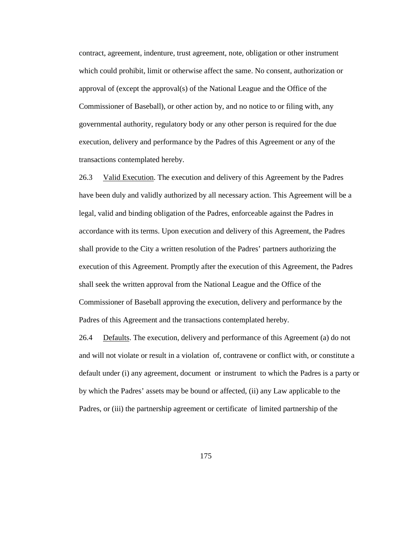contract, agreement, indenture, trust agreement, note, obligation or other instrument which could prohibit, limit or otherwise affect the same. No consent, authorization or approval of (except the approval(s) of the National League and the Office of the Commissioner of Baseball), or other action by, and no notice to or filing with, any governmental authority, regulatory body or any other person is required for the due execution, delivery and performance by the Padres of this Agreement or any of the transactions contemplated hereby.

26.3 Valid Execution. The execution and delivery of this Agreement by the Padres have been duly and validly authorized by all necessary action. This Agreement will be a legal, valid and binding obligation of the Padres, enforceable against the Padres in accordance with its terms. Upon execution and delivery of this Agreement, the Padres shall provide to the City a written resolution of the Padres' partners authorizing the execution of this Agreement. Promptly after the execution of this Agreement, the Padres shall seek the written approval from the National League and the Office of the Commissioner of Baseball approving the execution, delivery and performance by the Padres of this Agreement and the transactions contemplated hereby.

26.4 Defaults. The execution, delivery and performance of this Agreement (a) do not and will not violate or result in a violation of, contravene or conflict with, or constitute a default under (i) any agreement, document or instrument to which the Padres is a party or by which the Padres' assets may be bound or affected, (ii) any Law applicable to the Padres, or (iii) the partnership agreement or certificate of limited partnership of the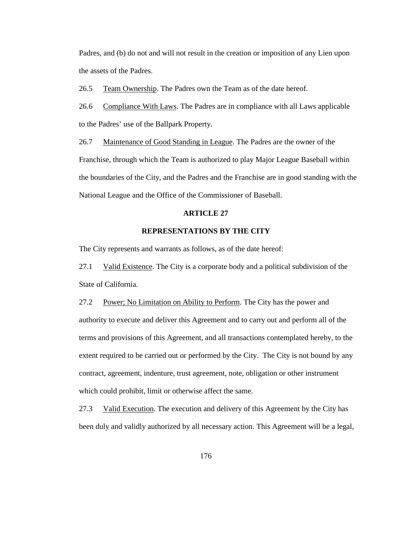Padres, and (b) do not and will not result in the creation or imposition of any Lien upon the assets of the Padres.

26.5 Team Ownership. The Padres own the Team as of the date hereof.

26.6 Compliance With Laws. The Padres are in compliance with all Laws applicable to the Padres' use of the Ballpark Property.

26.7 Maintenance of Good Standing in League. The Padres are the owner of the Franchise, through which the Team is authorized to play Major League Baseball within the boundaries of the City, and the Padres and the Franchise are in good standing with the National League and the Office of the Commissioner of Baseball.

# **ARTICLE 27**

# **REPRESENTATIONS BY THE CITY**

The City represents and warrants as follows, as of the date hereof:

27.1 Valid Existence. The City is a corporate body and a political subdivision of the State of California.

27.2 Power; No Limitation on Ability to Perform. The City has the power and authority to execute and deliver this Agreement and to carry out and perform all of the terms and provisions of this Agreement, and all transactions contemplated hereby, to the extent required to be carried out or performed by the City. The City is not bound by any contract, agreement, indenture, trust agreement, note, obligation or other instrument which could prohibit, limit or otherwise affect the same.

27.3 Valid Execution. The execution and delivery of this Agreement by the City has been duly and validly authorized by all necessary action. This Agreement will be a legal,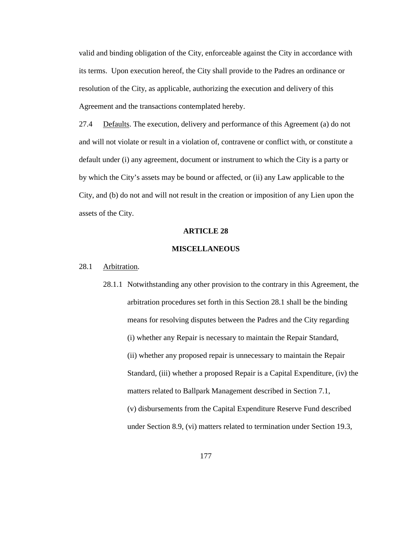valid and binding obligation of the City, enforceable against the City in accordance with its terms. Upon execution hereof, the City shall provide to the Padres an ordinance or resolution of the City, as applicable, authorizing the execution and delivery of this Agreement and the transactions contemplated hereby.

27.4 Defaults. The execution, delivery and performance of this Agreement (a) do not and will not violate or result in a violation of, contravene or conflict with, or constitute a default under (i) any agreement, document or instrument to which the City is a party or by which the City's assets may be bound or affected, or (ii) any Law applicable to the City, and (b) do not and will not result in the creation or imposition of any Lien upon the assets of the City.

## **ARTICLE 28**

# **MISCELLANEOUS**

# 28.1 Arbitration.

28.1.1 Notwithstanding any other provision to the contrary in this Agreement, the arbitration procedures set forth in this Section 28.1 shall be the binding means for resolving disputes between the Padres and the City regarding (i) whether any Repair is necessary to maintain the Repair Standard, (ii) whether any proposed repair is unnecessary to maintain the Repair Standard, (iii) whether a proposed Repair is a Capital Expenditure, (iv) the matters related to Ballpark Management described in Section 7.1, (v) disbursements from the Capital Expenditure Reserve Fund described under Section 8.9, (vi) matters related to termination under Section 19.3,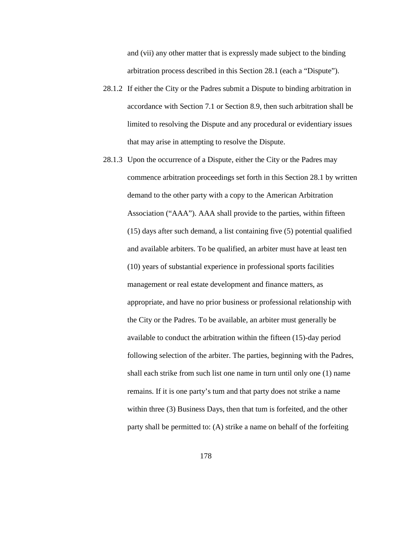and (vii) any other matter that is expressly made subject to the binding arbitration process described in this Section 28.1 (each a "Dispute").

- 28.1.2 If either the City or the Padres submit a Dispute to binding arbitration in accordance with Section 7.1 or Section 8.9, then such arbitration shall be limited to resolving the Dispute and any procedural or evidentiary issues that may arise in attempting to resolve the Dispute.
- 28.1.3 Upon the occurrence of a Dispute, either the City or the Padres may commence arbitration proceedings set forth in this Section 28.1 by written demand to the other party with a copy to the American Arbitration Association ("AAA"). AAA shall provide to the parties, within fifteen (15) days after such demand, a list containing five (5) potential qualified and available arbiters. To be qualified, an arbiter must have at least ten (10) years of substantial experience in professional sports facilities management or real estate development and finance matters, as appropriate, and have no prior business or professional relationship with the City or the Padres. To be available, an arbiter must generally be available to conduct the arbitration within the fifteen (15)-day period following selection of the arbiter. The parties, beginning with the Padres, shall each strike from such list one name in turn until only one (1) name remains. If it is one party's tum and that party does not strike a name within three (3) Business Days, then that tum is forfeited, and the other party shall be permitted to: (A) strike a name on behalf of the forfeiting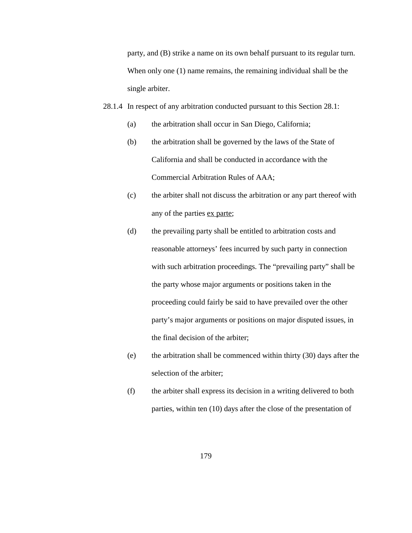party, and (B) strike a name on its own behalf pursuant to its regular turn. When only one (1) name remains, the remaining individual shall be the single arbiter.

- 28.1.4 In respect of any arbitration conducted pursuant to this Section 28.1:
	- (a) the arbitration shall occur in San Diego, California;
	- (b) the arbitration shall be governed by the laws of the State of California and shall be conducted in accordance with the Commercial Arbitration Rules of AAA;
	- (c) the arbiter shall not discuss the arbitration or any part thereof with any of the parties ex parte;
	- (d) the prevailing party shall be entitled to arbitration costs and reasonable attorneys' fees incurred by such party in connection with such arbitration proceedings. The "prevailing party" shall be the party whose major arguments or positions taken in the proceeding could fairly be said to have prevailed over the other party's major arguments or positions on major disputed issues, in the final decision of the arbiter;
	- (e) the arbitration shall be commenced within thirty (30) days after the selection of the arbiter;
	- (f) the arbiter shall express its decision in a writing delivered to both parties, within ten (10) days after the close of the presentation of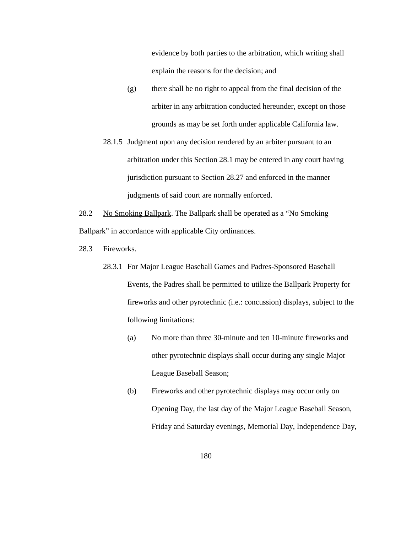evidence by both parties to the arbitration, which writing shall explain the reasons for the decision; and

- (g) there shall be no right to appeal from the final decision of the arbiter in any arbitration conducted hereunder, except on those grounds as may be set forth under applicable California law.
- 28.1.5 Judgment upon any decision rendered by an arbiter pursuant to an arbitration under this Section 28.1 may be entered in any court having jurisdiction pursuant to Section 28.27 and enforced in the manner judgments of said court are normally enforced.
- 28.2 No Smoking Ballpark. The Ballpark shall be operated as a "No Smoking" Ballpark" in accordance with applicable City ordinances.
- 28.3 Fireworks.
	- 28.3.1 For Major League Baseball Games and Padres-Sponsored Baseball Events, the Padres shall be permitted to utilize the Ballpark Property for fireworks and other pyrotechnic (i.e.: concussion) displays, subject to the following limitations:
		- (a) No more than three 30-minute and ten 10-minute fireworks and other pyrotechnic displays shall occur during any single Major League Baseball Season;
		- (b) Fireworks and other pyrotechnic displays may occur only on Opening Day, the last day of the Major League Baseball Season, Friday and Saturday evenings, Memorial Day, Independence Day,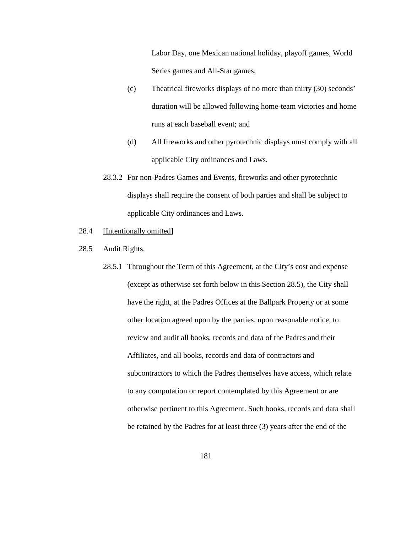Labor Day, one Mexican national holiday, playoff games, World Series games and All-Star games;

- (c) Theatrical fireworks displays of no more than thirty (30) seconds' duration will be allowed following home-team victories and home runs at each baseball event; and
- (d) All fireworks and other pyrotechnic displays must comply with all applicable City ordinances and Laws.
- 28.3.2 For non-Padres Games and Events, fireworks and other pyrotechnic displays shall require the consent of both parties and shall be subject to applicable City ordinances and Laws.
- 28.4 [Intentionally omitted]
- 28.5 Audit Rights.
	- 28.5.1 Throughout the Term of this Agreement, at the City's cost and expense (except as otherwise set forth below in this Section 28.5), the City shall have the right, at the Padres Offices at the Ballpark Property or at some other location agreed upon by the parties, upon reasonable notice, to review and audit all books, records and data of the Padres and their Affiliates, and all books, records and data of contractors and subcontractors to which the Padres themselves have access, which relate to any computation or report contemplated by this Agreement or are otherwise pertinent to this Agreement. Such books, records and data shall be retained by the Padres for at least three (3) years after the end of the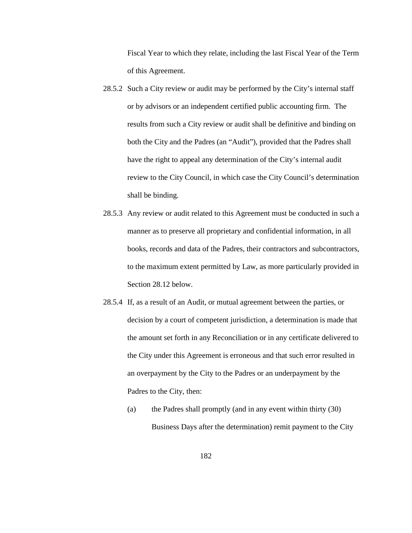Fiscal Year to which they relate, including the last Fiscal Year of the Term of this Agreement.

- 28.5.2 Such a City review or audit may be performed by the City's internal staff or by advisors or an independent certified public accounting firm. The results from such a City review or audit shall be definitive and binding on both the City and the Padres (an "Audit"), provided that the Padres shall have the right to appeal any determination of the City's internal audit review to the City Council, in which case the City Council's determination shall be binding.
- 28.5.3 Any review or audit related to this Agreement must be conducted in such a manner as to preserve all proprietary and confidential information, in all books, records and data of the Padres, their contractors and subcontractors, to the maximum extent permitted by Law, as more particularly provided in Section 28.12 below.
- 28.5.4 If, as a result of an Audit, or mutual agreement between the parties, or decision by a court of competent jurisdiction, a determination is made that the amount set forth in any Reconciliation or in any certificate delivered to the City under this Agreement is erroneous and that such error resulted in an overpayment by the City to the Padres or an underpayment by the Padres to the City, then:
	- (a) the Padres shall promptly (and in any event within thirty (30) Business Days after the determination) remit payment to the City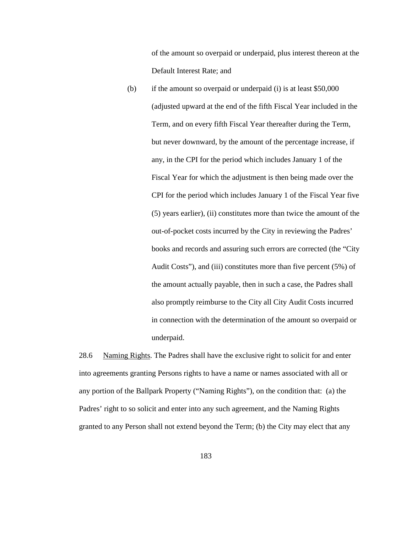of the amount so overpaid or underpaid, plus interest thereon at the Default Interest Rate; and

(b) if the amount so overpaid or underpaid (i) is at least \$50,000 (adjusted upward at the end of the fifth Fiscal Year included in the Term, and on every fifth Fiscal Year thereafter during the Term, but never downward, by the amount of the percentage increase, if any, in the CPI for the period which includes January 1 of the Fiscal Year for which the adjustment is then being made over the CPI for the period which includes January 1 of the Fiscal Year five (5) years earlier), (ii) constitutes more than twice the amount of the out-of-pocket costs incurred by the City in reviewing the Padres' books and records and assuring such errors are corrected (the "City Audit Costs"), and (iii) constitutes more than five percent (5%) of the amount actually payable, then in such a case, the Padres shall also promptly reimburse to the City all City Audit Costs incurred in connection with the determination of the amount so overpaid or underpaid.

28.6 Naming Rights. The Padres shall have the exclusive right to solicit for and enter into agreements granting Persons rights to have a name or names associated with all or any portion of the Ballpark Property ("Naming Rights"), on the condition that: (a) the Padres' right to so solicit and enter into any such agreement, and the Naming Rights granted to any Person shall not extend beyond the Term; (b) the City may elect that any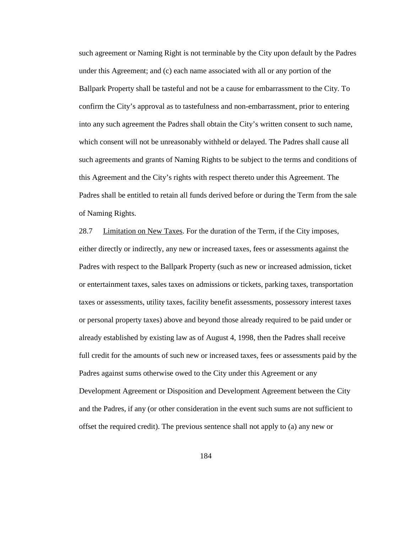such agreement or Naming Right is not terminable by the City upon default by the Padres under this Agreement; and (c) each name associated with all or any portion of the Ballpark Property shall be tasteful and not be a cause for embarrassment to the City. To confirm the City's approval as to tastefulness and non-embarrassment, prior to entering into any such agreement the Padres shall obtain the City's written consent to such name, which consent will not be unreasonably withheld or delayed. The Padres shall cause all such agreements and grants of Naming Rights to be subject to the terms and conditions of this Agreement and the City's rights with respect thereto under this Agreement. The Padres shall be entitled to retain all funds derived before or during the Term from the sale of Naming Rights.

28.7 Limitation on New Taxes. For the duration of the Term, if the City imposes, either directly or indirectly, any new or increased taxes, fees or assessments against the Padres with respect to the Ballpark Property (such as new or increased admission, ticket or entertainment taxes, sales taxes on admissions or tickets, parking taxes, transportation taxes or assessments, utility taxes, facility benefit assessments, possessory interest taxes or personal property taxes) above and beyond those already required to be paid under or already established by existing law as of August 4, 1998, then the Padres shall receive full credit for the amounts of such new or increased taxes, fees or assessments paid by the Padres against sums otherwise owed to the City under this Agreement or any Development Agreement or Disposition and Development Agreement between the City and the Padres, if any (or other consideration in the event such sums are not sufficient to offset the required credit). The previous sentence shall not apply to (a) any new or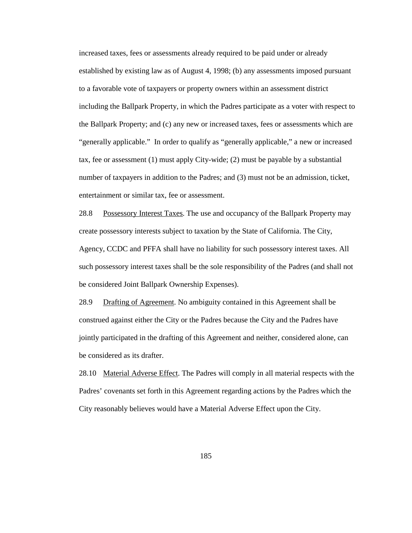increased taxes, fees or assessments already required to be paid under or already established by existing law as of August 4, 1998; (b) any assessments imposed pursuant to a favorable vote of taxpayers or property owners within an assessment district including the Ballpark Property, in which the Padres participate as a voter with respect to the Ballpark Property; and (c) any new or increased taxes, fees or assessments which are "generally applicable." In order to qualify as "generally applicable," a new or increased tax, fee or assessment (1) must apply City-wide; (2) must be payable by a substantial number of taxpayers in addition to the Padres; and (3) must not be an admission, ticket, entertainment or similar tax, fee or assessment.

28.8 Possessory Interest Taxes. The use and occupancy of the Ballpark Property may create possessory interests subject to taxation by the State of California. The City, Agency, CCDC and PFFA shall have no liability for such possessory interest taxes. All such possessory interest taxes shall be the sole responsibility of the Padres (and shall not be considered Joint Ballpark Ownership Expenses).

28.9 Drafting of Agreement. No ambiguity contained in this Agreement shall be construed against either the City or the Padres because the City and the Padres have jointly participated in the drafting of this Agreement and neither, considered alone, can be considered as its drafter.

28.10 Material Adverse Effect. The Padres will comply in all material respects with the Padres' covenants set forth in this Agreement regarding actions by the Padres which the City reasonably believes would have a Material Adverse Effect upon the City.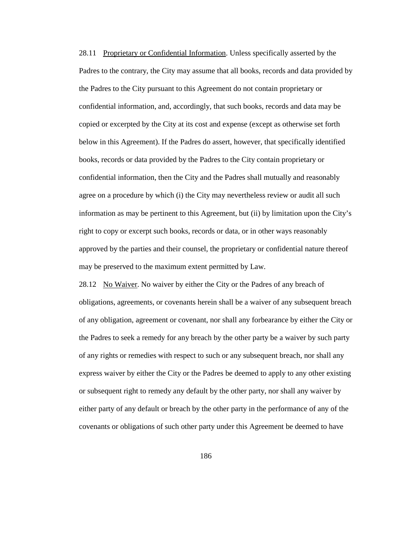28.11 Proprietary or Confidential Information. Unless specifically asserted by the Padres to the contrary, the City may assume that all books, records and data provided by the Padres to the City pursuant to this Agreement do not contain proprietary or confidential information, and, accordingly, that such books, records and data may be copied or excerpted by the City at its cost and expense (except as otherwise set forth below in this Agreement). If the Padres do assert, however, that specifically identified books, records or data provided by the Padres to the City contain proprietary or confidential information, then the City and the Padres shall mutually and reasonably agree on a procedure by which (i) the City may nevertheless review or audit all such information as may be pertinent to this Agreement, but (ii) by limitation upon the City's right to copy or excerpt such books, records or data, or in other ways reasonably approved by the parties and their counsel, the proprietary or confidential nature thereof may be preserved to the maximum extent permitted by Law.

28.12 No Waiver. No waiver by either the City or the Padres of any breach of obligations, agreements, or covenants herein shall be a waiver of any subsequent breach of any obligation, agreement or covenant, nor shall any forbearance by either the City or the Padres to seek a remedy for any breach by the other party be a waiver by such party of any rights or remedies with respect to such or any subsequent breach, nor shall any express waiver by either the City or the Padres be deemed to apply to any other existing or subsequent right to remedy any default by the other party, nor shall any waiver by either party of any default or breach by the other party in the performance of any of the covenants or obligations of such other party under this Agreement be deemed to have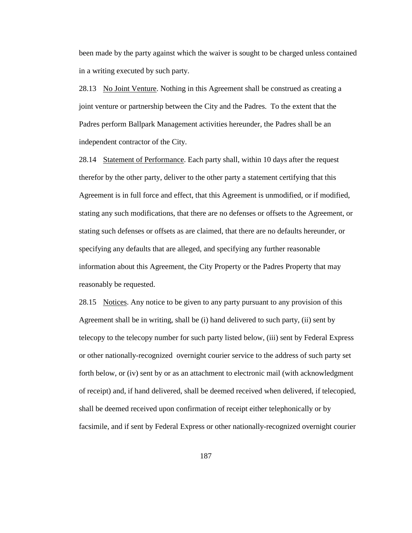been made by the party against which the waiver is sought to be charged unless contained in a writing executed by such party.

28.13 No Joint Venture. Nothing in this Agreement shall be construed as creating a joint venture or partnership between the City and the Padres. To the extent that the Padres perform Ballpark Management activities hereunder, the Padres shall be an independent contractor of the City.

28.14 Statement of Performance. Each party shall, within 10 days after the request therefor by the other party, deliver to the other party a statement certifying that this Agreement is in full force and effect, that this Agreement is unmodified, or if modified, stating any such modifications, that there are no defenses or offsets to the Agreement, or stating such defenses or offsets as are claimed, that there are no defaults hereunder, or specifying any defaults that are alleged, and specifying any further reasonable information about this Agreement, the City Property or the Padres Property that may reasonably be requested.

28.15 Notices. Any notice to be given to any party pursuant to any provision of this Agreement shall be in writing, shall be (i) hand delivered to such party, (ii) sent by telecopy to the telecopy number for such party listed below, (iii) sent by Federal Express or other nationally-recognized overnight courier service to the address of such party set forth below, or (iv) sent by or as an attachment to electronic mail (with acknowledgment of receipt) and, if hand delivered, shall be deemed received when delivered, if telecopied, shall be deemed received upon confirmation of receipt either telephonically or by facsimile, and if sent by Federal Express or other nationally-recognized overnight courier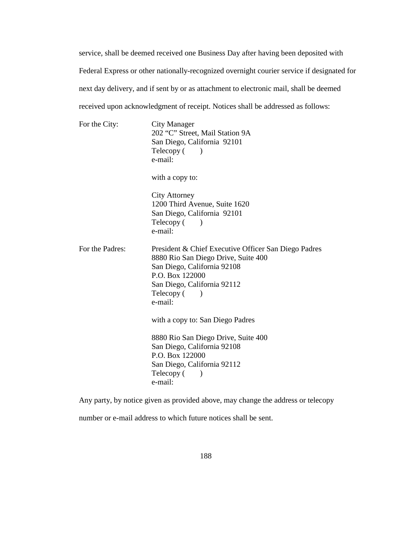service, shall be deemed received one Business Day after having been deposited with Federal Express or other nationally-recognized overnight courier service if designated for next day delivery, and if sent by or as attachment to electronic mail, shall be deemed received upon acknowledgment of receipt. Notices shall be addressed as follows:

| For the City:   | <b>City Manager</b><br>202 "C" Street, Mail Station 9A<br>San Diego, California 92101<br>Telecopy (<br>$\lambda$<br>e-mail:                                                                           |
|-----------------|-------------------------------------------------------------------------------------------------------------------------------------------------------------------------------------------------------|
|                 | with a copy to:                                                                                                                                                                                       |
|                 | <b>City Attorney</b><br>1200 Third Avenue, Suite 1620<br>San Diego, California 92101<br>Telecopy (<br>e-mail:                                                                                         |
| For the Padres: | President & Chief Executive Officer San Diego Padres<br>8880 Rio San Diego Drive, Suite 400<br>San Diego, California 92108<br>P.O. Box 122000<br>San Diego, California 92112<br>Telecopy (<br>e-mail: |
|                 | with a copy to: San Diego Padres                                                                                                                                                                      |
|                 | 8880 Rio San Diego Drive, Suite 400<br>San Diego, California 92108<br>P.O. Box 122000<br>San Diego, California 92112<br>Telecopy (<br>$\lambda$<br>e-mail:                                            |

Any party, by notice given as provided above, may change the address or telecopy number or e-mail address to which future notices shall be sent.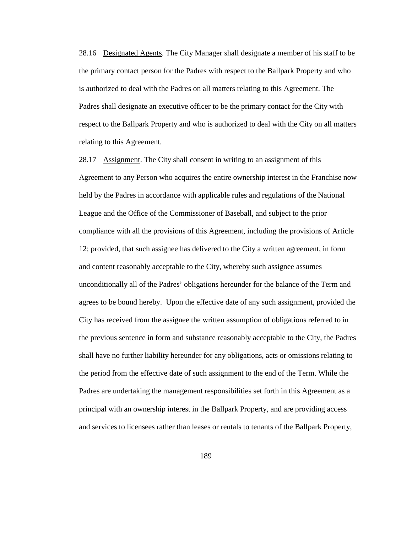28.16 Designated Agents. The City Manager shall designate a member of his staff to be the primary contact person for the Padres with respect to the Ballpark Property and who is authorized to deal with the Padres on all matters relating to this Agreement. The Padres shall designate an executive officer to be the primary contact for the City with respect to the Ballpark Property and who is authorized to deal with the City on all matters relating to this Agreement.

28.17 Assignment. The City shall consent in writing to an assignment of this Agreement to any Person who acquires the entire ownership interest in the Franchise now held by the Padres in accordance with applicable rules and regulations of the National League and the Office of the Commissioner of Baseball, and subject to the prior compliance with all the provisions of this Agreement, including the provisions of Article 12; provided, that such assignee has delivered to the City a written agreement, in form and content reasonably acceptable to the City, whereby such assignee assumes unconditionally all of the Padres' obligations hereunder for the balance of the Term and agrees to be bound hereby. Upon the effective date of any such assignment, provided the City has received from the assignee the written assumption of obligations referred to in the previous sentence in form and substance reasonably acceptable to the City, the Padres shall have no further liability hereunder for any obligations, acts or omissions relating to the period from the effective date of such assignment to the end of the Term. While the Padres are undertaking the management responsibilities set forth in this Agreement as a principal with an ownership interest in the Ballpark Property, and are providing access and services to licensees rather than leases or rentals to tenants of the Ballpark Property,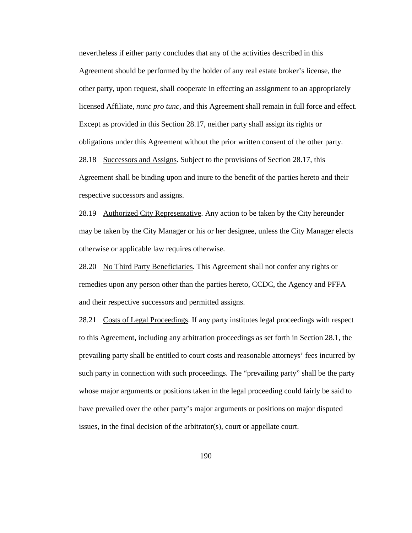nevertheless if either party concludes that any of the activities described in this Agreement should be performed by the holder of any real estate broker's license, the other party, upon request, shall cooperate in effecting an assignment to an appropriately licensed Affiliate, *nunc pro tunc*, and this Agreement shall remain in full force and effect. Except as provided in this Section 28.17, neither party shall assign its rights or obligations under this Agreement without the prior written consent of the other party. 28.18 Successors and Assigns. Subject to the provisions of Section 28.17, this Agreement shall be binding upon and inure to the benefit of the parties hereto and their respective successors and assigns.

28.19 Authorized City Representative. Any action to be taken by the City hereunder may be taken by the City Manager or his or her designee, unless the City Manager elects otherwise or applicable law requires otherwise.

28.20 No Third Party Beneficiaries. This Agreement shall not confer any rights or remedies upon any person other than the parties hereto, CCDC, the Agency and PFFA and their respective successors and permitted assigns.

28.21 Costs of Legal Proceedings. If any party institutes legal proceedings with respect to this Agreement, including any arbitration proceedings as set forth in Section 28.1, the prevailing party shall be entitled to court costs and reasonable attorneys' fees incurred by such party in connection with such proceedings. The "prevailing party" shall be the party whose major arguments or positions taken in the legal proceeding could fairly be said to have prevailed over the other party's major arguments or positions on major disputed issues, in the final decision of the arbitrator(s), court or appellate court.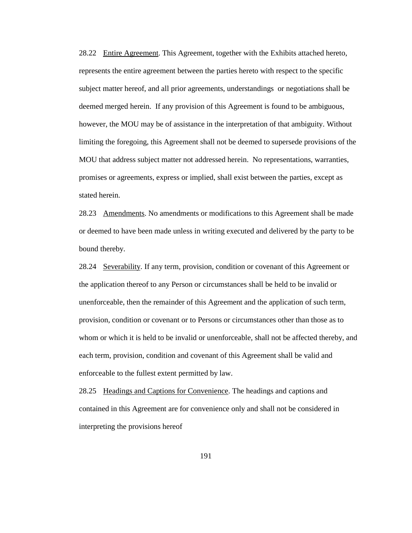28.22 Entire Agreement. This Agreement, together with the Exhibits attached hereto, represents the entire agreement between the parties hereto with respect to the specific subject matter hereof, and all prior agreements, understandings or negotiations shall be deemed merged herein. If any provision of this Agreement is found to be ambiguous, however, the MOU may be of assistance in the interpretation of that ambiguity. Without limiting the foregoing, this Agreement shall not be deemed to supersede provisions of the MOU that address subject matter not addressed herein. No representations, warranties, promises or agreements, express or implied, shall exist between the parties, except as stated herein.

28.23 Amendments. No amendments or modifications to this Agreement shall be made or deemed to have been made unless in writing executed and delivered by the party to be bound thereby.

28.24 Severability. If any term, provision, condition or covenant of this Agreement or the application thereof to any Person or circumstances shall be held to be invalid or unenforceable, then the remainder of this Agreement and the application of such term, provision, condition or covenant or to Persons or circumstances other than those as to whom or which it is held to be invalid or unenforceable, shall not be affected thereby, and each term, provision, condition and covenant of this Agreement shall be valid and enforceable to the fullest extent permitted by law.

28.25 Headings and Captions for Convenience. The headings and captions and contained in this Agreement are for convenience only and shall not be considered in interpreting the provisions hereof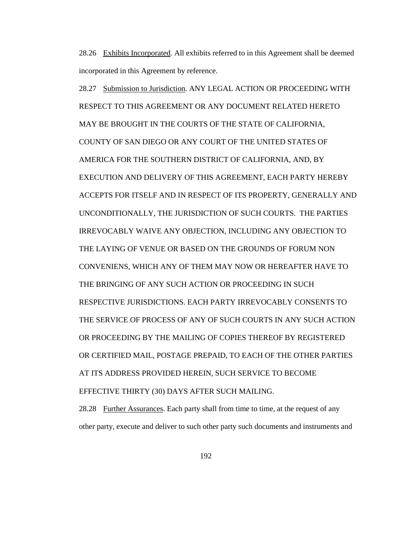28.26 Exhibits Incorporated. All exhibits referred to in this Agreement shall be deemed incorporated in this Agreement by reference.

28.27 Submission to Jurisdiction. ANY LEGAL ACTION OR PROCEEDING WITH RESPECT TO THIS AGREEMENT OR ANY DOCUMENT RELATED HERETO MAY BE BROUGHT IN THE COURTS OF THE STATE OF CALIFORNIA, COUNTY OF SAN DIEGO OR ANY COURT OF THE UNITED STATES OF AMERICA FOR THE SOUTHERN DISTRICT OF CALIFORNIA, AND, BY EXECUTION AND DELIVERY OF THIS AGREEMENT, EACH PARTY HEREBY ACCEPTS FOR ITSELF AND IN RESPECT OF ITS PROPERTY, GENERALLY AND UNCONDITIONALLY, THE JURISDICTION OF SUCH COURTS. THE PARTIES IRREVOCABLY WAIVE ANY OBJECTION, INCLUDING ANY OBJECTION TO THE LAYING OF VENUE OR BASED ON THE GROUNDS OF FORUM NON CONVENIENS, WHICH ANY OF THEM MAY NOW OR HEREAFTER HAVE TO THE BRINGING OF ANY SUCH ACTION OR PROCEEDING IN SUCH RESPECTIVE JURISDICTIONS. EACH PARTY IRREVOCABLY CONSENTS TO THE SERVICE OF PROCESS OF ANY OF SUCH COURTS IN ANY SUCH ACTION OR PROCEEDING BY THE MAILING OF COPIES THEREOF BY REGISTERED OR CERTIFIED MAIL, POSTAGE PREPAID, TO EACH OF THE OTHER PARTIES AT ITS ADDRESS PROVIDED HEREIN, SUCH SERVICE TO BECOME EFFECTIVE THIRTY (30) DAYS AFTER SUCH MAILING.

28.28 Further Assurances. Each party shall from time to time, at the request of any other party, execute and deliver to such other party such documents and instruments and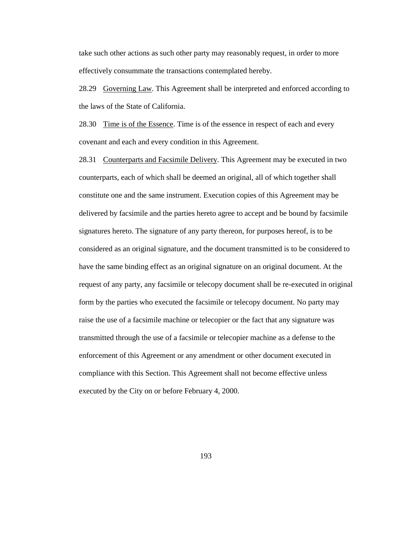take such other actions as such other party may reasonably request, in order to more effectively consummate the transactions contemplated hereby.

28.29 Governing Law. This Agreement shall be interpreted and enforced according to the laws of the State of California.

28.30 Time is of the Essence. Time is of the essence in respect of each and every covenant and each and every condition in this Agreement.

28.31 Counterparts and Facsimile Delivery. This Agreement may be executed in two counterparts, each of which shall be deemed an original, all of which together shall constitute one and the same instrument. Execution copies of this Agreement may be delivered by facsimile and the parties hereto agree to accept and be bound by facsimile signatures hereto. The signature of any party thereon, for purposes hereof, is to be considered as an original signature, and the document transmitted is to be considered to have the same binding effect as an original signature on an original document. At the request of any party, any facsimile or telecopy document shall be re-executed in original form by the parties who executed the facsimile or telecopy document. No party may raise the use of a facsimile machine or telecopier or the fact that any signature was transmitted through the use of a facsimile or telecopier machine as a defense to the enforcement of this Agreement or any amendment or other document executed in compliance with this Section. This Agreement shall not become effective unless executed by the City on or before February 4, 2000.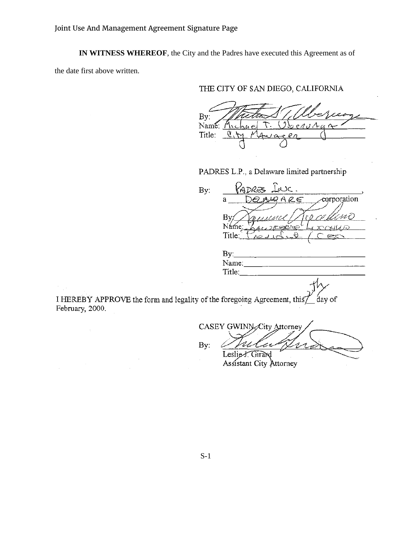**IN WITNESS WHEREOF**, the City and the Padres have executed this Agreement as of

the date first above written.

# THE CITY OF SAN DIEGO, CALIFORNIA

 $By:$ Name: M. Title:  $\mathfrak{C}$   $\lambda$ 

PADRES L.P., a Delaware limited partnership

By: eorporation R€  $\bf a$ By Name: Title: By: Name: Title:

I HEREBY APPROVE the form and legality of the foregoing Agreement, this day of February, 2000.

CASEY GWINN City Attorney By: Leslie F. Girard

Assistant City Attorney